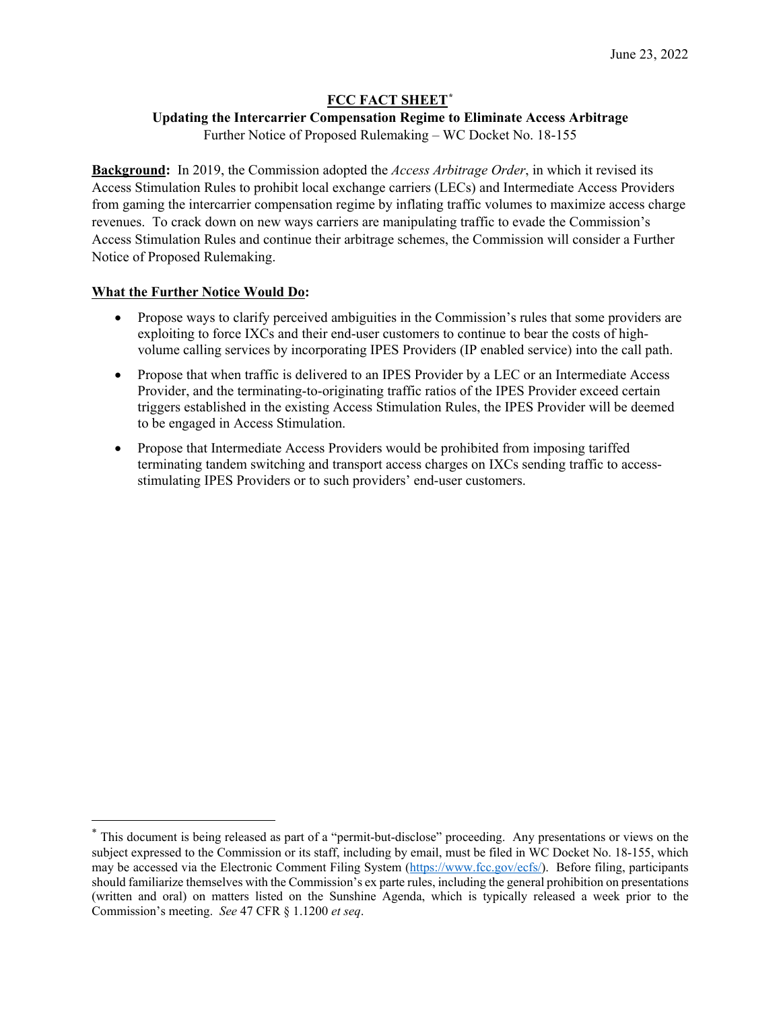## **FCC FACT SHEET[\\*](#page-0-0)**

#### **Updating the Intercarrier Compensation Regime to Eliminate Access Arbitrage**

Further Notice of Proposed Rulemaking – WC Docket No. 18-155

**Background:** In 2019, the Commission adopted the *Access Arbitrage Order*, in which it revised its Access Stimulation Rules to prohibit local exchange carriers (LECs) and Intermediate Access Providers from gaming the intercarrier compensation regime by inflating traffic volumes to maximize access charge revenues. To crack down on new ways carriers are manipulating traffic to evade the Commission's Access Stimulation Rules and continue their arbitrage schemes, the Commission will consider a Further Notice of Proposed Rulemaking.

#### **What the Further Notice Would Do:**

- Propose ways to clarify perceived ambiguities in the Commission's rules that some providers are exploiting to force IXCs and their end-user customers to continue to bear the costs of highvolume calling services by incorporating IPES Providers (IP enabled service) into the call path.
- Propose that when traffic is delivered to an IPES Provider by a LEC or an Intermediate Access Provider, and the terminating-to-originating traffic ratios of the IPES Provider exceed certain triggers established in the existing Access Stimulation Rules, the IPES Provider will be deemed to be engaged in Access Stimulation.
- Propose that Intermediate Access Providers would be prohibited from imposing tariffed terminating tandem switching and transport access charges on IXCs sending traffic to accessstimulating IPES Providers or to such providers' end-user customers.

<span id="page-0-0"></span><sup>\*</sup> This document is being released as part of a "permit-but-disclose" proceeding. Any presentations or views on the subject expressed to the Commission or its staff, including by email, must be filed in WC Docket No. 18-155, which may be accessed via the Electronic Comment Filing System [\(https://www.fcc.gov/ecfs/\)](https://www.fcc.gov/ecfs/). Before filing, participants should familiarize themselves with the Commission's ex parte rules, including the general prohibition on presentations (written and oral) on matters listed on the Sunshine Agenda, which is typically released a week prior to the Commission's meeting. *See* 47 CFR § 1.1200 *et seq*.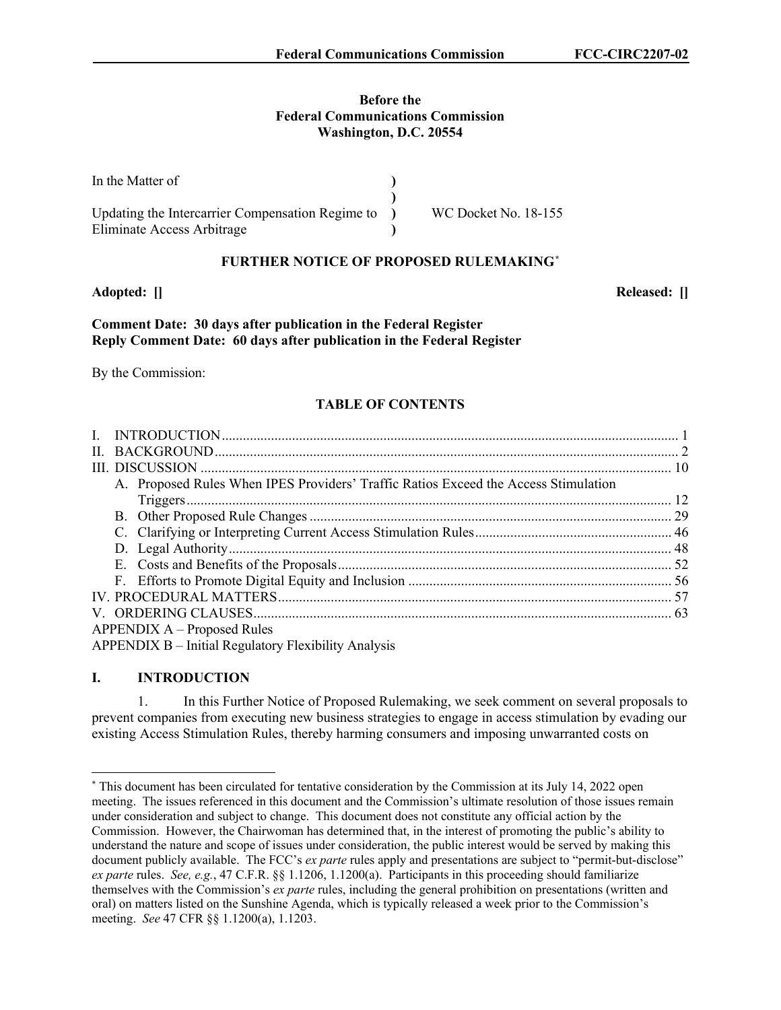# **Before the**

**Federal Communications Commission Washington, D.C. 20554**

| In the Matter of                                 |                      |
|--------------------------------------------------|----------------------|
|                                                  |                      |
| Updating the Intercarrier Compensation Regime to | WC Docket No. 18-155 |
| Eliminate Access Arbitrage                       |                      |

## **FURTHER NOTICE OF PROPOSED RULEMAKING[\\*](#page-1-0)**

**Adopted: [] Released: []**

## **Comment Date: 30 days after publication in the Federal Register Reply Comment Date: 60 days after publication in the Federal Register**

By the Commission:

## **TABLE OF CONTENTS**

| A. Proposed Rules When IPES Providers' Traffic Ratios Exceed the Access Stimulation |  |
|-------------------------------------------------------------------------------------|--|
|                                                                                     |  |
|                                                                                     |  |
|                                                                                     |  |
|                                                                                     |  |
|                                                                                     |  |
|                                                                                     |  |
|                                                                                     |  |
|                                                                                     |  |
| $APPENDIX A - Proposed Rules$                                                       |  |
| APPENDIX B - Initial Regulatory Flexibility Analysis                                |  |

## **I. INTRODUCTION**

1. In this Further Notice of Proposed Rulemaking, we seek comment on several proposals to prevent companies from executing new business strategies to engage in access stimulation by evading our existing Access Stimulation Rules, thereby harming consumers and imposing unwarranted costs on

<span id="page-1-0"></span><sup>\*</sup> This document has been circulated for tentative consideration by the Commission at its July 14, 2022 open meeting. The issues referenced in this document and the Commission's ultimate resolution of those issues remain under consideration and subject to change. This document does not constitute any official action by the Commission. However, the Chairwoman has determined that, in the interest of promoting the public's ability to understand the nature and scope of issues under consideration, the public interest would be served by making this document publicly available. The FCC's *ex parte* rules apply and presentations are subject to "permit-but-disclose" *ex parte* rules. *See, e.g.*, 47 C.F.R. §§ 1.1206, 1.1200(a). Participants in this proceeding should familiarize themselves with the Commission's *ex parte* rules, including the general prohibition on presentations (written and oral) on matters listed on the Sunshine Agenda, which is typically released a week prior to the Commission's meeting. *See* 47 CFR §§ 1.1200(a), 1.1203.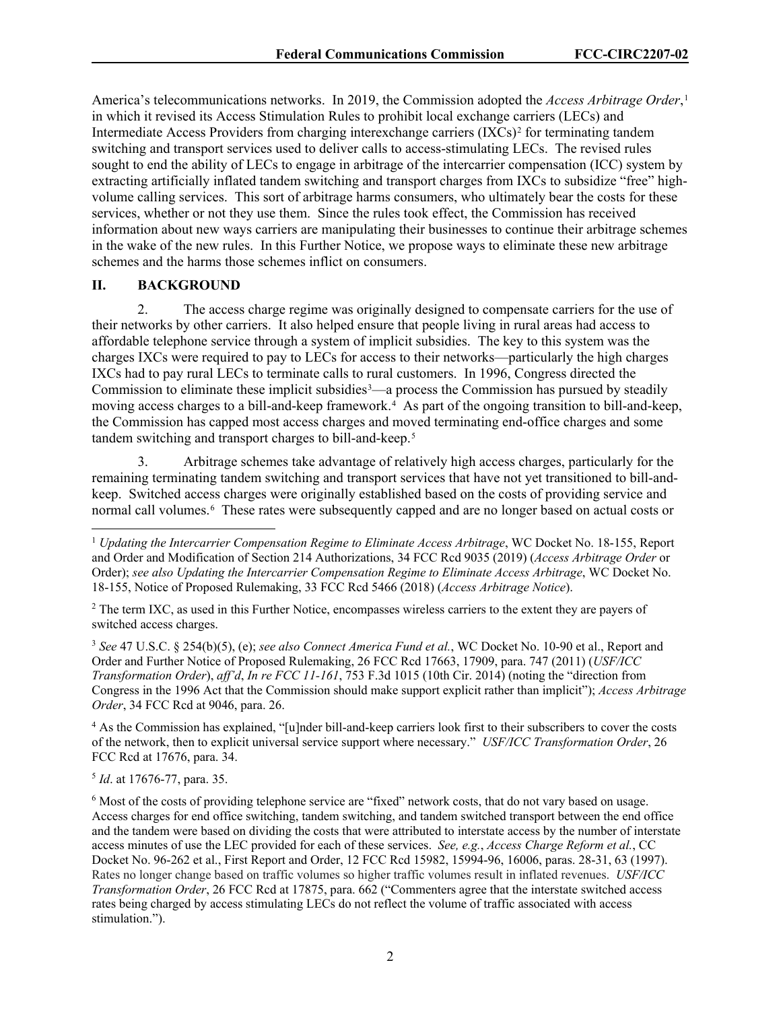America's telecommunications networks. In 2019, the Commission adopted the *Access Arbitrage Order*, [1](#page-2-0) in which it revised its Access Stimulation Rules to prohibit local exchange carriers (LECs) and Intermediate Access Providers from charging interexchange carriers  $(IXCs)^2$  $(IXCs)^2$  for terminating tandem switching and transport services used to deliver calls to access-stimulating LECs. The revised rules sought to end the ability of LECs to engage in arbitrage of the intercarrier compensation (ICC) system by extracting artificially inflated tandem switching and transport charges from IXCs to subsidize "free" highvolume calling services. This sort of arbitrage harms consumers, who ultimately bear the costs for these services, whether or not they use them. Since the rules took effect, the Commission has received information about new ways carriers are manipulating their businesses to continue their arbitrage schemes in the wake of the new rules. In this Further Notice, we propose ways to eliminate these new arbitrage schemes and the harms those schemes inflict on consumers.

## **II. BACKGROUND**

2. The access charge regime was originally designed to compensate carriers for the use of their networks by other carriers. It also helped ensure that people living in rural areas had access to affordable telephone service through a system of implicit subsidies. The key to this system was the charges IXCs were required to pay to LECs for access to their networks—particularly the high charges IXCs had to pay rural LECs to terminate calls to rural customers. In 1996, Congress directed the Commission to eliminate these implicit subsidies $3$ —a process the Commission has pursued by steadily moving access charges to a bill-and-keep framework.<sup>[4](#page-2-3)</sup> As part of the ongoing transition to bill-and-keep, the Commission has capped most access charges and moved terminating end-office charges and some tandem switching and transport charges to bill-and-keep.<sup>[5](#page-2-4)</sup>

3. Arbitrage schemes take advantage of relatively high access charges, particularly for the remaining terminating tandem switching and transport services that have not yet transitioned to bill-andkeep. Switched access charges were originally established based on the costs of providing service and normal call volumes.<sup>[6](#page-2-5)</sup> These rates were subsequently capped and are no longer based on actual costs or

<span id="page-2-1"></span><sup>2</sup> The term IXC, as used in this Further Notice, encompasses wireless carriers to the extent they are payers of switched access charges.

<span id="page-2-2"></span><sup>3</sup> *See* 47 U.S.C. § 254(b)(5), (e); *see also Connect America Fund et al.*, WC Docket No. 10-90 et al., Report and Order and Further Notice of Proposed Rulemaking, 26 FCC Rcd 17663, 17909, para. 747 (2011) (*USF/ICC Transformation Order*), *aff'd*, *In re FCC 11-161*, 753 F.3d 1015 (10th Cir. 2014) (noting the "direction from Congress in the 1996 Act that the Commission should make support explicit rather than implicit"); *Access Arbitrage Order*, 34 FCC Rcd at 9046, para. 26.

<span id="page-2-3"></span><sup>4</sup> As the Commission has explained, "[u]nder bill-and-keep carriers look first to their subscribers to cover the costs of the network, then to explicit universal service support where necessary." *USF/ICC Transformation Order*, 26 FCC Rcd at 17676, para. 34.

<span id="page-2-4"></span><sup>5</sup> *Id*. at 17676-77, para. 35.

<span id="page-2-0"></span><sup>&</sup>lt;sup>1</sup> *Updating the Intercarrier Compensation Regime to Eliminate Access Arbitrage*, WC Docket No. 18-155, Report and Order and Modification of Section 214 Authorizations, 34 FCC Rcd 9035 (2019) (*Access Arbitrage Order* or Order); *see also Updating the Intercarrier Compensation Regime to Eliminate Access Arbitrage*, WC Docket No. 18-155, Notice of Proposed Rulemaking, 33 FCC Rcd 5466 (2018) (*Access Arbitrage Notice*).

<span id="page-2-5"></span><sup>6</sup> Most of the costs of providing telephone service are "fixed" network costs, that do not vary based on usage. Access charges for end office switching, tandem switching, and tandem switched transport between the end office and the tandem were based on dividing the costs that were attributed to interstate access by the number of interstate access minutes of use the LEC provided for each of these services. *See, e.g.*, *Access Charge Reform et al.*, CC Docket No. 96-262 et al., First Report and Order, 12 FCC Rcd 15982, 15994-96, 16006, paras. 28-31, 63 (1997). Rates no longer change based on traffic volumes so higher traffic volumes result in inflated revenues. *USF/ICC Transformation Order*, 26 FCC Rcd at 17875, para. 662 ("Commenters agree that the interstate switched access rates being charged by access stimulating LECs do not reflect the volume of traffic associated with access stimulation.").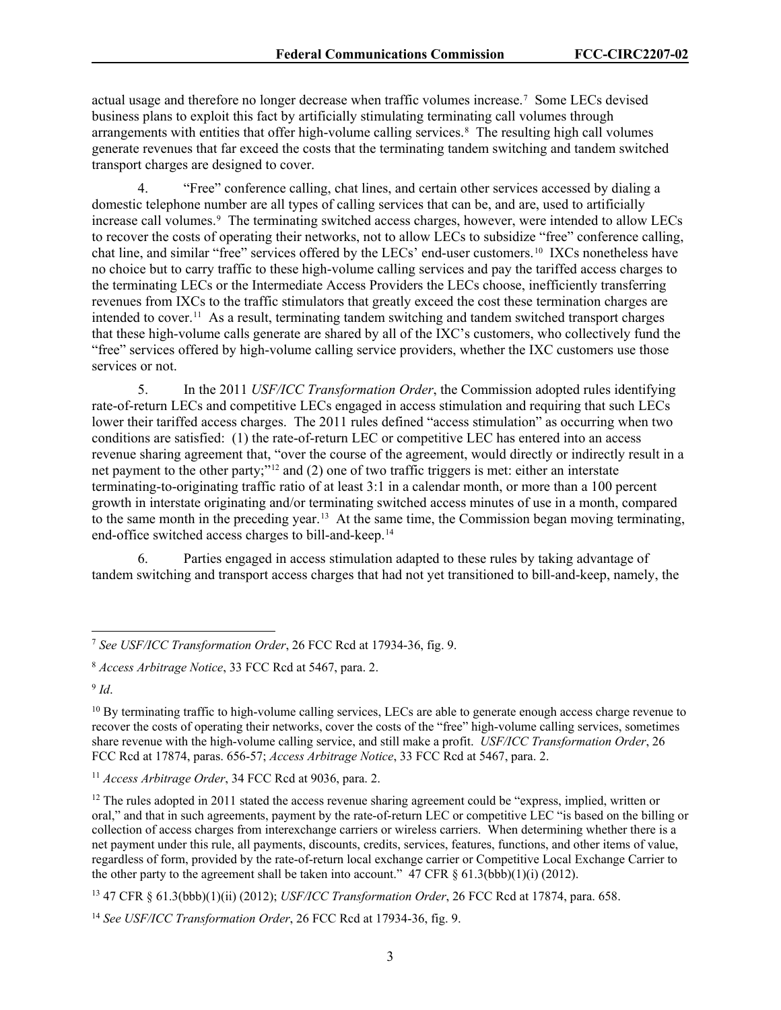actual usage and therefore no longer decrease when traffic volumes increase.[7](#page-3-0) Some LECs devised business plans to exploit this fact by artificially stimulating terminating call volumes through arrangements with entities that offer high-volume calling services. [8](#page-3-1) The resulting high call volumes generate revenues that far exceed the costs that the terminating tandem switching and tandem switched transport charges are designed to cover.

4. "Free" conference calling, chat lines, and certain other services accessed by dialing a domestic telephone number are all types of calling services that can be, and are, used to artificially increase call volumes.<sup>[9](#page-3-2)</sup> The terminating switched access charges, however, were intended to allow LECs to recover the costs of operating their networks, not to allow LECs to subsidize "free" conference calling, chat line, and similar "free" services offered by the LECs' end-user customers.[10](#page-3-3) IXCs nonetheless have no choice but to carry traffic to these high-volume calling services and pay the tariffed access charges to the terminating LECs or the Intermediate Access Providers the LECs choose, inefficiently transferring revenues from IXCs to the traffic stimulators that greatly exceed the cost these termination charges are intended to cover.<sup>[11](#page-3-4)</sup> As a result, terminating tandem switching and tandem switched transport charges that these high-volume calls generate are shared by all of the IXC's customers, who collectively fund the "free" services offered by high-volume calling service providers, whether the IXC customers use those services or not.

5. In the 2011 *USF/ICC Transformation Order*, the Commission adopted rules identifying rate-of-return LECs and competitive LECs engaged in access stimulation and requiring that such LECs lower their tariffed access charges. The 2011 rules defined "access stimulation" as occurring when two conditions are satisfied: (1) the rate-of-return LEC or competitive LEC has entered into an access revenue sharing agreement that, "over the course of the agreement, would directly or indirectly result in a net payment to the other party;"[12](#page-3-5) and (2) one of two traffic triggers is met: either an interstate terminating-to-originating traffic ratio of at least 3:1 in a calendar month, or more than a 100 percent growth in interstate originating and/or terminating switched access minutes of use in a month, compared to the same month in the preceding year.<sup>[13](#page-3-6)</sup> At the same time, the Commission began moving terminating, end-office switched access charges to bill-and-keep.[14](#page-3-7) 

6. Parties engaged in access stimulation adapted to these rules by taking advantage of tandem switching and transport access charges that had not yet transitioned to bill-and-keep, namely, the

<span id="page-3-2"></span><sup>9</sup> *Id*.

<span id="page-3-0"></span><sup>7</sup> *See USF/ICC Transformation Order*, 26 FCC Rcd at 17934-36, fig. 9.

<span id="page-3-1"></span><sup>8</sup> *Access Arbitrage Notice*, 33 FCC Rcd at 5467, para. 2.

<span id="page-3-3"></span> $10$  By terminating traffic to high-volume calling services, LECs are able to generate enough access charge revenue to recover the costs of operating their networks, cover the costs of the "free" high-volume calling services, sometimes share revenue with the high-volume calling service, and still make a profit. *USF/ICC Transformation Order*, 26 FCC Rcd at 17874, paras. 656-57; *Access Arbitrage Notice*, 33 FCC Rcd at 5467, para. 2.

<span id="page-3-4"></span><sup>11</sup> *Access Arbitrage Order*, 34 FCC Rcd at 9036, para. 2.

<span id="page-3-5"></span> $12$  The rules adopted in 2011 stated the access revenue sharing agreement could be "express, implied, written or oral," and that in such agreements, payment by the rate-of-return LEC or competitive LEC "is based on the billing or collection of access charges from interexchange carriers or wireless carriers. When determining whether there is a net payment under this rule, all payments, discounts, credits, services, features, functions, and other items of value, regardless of form, provided by the rate-of-return local exchange carrier or Competitive Local Exchange Carrier to the other party to the agreement shall be taken into account."  $\overline{47}$  CFR § 61.3(bbb)(1)(i) (2012).

<span id="page-3-6"></span><sup>13</sup> 47 CFR § 61.3(bbb)(1)(ii) (2012); *USF/ICC Transformation Order*, 26 FCC Rcd at 17874, para. 658.

<span id="page-3-7"></span><sup>14</sup> *See USF/ICC Transformation Order*, 26 FCC Rcd at 17934-36, fig. 9.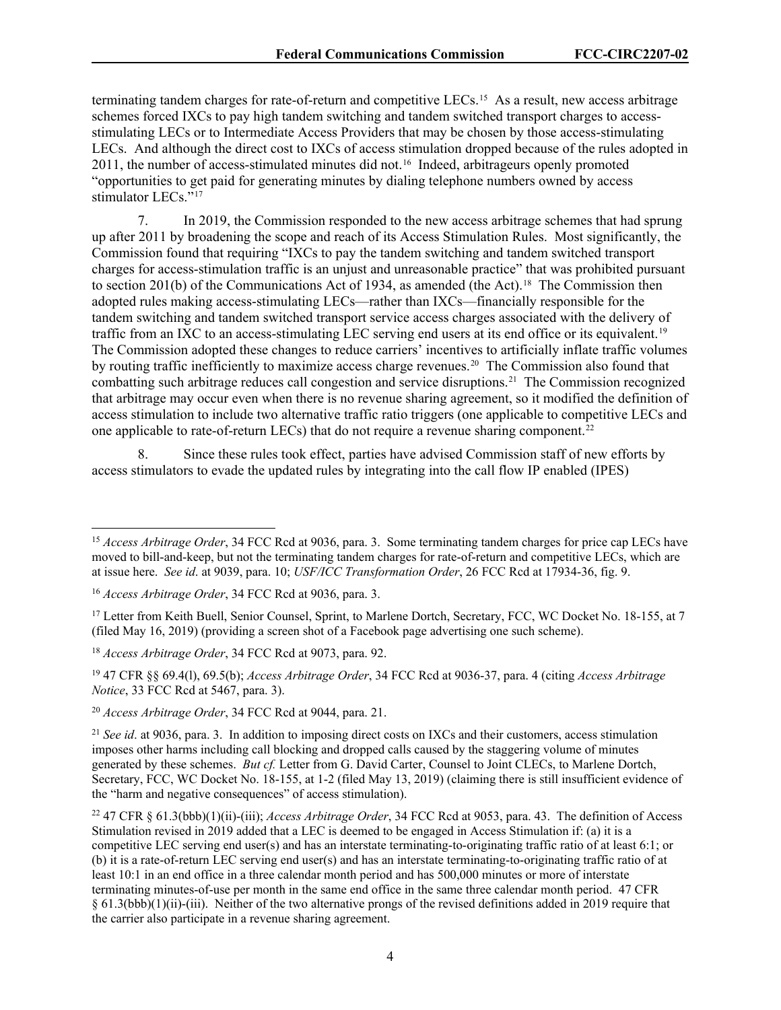terminating tandem charges for rate-of-return and competitive LECs.<sup>[15](#page-4-0)</sup> As a result, new access arbitrage schemes forced IXCs to pay high tandem switching and tandem switched transport charges to accessstimulating LECs or to Intermediate Access Providers that may be chosen by those access-stimulating LECs. And although the direct cost to IXCs of access stimulation dropped because of the rules adopted in 2011, the number of access-stimulated minutes did not.<sup>[16](#page-4-1)</sup> Indeed, arbitrageurs openly promoted "opportunities to get paid for generating minutes by dialing telephone numbers owned by access stimulator LECs."<sup>[17](#page-4-2)</sup>

7. In 2019, the Commission responded to the new access arbitrage schemes that had sprung up after 2011 by broadening the scope and reach of its Access Stimulation Rules. Most significantly, the Commission found that requiring "IXCs to pay the tandem switching and tandem switched transport charges for access-stimulation traffic is an unjust and unreasonable practice" that was prohibited pursuant to section 201(b) of the Communications Act of 1934, as amended (the Act).<sup>18</sup> The Commission then adopted rules making access-stimulating LECs—rather than IXCs—financially responsible for the tandem switching and tandem switched transport service access charges associated with the delivery of traffic from an IXC to an access-stimulating LEC serving end users at its end office or its equivalent.<sup>[19](#page-4-4)</sup> The Commission adopted these changes to reduce carriers' incentives to artificially inflate traffic volumes by routing traffic inefficiently to maximize access charge revenues. [20](#page-4-5) The Commission also found that combatting such arbitrage reduces call congestion and service disruptions.[21](#page-4-6) The Commission recognized that arbitrage may occur even when there is no revenue sharing agreement, so it modified the definition of access stimulation to include two alternative traffic ratio triggers (one applicable to competitive LECs and one applicable to rate-of-return LECs) that do not require a revenue sharing component.<sup>22</sup>

8. Since these rules took effect, parties have advised Commission staff of new efforts by access stimulators to evade the updated rules by integrating into the call flow IP enabled (IPES)

<span id="page-4-5"></span><sup>20</sup> *Access Arbitrage Order*, 34 FCC Rcd at 9044, para. 21.

<span id="page-4-0"></span><sup>&</sup>lt;sup>15</sup> *Access Arbitrage Order*, 34 FCC Rcd at 9036, para. 3. Some terminating tandem charges for price cap LECs have moved to bill-and-keep, but not the terminating tandem charges for rate-of-return and competitive LECs, which are at issue here. *See id*. at 9039, para. 10; *USF/ICC Transformation Order*, 26 FCC Rcd at 17934-36, fig. 9.

<span id="page-4-1"></span><sup>16</sup> *Access Arbitrage Order*, 34 FCC Rcd at 9036, para. 3.

<span id="page-4-2"></span><sup>&</sup>lt;sup>17</sup> Letter from Keith Buell, Senior Counsel, Sprint, to Marlene Dortch, Secretary, FCC, WC Docket No. 18-155, at 7 (filed May 16, 2019) (providing a screen shot of a Facebook page advertising one such scheme).

<span id="page-4-3"></span><sup>18</sup> *Access Arbitrage Order*, 34 FCC Rcd at 9073, para. 92.

<span id="page-4-4"></span><sup>19</sup> 47 CFR §§ 69.4(l), 69.5(b); *Access Arbitrage Order*, 34 FCC Rcd at 9036-37, para. 4 (citing *Access Arbitrage Notice*, 33 FCC Rcd at 5467, para. 3).

<span id="page-4-6"></span><sup>&</sup>lt;sup>21</sup> *See id.* at 9036, para. 3. In addition to imposing direct costs on IXCs and their customers, access stimulation imposes other harms including call blocking and dropped calls caused by the staggering volume of minutes generated by these schemes. *But cf.* Letter from G. David Carter, Counsel to Joint CLECs, to Marlene Dortch, Secretary, FCC, WC Docket No. 18-155, at 1-2 (filed May 13, 2019) (claiming there is still insufficient evidence of the "harm and negative consequences" of access stimulation).

<span id="page-4-7"></span><sup>22</sup> 47 CFR § 61.3(bbb)(1)(ii)-(iii); *Access Arbitrage Order*, 34 FCC Rcd at 9053, para. 43. The definition of Access Stimulation revised in 2019 added that a LEC is deemed to be engaged in Access Stimulation if: (a) it is a competitive LEC serving end user(s) and has an interstate terminating-to-originating traffic ratio of at least 6:1; or (b) it is a rate-of-return LEC serving end user(s) and has an interstate terminating-to-originating traffic ratio of at least 10:1 in an end office in a three calendar month period and has 500,000 minutes or more of interstate terminating minutes-of-use per month in the same end office in the same three calendar month period. 47 CFR § 61.3(bbb)(1)(ii)-(iii). Neither of the two alternative prongs of the revised definitions added in 2019 require that the carrier also participate in a revenue sharing agreement.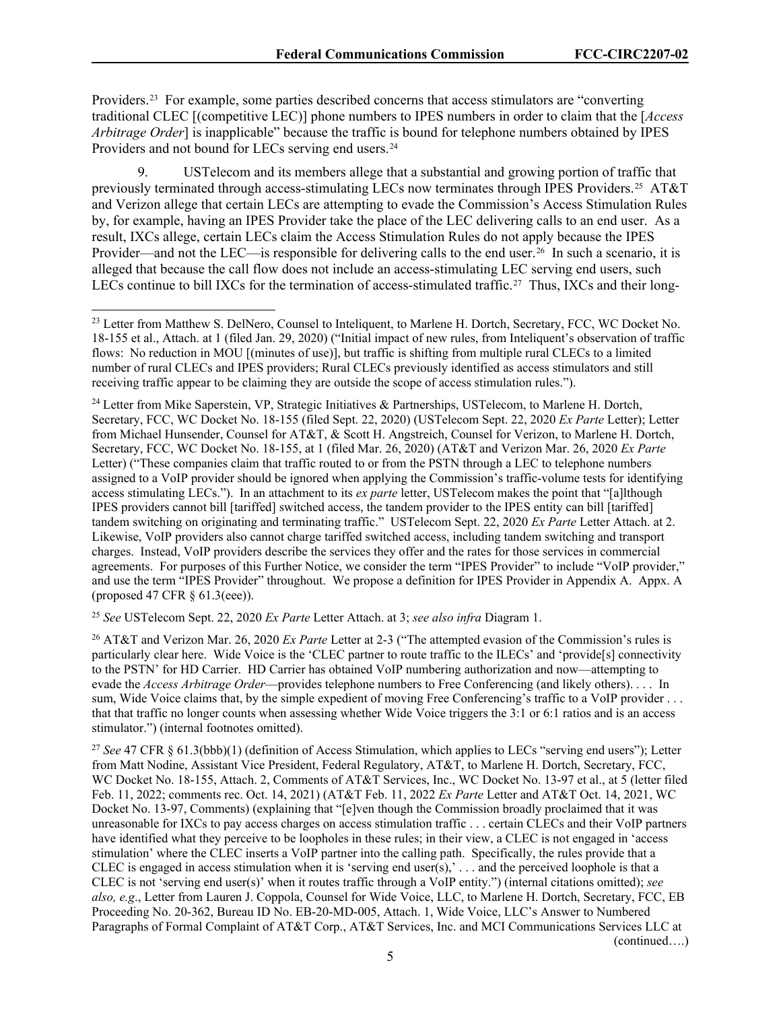Providers.[23](#page-5-0) For example, some parties described concerns that access stimulators are "converting traditional CLEC [(competitive LEC)] phone numbers to IPES numbers in order to claim that the [*Access Arbitrage Order*] is inapplicable" because the traffic is bound for telephone numbers obtained by IPES Providers and not bound for LECs serving end users.<sup>[24](#page-5-1)</sup>

9. USTelecom and its members allege that a substantial and growing portion of traffic that previously terminated through access-stimulating LECs now terminates through IPES Providers.<sup>[25](#page-5-2)</sup> AT&T and Verizon allege that certain LECs are attempting to evade the Commission's Access Stimulation Rules by, for example, having an IPES Provider take the place of the LEC delivering calls to an end user. As a result, IXCs allege, certain LECs claim the Access Stimulation Rules do not apply because the IPES Provider—and not the LEC—is responsible for delivering calls to the end user.<sup>[26](#page-5-3)</sup> In such a scenario, it is alleged that because the call flow does not include an access-stimulating LEC serving end users, such LECs continue to bill IXCs for the termination of access-stimulated traffic.<sup>[27](#page-5-4)</sup> Thus, IXCs and their long-

<span id="page-5-1"></span><sup>24</sup> Letter from Mike Saperstein, VP, Strategic Initiatives & Partnerships, USTelecom, to Marlene H. Dortch, Secretary, FCC, WC Docket No. 18-155 (filed Sept. 22, 2020) (USTelecom Sept. 22, 2020 *Ex Parte* Letter); Letter from Michael Hunsender, Counsel for AT&T, & Scott H. Angstreich, Counsel for Verizon, to Marlene H. Dortch, Secretary, FCC, WC Docket No. 18-155, at 1 (filed Mar. 26, 2020) (AT&T and Verizon Mar. 26, 2020 *Ex Parte*  Letter) ("These companies claim that traffic routed to or from the PSTN through a LEC to telephone numbers assigned to a VoIP provider should be ignored when applying the Commission's traffic-volume tests for identifying access stimulating LECs."). In an attachment to its *ex parte* letter, USTelecom makes the point that "[a]lthough IPES providers cannot bill [tariffed] switched access, the tandem provider to the IPES entity can bill [tariffed] tandem switching on originating and terminating traffic." USTelecom Sept. 22, 2020 *Ex Parte* Letter Attach. at 2. Likewise, VoIP providers also cannot charge tariffed switched access, including tandem switching and transport charges. Instead, VoIP providers describe the services they offer and the rates for those services in commercial agreements. For purposes of this Further Notice, we consider the term "IPES Provider" to include "VoIP provider," and use the term "IPES Provider" throughout. We propose a definition for IPES Provider in Appendix A. Appx. A (proposed 47 CFR § 61.3(eee)).

<span id="page-5-2"></span><sup>25</sup> *See* USTelecom Sept. 22, 2020 *Ex Parte* Letter Attach. at 3; *see also infra* Diagram 1.

<span id="page-5-3"></span><sup>26</sup> AT&T and Verizon Mar. 26, 2020 *Ex Parte* Letter at 2-3 ("The attempted evasion of the Commission's rules is particularly clear here. Wide Voice is the 'CLEC partner to route traffic to the ILECs' and 'provide[s] connectivity to the PSTN' for HD Carrier. HD Carrier has obtained VoIP numbering authorization and now—attempting to evade the *Access Arbitrage Order*—provides telephone numbers to Free Conferencing (and likely others). . . . In sum, Wide Voice claims that, by the simple expedient of moving Free Conferencing's traffic to a VoIP provider ... that that traffic no longer counts when assessing whether Wide Voice triggers the 3:1 or 6:1 ratios and is an access stimulator.") (internal footnotes omitted).

<span id="page-5-4"></span><sup>27</sup> *See* 47 CFR § 61.3(bbb)(1) (definition of Access Stimulation, which applies to LECs "serving end users"); Letter from Matt Nodine, Assistant Vice President, Federal Regulatory, AT&T, to Marlene H. Dortch, Secretary, FCC, WC Docket No. 18-155, Attach. 2, Comments of AT&T Services, Inc., WC Docket No. 13-97 et al., at 5 (letter filed Feb. 11, 2022; comments rec. Oct. 14, 2021) (AT&T Feb. 11, 2022 *Ex Parte* Letter and AT&T Oct. 14, 2021, WC Docket No. 13-97, Comments) (explaining that "[e]ven though the Commission broadly proclaimed that it was unreasonable for IXCs to pay access charges on access stimulation traffic . . . certain CLECs and their VoIP partners have identified what they perceive to be loopholes in these rules; in their view, a CLEC is not engaged in 'access stimulation' where the CLEC inserts a VoIP partner into the calling path. Specifically, the rules provide that a CLEC is engaged in access stimulation when it is 'serving end user $(s)$ ,'... and the perceived loophole is that a CLEC is not 'serving end user(s)' when it routes traffic through a VoIP entity.") (internal citations omitted); *see also, e.g*., Letter from Lauren J. Coppola, Counsel for Wide Voice, LLC, to Marlene H. Dortch, Secretary, FCC, EB Proceeding No. 20-362, Bureau ID No. EB-20-MD-005, Attach. 1, Wide Voice, LLC's Answer to Numbered Paragraphs of Formal Complaint of AT&T Corp., AT&T Services, Inc. and MCI Communications Services LLC at (continued….)

<span id="page-5-0"></span><sup>&</sup>lt;sup>23</sup> Letter from Matthew S. DelNero, Counsel to Inteliquent, to Marlene H. Dortch, Secretary, FCC, WC Docket No. 18-155 et al., Attach. at 1 (filed Jan. 29, 2020) ("Initial impact of new rules, from Inteliquent's observation of traffic flows: No reduction in MOU [(minutes of use)], but traffic is shifting from multiple rural CLECs to a limited number of rural CLECs and IPES providers; Rural CLECs previously identified as access stimulators and still receiving traffic appear to be claiming they are outside the scope of access stimulation rules.").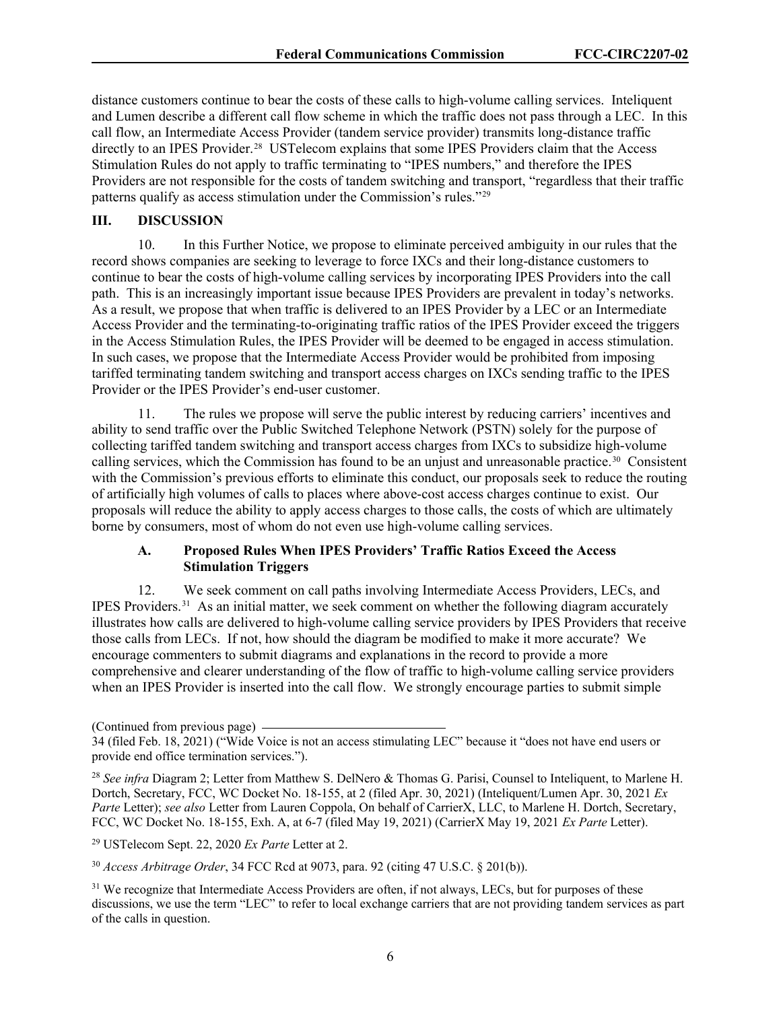distance customers continue to bear the costs of these calls to high-volume calling services. Inteliquent and Lumen describe a different call flow scheme in which the traffic does not pass through a LEC. In this call flow, an Intermediate Access Provider (tandem service provider) transmits long-distance traffic directly to an IPES Provider.<sup>28</sup> USTelecom explains that some IPES Providers claim that the Access Stimulation Rules do not apply to traffic terminating to "IPES numbers," and therefore the IPES Providers are not responsible for the costs of tandem switching and transport, "regardless that their traffic patterns qualify as access stimulation under the Commission's rules."[29](#page-6-1)

#### **III. DISCUSSION**

10. In this Further Notice, we propose to eliminate perceived ambiguity in our rules that the record shows companies are seeking to leverage to force IXCs and their long-distance customers to continue to bear the costs of high-volume calling services by incorporating IPES Providers into the call path. This is an increasingly important issue because IPES Providers are prevalent in today's networks. As a result, we propose that when traffic is delivered to an IPES Provider by a LEC or an Intermediate Access Provider and the terminating-to-originating traffic ratios of the IPES Provider exceed the triggers in the Access Stimulation Rules, the IPES Provider will be deemed to be engaged in access stimulation. In such cases, we propose that the Intermediate Access Provider would be prohibited from imposing tariffed terminating tandem switching and transport access charges on IXCs sending traffic to the IPES Provider or the IPES Provider's end-user customer.

11. The rules we propose will serve the public interest by reducing carriers' incentives and ability to send traffic over the Public Switched Telephone Network (PSTN) solely for the purpose of collecting tariffed tandem switching and transport access charges from IXCs to subsidize high-volume calling services, which the Commission has found to be an unjust and unreasonable practice.<sup>30</sup> Consistent with the Commission's previous efforts to eliminate this conduct, our proposals seek to reduce the routing of artificially high volumes of calls to places where above-cost access charges continue to exist. Our proposals will reduce the ability to apply access charges to those calls, the costs of which are ultimately borne by consumers, most of whom do not even use high-volume calling services.

## **A. Proposed Rules When IPES Providers' Traffic Ratios Exceed the Access Stimulation Triggers**

12. We seek comment on call paths involving Intermediate Access Providers, LECs, and IPES Providers.[31](#page-6-3) As an initial matter, we seek comment on whether the following diagram accurately illustrates how calls are delivered to high-volume calling service providers by IPES Providers that receive those calls from LECs. If not, how should the diagram be modified to make it more accurate? We encourage commenters to submit diagrams and explanations in the record to provide a more comprehensive and clearer understanding of the flow of traffic to high-volume calling service providers when an IPES Provider is inserted into the call flow. We strongly encourage parties to submit simple

<span id="page-6-1"></span><sup>29</sup> USTelecom Sept. 22, 2020 *Ex Parte* Letter at 2.

<span id="page-6-2"></span><sup>30</sup> *Access Arbitrage Order*, 34 FCC Rcd at 9073, para. 92 (citing 47 U.S.C. § 201(b)).

<span id="page-6-3"></span><sup>31</sup> We recognize that Intermediate Access Providers are often, if not always, LECs, but for purposes of these discussions, we use the term "LEC" to refer to local exchange carriers that are not providing tandem services as part of the calls in question.

<sup>(</sup>Continued from previous page)

<sup>34 (</sup>filed Feb. 18, 2021) ("Wide Voice is not an access stimulating LEC" because it "does not have end users or provide end office termination services.").

<span id="page-6-0"></span><sup>28</sup> *See infra* Diagram 2; Letter from Matthew S. DelNero & Thomas G. Parisi, Counsel to Inteliquent, to Marlene H. Dortch, Secretary, FCC, WC Docket No. 18-155, at 2 (filed Apr. 30, 2021) (Inteliquent/Lumen Apr. 30, 2021 *Ex Parte* Letter); *see also* Letter from Lauren Coppola, On behalf of CarrierX, LLC, to Marlene H. Dortch, Secretary, FCC, WC Docket No. 18-155, Exh. A, at 6-7 (filed May 19, 2021) (CarrierX May 19, 2021 *Ex Parte* Letter).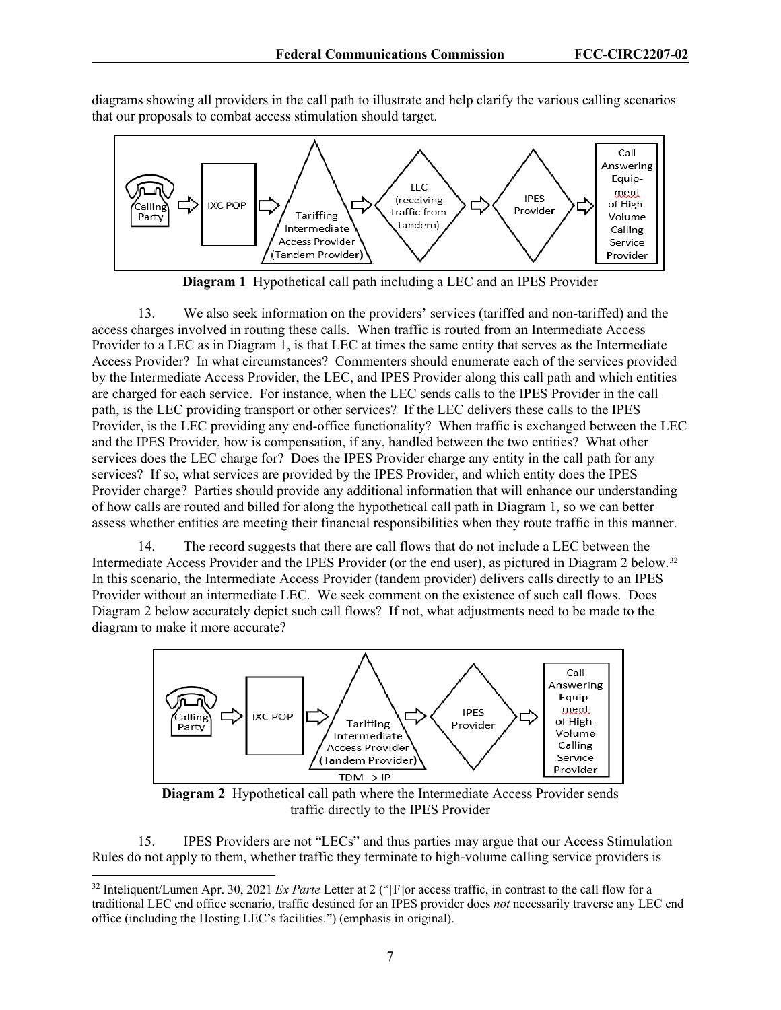diagrams showing all providers in the call path to illustrate and help clarify the various calling scenarios that our proposals to combat access stimulation should target.



**Diagram 1** Hypothetical call path including a LEC and an IPES Provider

13. We also seek information on the providers' services (tariffed and non-tariffed) and the access charges involved in routing these calls. When traffic is routed from an Intermediate Access Provider to a LEC as in Diagram 1, is that LEC at times the same entity that serves as the Intermediate Access Provider? In what circumstances? Commenters should enumerate each of the services provided by the Intermediate Access Provider, the LEC, and IPES Provider along this call path and which entities are charged for each service. For instance, when the LEC sends calls to the IPES Provider in the call path, is the LEC providing transport or other services? If the LEC delivers these calls to the IPES Provider, is the LEC providing any end-office functionality? When traffic is exchanged between the LEC and the IPES Provider, how is compensation, if any, handled between the two entities? What other services does the LEC charge for? Does the IPES Provider charge any entity in the call path for any services? If so, what services are provided by the IPES Provider, and which entity does the IPES Provider charge? Parties should provide any additional information that will enhance our understanding of how calls are routed and billed for along the hypothetical call path in Diagram 1, so we can better assess whether entities are meeting their financial responsibilities when they route traffic in this manner.

14. The record suggests that there are call flows that do not include a LEC between the Intermediate Access Provider and the IPES Provider (or the end user), as pictured in Diagram 2 below.[32](#page-7-0)  In this scenario, the Intermediate Access Provider (tandem provider) delivers calls directly to an IPES Provider without an intermediate LEC. We seek comment on the existence of such call flows. Does Diagram 2 below accurately depict such call flows? If not, what adjustments need to be made to the diagram to make it more accurate?



**Diagram 2** Hypothetical call path where the Intermediate Access Provider sends traffic directly to the IPES Provider

15. IPES Providers are not "LECs" and thus parties may argue that our Access Stimulation Rules do not apply to them, whether traffic they terminate to high-volume calling service providers is

<span id="page-7-0"></span><sup>32</sup> Inteliquent/Lumen Apr. 30, 2021 *Ex Parte* Letter at 2 ("[F]or access traffic, in contrast to the call flow for a traditional LEC end office scenario, traffic destined for an IPES provider does *not* necessarily traverse any LEC end office (including the Hosting LEC's facilities.") (emphasis in original).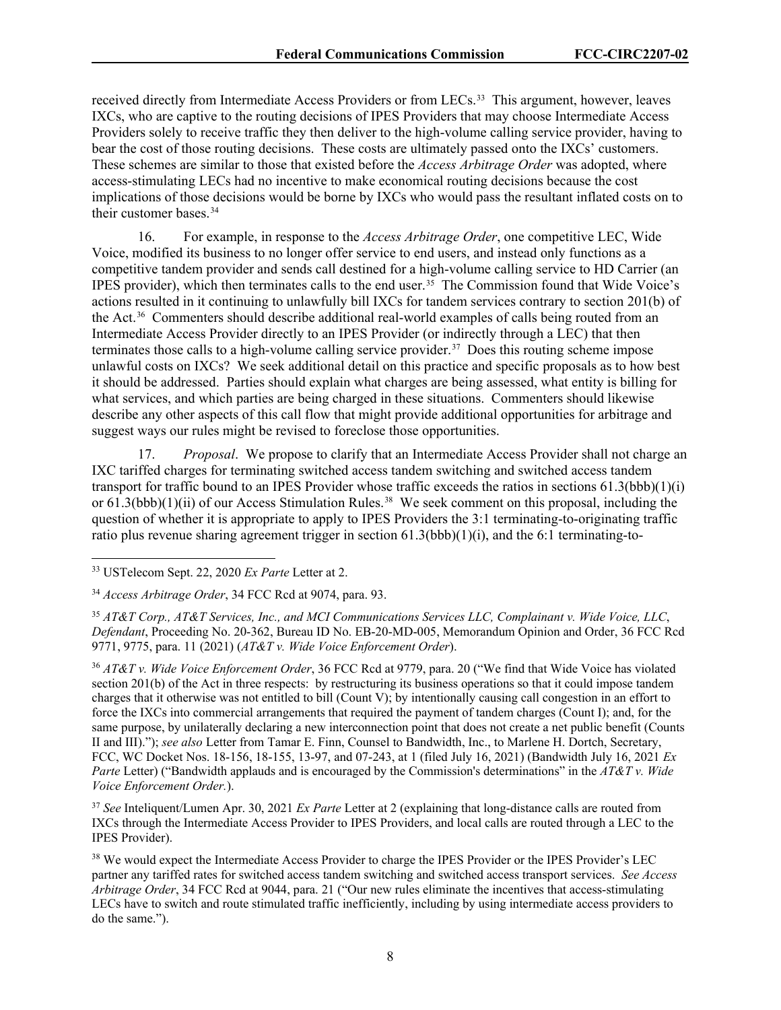received directly from Intermediate Access Providers or from LECs.<sup>[33](#page-8-0)</sup> This argument, however, leaves IXCs, who are captive to the routing decisions of IPES Providers that may choose Intermediate Access Providers solely to receive traffic they then deliver to the high-volume calling service provider, having to bear the cost of those routing decisions. These costs are ultimately passed onto the IXCs' customers. These schemes are similar to those that existed before the *Access Arbitrage Order* was adopted, where access-stimulating LECs had no incentive to make economical routing decisions because the cost implications of those decisions would be borne by IXCs who would pass the resultant inflated costs on to their customer bases. [34](#page-8-1) 

16. For example, in response to the *Access Arbitrage Order*, one competitive LEC, Wide Voice, modified its business to no longer offer service to end users, and instead only functions as a competitive tandem provider and sends call destined for a high-volume calling service to HD Carrier (an IPES provider), which then terminates calls to the end user.[35](#page-8-2) The Commission found that Wide Voice's actions resulted in it continuing to unlawfully bill IXCs for tandem services contrary to section 201(b) of the Act.[36](#page-8-3) Commenters should describe additional real-world examples of calls being routed from an Intermediate Access Provider directly to an IPES Provider (or indirectly through a LEC) that then terminates those calls to a high-volume calling service provider.<sup>37</sup> Does this routing scheme impose unlawful costs on IXCs? We seek additional detail on this practice and specific proposals as to how best it should be addressed. Parties should explain what charges are being assessed, what entity is billing for what services, and which parties are being charged in these situations. Commenters should likewise describe any other aspects of this call flow that might provide additional opportunities for arbitrage and suggest ways our rules might be revised to foreclose those opportunities.

17. *Proposal*. We propose to clarify that an Intermediate Access Provider shall not charge an IXC tariffed charges for terminating switched access tandem switching and switched access tandem transport for traffic bound to an IPES Provider whose traffic exceeds the ratios in sections 61.3(bbb)(1)(i) or 61.3(bbb)(1)(ii) of our Access Stimulation Rules.<sup>[38](#page-8-5)</sup> We seek comment on this proposal, including the question of whether it is appropriate to apply to IPES Providers the 3:1 terminating-to-originating traffic ratio plus revenue sharing agreement trigger in section  $61.3(bbb)(1)(i)$ , and the  $6:1$  terminating-to-

<span id="page-8-3"></span><sup>36</sup> *AT&T v. Wide Voice Enforcement Order*, 36 FCC Rcd at 9779, para. 20 ("We find that Wide Voice has violated section 201(b) of the Act in three respects: by restructuring its business operations so that it could impose tandem charges that it otherwise was not entitled to bill (Count V); by intentionally causing call congestion in an effort to force the IXCs into commercial arrangements that required the payment of tandem charges (Count I); and, for the same purpose, by unilaterally declaring a new interconnection point that does not create a net public benefit (Counts II and III)."); *see also* Letter from Tamar E. Finn, Counsel to Bandwidth, Inc., to Marlene H. Dortch, Secretary, FCC, WC Docket Nos. 18-156, 18-155, 13-97, and 07-243, at 1 (filed July 16, 2021) (Bandwidth July 16, 2021 *Ex Parte* Letter) ("Bandwidth applauds and is encouraged by the Commission's determinations" in the *AT&T v. Wide Voice Enforcement Order.*).

<span id="page-8-4"></span><sup>37</sup> *See* Inteliquent/Lumen Apr. 30, 2021 *Ex Parte* Letter at 2 (explaining that long-distance calls are routed from IXCs through the Intermediate Access Provider to IPES Providers, and local calls are routed through a LEC to the IPES Provider).

<span id="page-8-5"></span><sup>38</sup> We would expect the Intermediate Access Provider to charge the IPES Provider or the IPES Provider's LEC partner any tariffed rates for switched access tandem switching and switched access transport services. *See Access Arbitrage Order*, 34 FCC Rcd at 9044, para. 21 ("Our new rules eliminate the incentives that access-stimulating LECs have to switch and route stimulated traffic inefficiently, including by using intermediate access providers to do the same.").

<span id="page-8-0"></span><sup>33</sup> USTelecom Sept. 22, 2020 *Ex Parte* Letter at 2.

<span id="page-8-1"></span><sup>34</sup> *Access Arbitrage Order*, 34 FCC Rcd at 9074, para. 93.

<span id="page-8-2"></span><sup>35</sup> *AT&T Corp., AT&T Services, Inc., and MCI Communications Services LLC, Complainant v. Wide Voice, LLC*, *Defendant*, Proceeding No. 20-362, Bureau ID No. EB-20-MD-005, Memorandum Opinion and Order, 36 FCC Rcd 9771, 9775, para. 11 (2021) (*AT&T v. Wide Voice Enforcement Order*).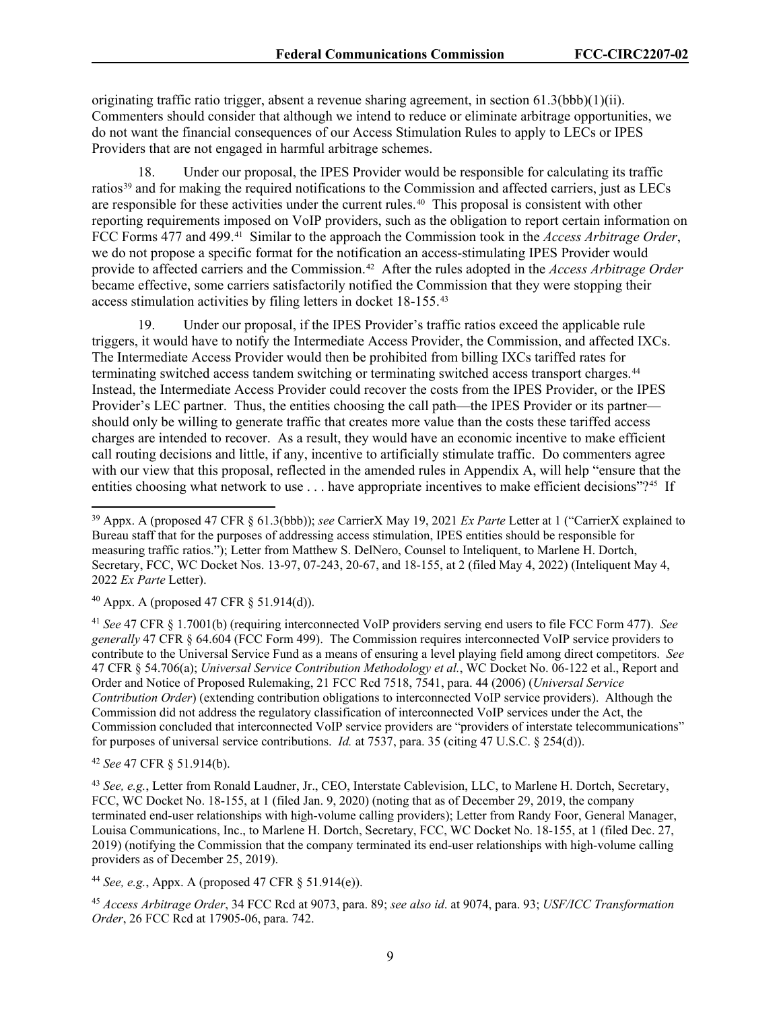originating traffic ratio trigger, absent a revenue sharing agreement, in section  $61.3(bbb)(1)(ii)$ . Commenters should consider that although we intend to reduce or eliminate arbitrage opportunities, we do not want the financial consequences of our Access Stimulation Rules to apply to LECs or IPES Providers that are not engaged in harmful arbitrage schemes.

18. Under our proposal, the IPES Provider would be responsible for calculating its traffic ratios<sup>[39](#page-9-0)</sup> and for making the required notifications to the Commission and affected carriers, just as LECs are responsible for these activities under the current rules.<sup>[40](#page-9-1)</sup> This proposal is consistent with other reporting requirements imposed on VoIP providers, such as the obligation to report certain information on FCC Forms 477 and 499.[41](#page-9-2) Similar to the approach the Commission took in the *Access Arbitrage Order*, we do not propose a specific format for the notification an access-stimulating IPES Provider would provide to affected carriers and the Commission.<sup>42</sup> After the rules adopted in the *Access Arbitrage Order* became effective, some carriers satisfactorily notified the Commission that they were stopping their access stimulation activities by filing letters in docket 18-155. [43](#page-9-4)

19. Under our proposal, if the IPES Provider's traffic ratios exceed the applicable rule triggers, it would have to notify the Intermediate Access Provider, the Commission, and affected IXCs. The Intermediate Access Provider would then be prohibited from billing IXCs tariffed rates for terminating switched access tandem switching or terminating switched access transport charges.[44](#page-9-5) Instead, the Intermediate Access Provider could recover the costs from the IPES Provider, or the IPES Provider's LEC partner. Thus, the entities choosing the call path—the IPES Provider or its partner should only be willing to generate traffic that creates more value than the costs these tariffed access charges are intended to recover. As a result, they would have an economic incentive to make efficient call routing decisions and little, if any, incentive to artificially stimulate traffic. Do commenters agree with our view that this proposal, reflected in the amended rules in Appendix A, will help "ensure that the entities choosing what network to use . . . have appropriate incentives to make efficient decisions"?<sup>45</sup> If

<span id="page-9-1"></span> $^{40}$  Appx. A (proposed 47 CFR § 51.914(d)).

<span id="page-9-2"></span><sup>41</sup> *See* 47 CFR § 1.7001(b) (requiring interconnected VoIP providers serving end users to file FCC Form 477). *See generally* 47 CFR § 64.604 (FCC Form 499). The Commission requires interconnected VoIP service providers to contribute to the Universal Service Fund as a means of ensuring a level playing field among direct competitors. *See* 47 CFR § 54.706(a); *Universal Service Contribution Methodology et al.*, WC Docket No. 06-122 et al., Report and Order and Notice of Proposed Rulemaking, 21 FCC Rcd 7518, 7541, para. 44 (2006) (*Universal Service Contribution Order*) (extending contribution obligations to interconnected VoIP service providers). Although the Commission did not address the regulatory classification of interconnected VoIP services under the Act, the Commission concluded that interconnected VoIP service providers are "providers of interstate telecommunications" for purposes of universal service contributions. *Id.* at 7537, para. 35 (citing 47 U.S.C. § 254(d)).

<span id="page-9-3"></span><sup>42</sup> *See* 47 CFR § 51.914(b).

<span id="page-9-4"></span><sup>43</sup> *See, e.g.*, Letter from Ronald Laudner, Jr., CEO, Interstate Cablevision, LLC, to Marlene H. Dortch, Secretary, FCC, WC Docket No. 18-155, at 1 (filed Jan. 9, 2020) (noting that as of December 29, 2019, the company terminated end-user relationships with high-volume calling providers); Letter from Randy Foor, General Manager, Louisa Communications, Inc., to Marlene H. Dortch, Secretary, FCC, WC Docket No. 18-155, at 1 (filed Dec. 27, 2019) (notifying the Commission that the company terminated its end-user relationships with high-volume calling providers as of December 25, 2019).

<span id="page-9-5"></span><sup>44</sup> *See, e.g.*, Appx. A (proposed 47 CFR § 51.914(e)).

<span id="page-9-6"></span><sup>45</sup> *Access Arbitrage Order*, 34 FCC Rcd at 9073, para. 89; *see also id*. at 9074, para. 93; *USF/ICC Transformation Order*, 26 FCC Rcd at 17905-06, para. 742.

<span id="page-9-0"></span><sup>39</sup> Appx. A (proposed 47 CFR § 61.3(bbb)); *see* CarrierX May 19, 2021 *Ex Parte* Letter at 1 ("CarrierX explained to Bureau staff that for the purposes of addressing access stimulation, IPES entities should be responsible for measuring traffic ratios."); Letter from Matthew S. DelNero, Counsel to Inteliquent, to Marlene H. Dortch, Secretary, FCC, WC Docket Nos. 13-97, 07-243, 20-67, and 18-155, at 2 (filed May 4, 2022) (Inteliquent May 4, 2022 *Ex Parte* Letter).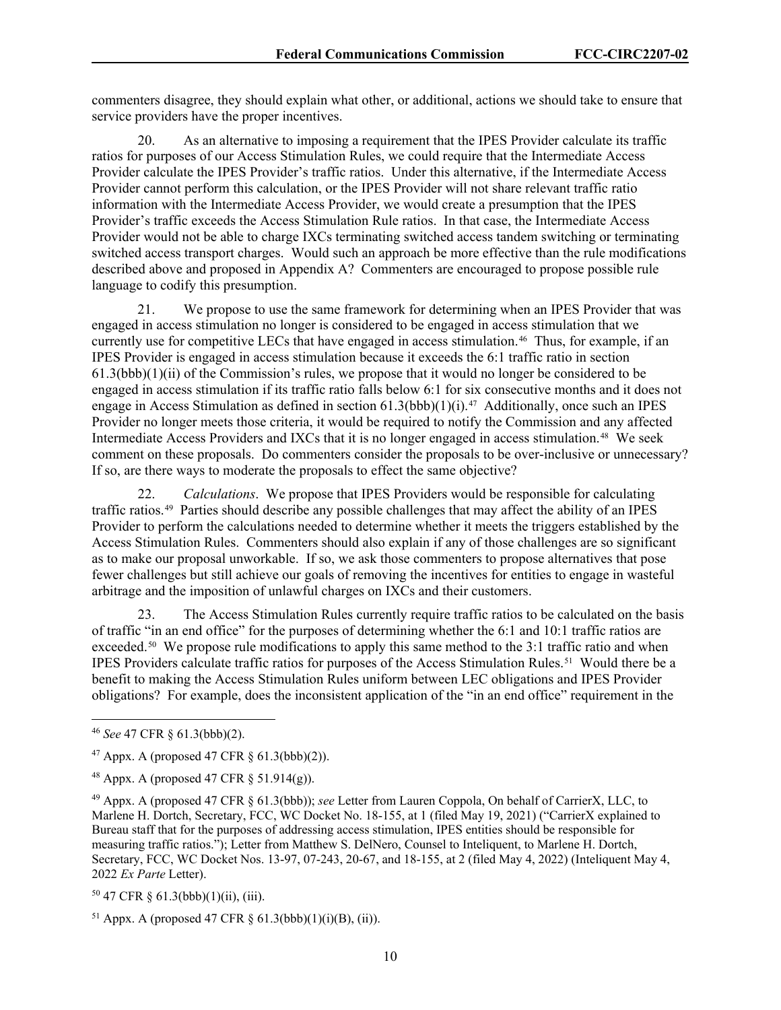commenters disagree, they should explain what other, or additional, actions we should take to ensure that service providers have the proper incentives.

20. As an alternative to imposing a requirement that the IPES Provider calculate its traffic ratios for purposes of our Access Stimulation Rules, we could require that the Intermediate Access Provider calculate the IPES Provider's traffic ratios. Under this alternative, if the Intermediate Access Provider cannot perform this calculation, or the IPES Provider will not share relevant traffic ratio information with the Intermediate Access Provider, we would create a presumption that the IPES Provider's traffic exceeds the Access Stimulation Rule ratios. In that case, the Intermediate Access Provider would not be able to charge IXCs terminating switched access tandem switching or terminating switched access transport charges. Would such an approach be more effective than the rule modifications described above and proposed in Appendix A? Commenters are encouraged to propose possible rule language to codify this presumption.

21. We propose to use the same framework for determining when an IPES Provider that was engaged in access stimulation no longer is considered to be engaged in access stimulation that we currently use for competitive LECs that have engaged in access stimulation. [46](#page-10-0) Thus, for example, if an IPES Provider is engaged in access stimulation because it exceeds the 6:1 traffic ratio in section 61.3(bbb)(1)(ii) of the Commission's rules, we propose that it would no longer be considered to be engaged in access stimulation if its traffic ratio falls below 6:1 for six consecutive months and it does not engage in Access Stimulation as defined in section  $61.3(bbb)(1)(i).$ <sup>[47](#page-10-1)</sup> Additionally, once such an IPES Provider no longer meets those criteria, it would be required to notify the Commission and any affected Intermediate Access Providers and IXCs that it is no longer engaged in access stimulation. [48](#page-10-2) We seek comment on these proposals. Do commenters consider the proposals to be over-inclusive or unnecessary? If so, are there ways to moderate the proposals to effect the same objective?

22. *Calculations*. We propose that IPES Providers would be responsible for calculating traffic ratios.[49](#page-10-3) Parties should describe any possible challenges that may affect the ability of an IPES Provider to perform the calculations needed to determine whether it meets the triggers established by the Access Stimulation Rules. Commenters should also explain if any of those challenges are so significant as to make our proposal unworkable. If so, we ask those commenters to propose alternatives that pose fewer challenges but still achieve our goals of removing the incentives for entities to engage in wasteful arbitrage and the imposition of unlawful charges on IXCs and their customers.

23. The Access Stimulation Rules currently require traffic ratios to be calculated on the basis of traffic "in an end office" for the purposes of determining whether the 6:1 and 10:1 traffic ratios are exceeded.<sup>50</sup> We propose rule modifications to apply this same method to the 3:1 traffic ratio and when IPES Providers calculate traffic ratios for purposes of the Access Stimulation Rules.[51](#page-10-5) Would there be a benefit to making the Access Stimulation Rules uniform between LEC obligations and IPES Provider obligations? For example, does the inconsistent application of the "in an end office" requirement in the

<span id="page-10-4"></span> $50$  47 CFR § 61.3(bbb)(1)(ii), (iii).

<span id="page-10-0"></span><sup>46</sup> *See* 47 CFR § 61.3(bbb)(2).

<span id="page-10-1"></span><sup>&</sup>lt;sup>47</sup> Appx. A (proposed 47 CFR  $\S$  61.3(bbb)(2)).

<span id="page-10-2"></span><sup>&</sup>lt;sup>48</sup> Appx. A (proposed 47 CFR  $\S$  51.914(g)).

<span id="page-10-3"></span><sup>49</sup> Appx. A (proposed 47 CFR § 61.3(bbb)); *see* Letter from Lauren Coppola, On behalf of CarrierX, LLC, to Marlene H. Dortch, Secretary, FCC, WC Docket No. 18-155, at 1 (filed May 19, 2021) ("CarrierX explained to Bureau staff that for the purposes of addressing access stimulation, IPES entities should be responsible for measuring traffic ratios."); Letter from Matthew S. DelNero, Counsel to Inteliquent, to Marlene H. Dortch, Secretary, FCC, WC Docket Nos. 13-97, 07-243, 20-67, and 18-155, at 2 (filed May 4, 2022) (Inteliquent May 4, 2022 *Ex Parte* Letter).

<span id="page-10-5"></span><sup>&</sup>lt;sup>51</sup> Appx. A (proposed 47 CFR  $\S$  61.3(bbb)(1)(i)(B), (ii)).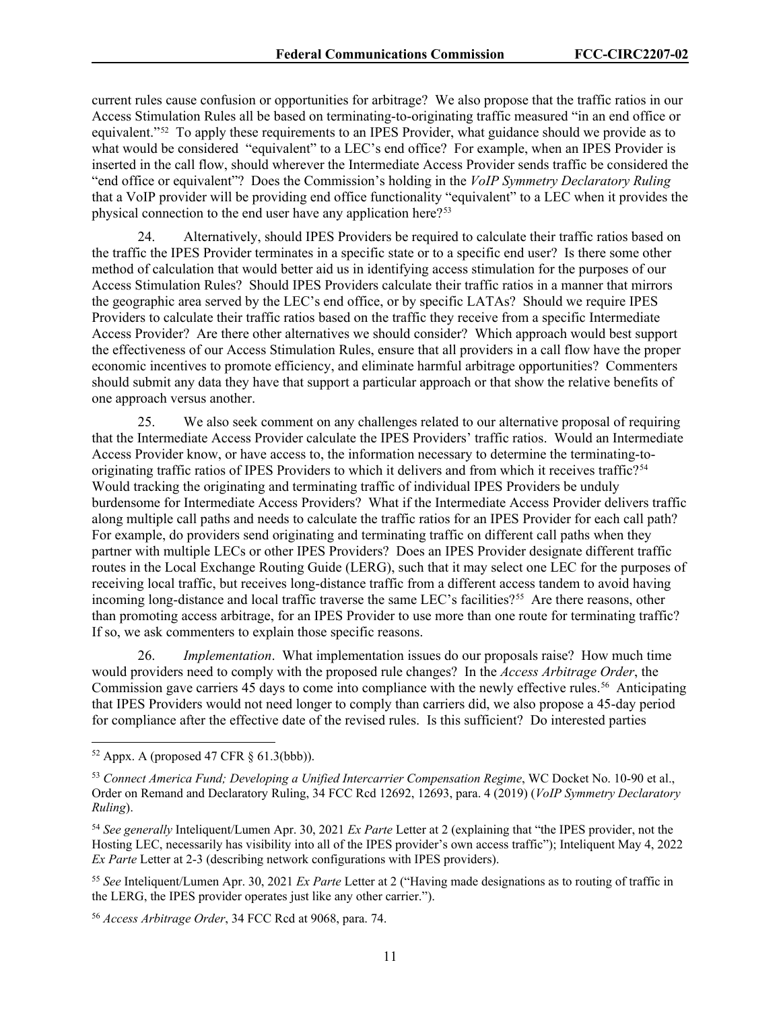current rules cause confusion or opportunities for arbitrage? We also propose that the traffic ratios in our Access Stimulation Rules all be based on terminating-to-originating traffic measured "in an end office or equivalent."<sup>[52](#page-11-0)</sup> To apply these requirements to an IPES Provider, what guidance should we provide as to what would be considered "equivalent" to a LEC's end office? For example, when an IPES Provider is inserted in the call flow, should wherever the Intermediate Access Provider sends traffic be considered the "end office or equivalent"? Does the Commission's holding in the *VoIP Symmetry Declaratory Ruling* that a VoIP provider will be providing end office functionality "equivalent" to a LEC when it provides the physical connection to the end user have any application here?<sup>[53](#page-11-1)</sup>

24. Alternatively, should IPES Providers be required to calculate their traffic ratios based on the traffic the IPES Provider terminates in a specific state or to a specific end user? Is there some other method of calculation that would better aid us in identifying access stimulation for the purposes of our Access Stimulation Rules? Should IPES Providers calculate their traffic ratios in a manner that mirrors the geographic area served by the LEC's end office, or by specific LATAs? Should we require IPES Providers to calculate their traffic ratios based on the traffic they receive from a specific Intermediate Access Provider? Are there other alternatives we should consider? Which approach would best support the effectiveness of our Access Stimulation Rules, ensure that all providers in a call flow have the proper economic incentives to promote efficiency, and eliminate harmful arbitrage opportunities? Commenters should submit any data they have that support a particular approach or that show the relative benefits of one approach versus another.

25. We also seek comment on any challenges related to our alternative proposal of requiring that the Intermediate Access Provider calculate the IPES Providers' traffic ratios. Would an Intermediate Access Provider know, or have access to, the information necessary to determine the terminating-to-originating traffic ratios of IPES Providers to which it delivers and from which it receives traffic?<sup>[54](#page-11-2)</sup> Would tracking the originating and terminating traffic of individual IPES Providers be unduly burdensome for Intermediate Access Providers? What if the Intermediate Access Provider delivers traffic along multiple call paths and needs to calculate the traffic ratios for an IPES Provider for each call path? For example, do providers send originating and terminating traffic on different call paths when they partner with multiple LECs or other IPES Providers? Does an IPES Provider designate different traffic routes in the Local Exchange Routing Guide (LERG), such that it may select one LEC for the purposes of receiving local traffic, but receives long-distance traffic from a different access tandem to avoid having incoming long-distance and local traffic traverse the same LEC's facilities?<sup>[55](#page-11-3)</sup> Are there reasons, other than promoting access arbitrage, for an IPES Provider to use more than one route for terminating traffic? If so, we ask commenters to explain those specific reasons.

26. *Implementation*. What implementation issues do our proposals raise? How much time would providers need to comply with the proposed rule changes? In the *Access Arbitrage Order*, the Commission gave carriers 45 days to come into compliance with the newly effective rules.<sup>56</sup> Anticipating that IPES Providers would not need longer to comply than carriers did, we also propose a 45-day period for compliance after the effective date of the revised rules. Is this sufficient? Do interested parties

<span id="page-11-3"></span><sup>55</sup> *See* Inteliquent/Lumen Apr. 30, 2021 *Ex Parte* Letter at 2 ("Having made designations as to routing of traffic in the LERG, the IPES provider operates just like any other carrier.").

<span id="page-11-0"></span> $52$  Appx. A (proposed 47 CFR  $\S$  61.3(bbb)).

<span id="page-11-1"></span><sup>53</sup> *Connect America Fund; Developing a Unified Intercarrier Compensation Regime*, WC Docket No. 10-90 et al., Order on Remand and Declaratory Ruling, 34 FCC Rcd 12692, 12693, para. 4 (2019) (*VoIP Symmetry Declaratory Ruling*).

<span id="page-11-2"></span><sup>54</sup> *See generally* Inteliquent/Lumen Apr. 30, 2021 *Ex Parte* Letter at 2 (explaining that "the IPES provider, not the Hosting LEC, necessarily has visibility into all of the IPES provider's own access traffic"); Inteliquent May 4, 2022 *Ex Parte* Letter at 2-3 (describing network configurations with IPES providers).

<span id="page-11-4"></span><sup>56</sup> *Access Arbitrage Order*, 34 FCC Rcd at 9068, para. 74.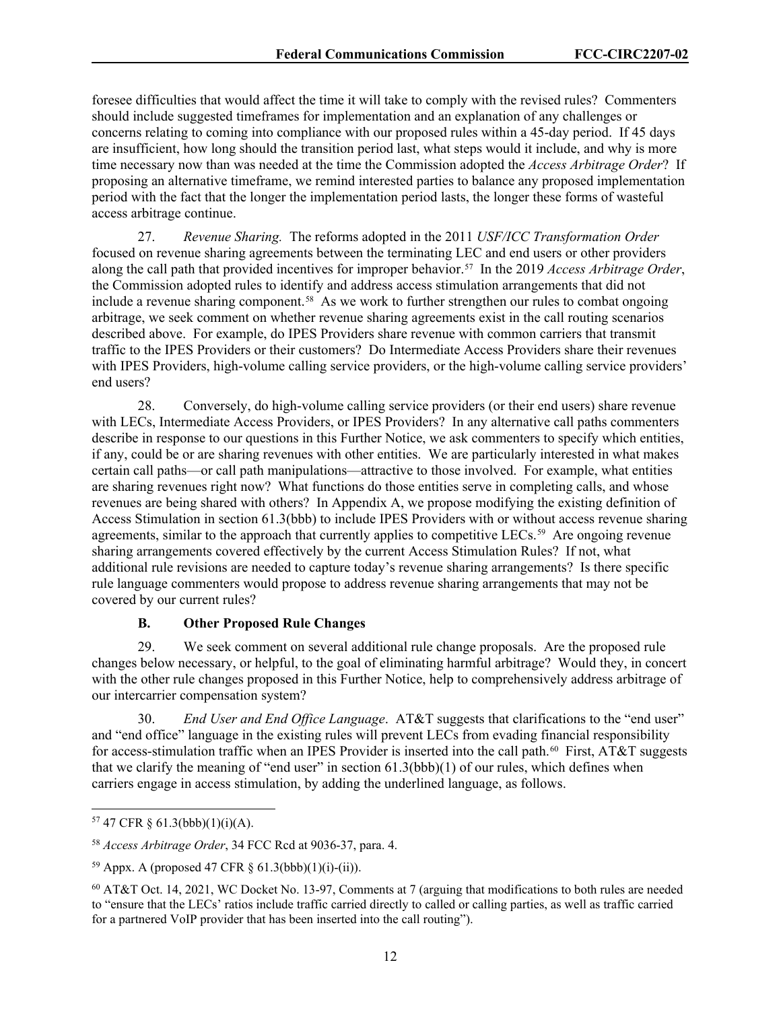foresee difficulties that would affect the time it will take to comply with the revised rules? Commenters should include suggested timeframes for implementation and an explanation of any challenges or concerns relating to coming into compliance with our proposed rules within a 45-day period. If 45 days are insufficient, how long should the transition period last, what steps would it include, and why is more time necessary now than was needed at the time the Commission adopted the *Access Arbitrage Order*? If proposing an alternative timeframe, we remind interested parties to balance any proposed implementation period with the fact that the longer the implementation period lasts, the longer these forms of wasteful access arbitrage continue.

27. *Revenue Sharing.* The reforms adopted in the 2011 *USF/ICC Transformation Order* focused on revenue sharing agreements between the terminating LEC and end users or other providers along the call path that provided incentives for improper behavior. [57](#page-12-0) In the 2019 *Access Arbitrage Order*, the Commission adopted rules to identify and address access stimulation arrangements that did not include a revenue sharing component.<sup>[58](#page-12-1)</sup> As we work to further strengthen our rules to combat ongoing arbitrage, we seek comment on whether revenue sharing agreements exist in the call routing scenarios described above. For example, do IPES Providers share revenue with common carriers that transmit traffic to the IPES Providers or their customers? Do Intermediate Access Providers share their revenues with IPES Providers, high-volume calling service providers, or the high-volume calling service providers' end users?

28. Conversely, do high-volume calling service providers (or their end users) share revenue with LECs, Intermediate Access Providers, or IPES Providers? In any alternative call paths commenters describe in response to our questions in this Further Notice, we ask commenters to specify which entities, if any, could be or are sharing revenues with other entities. We are particularly interested in what makes certain call paths—or call path manipulations—attractive to those involved. For example, what entities are sharing revenues right now? What functions do those entities serve in completing calls, and whose revenues are being shared with others? In Appendix A, we propose modifying the existing definition of Access Stimulation in section 61.3(bbb) to include IPES Providers with or without access revenue sharing agreements, similar to the approach that currently applies to competitive LECs.<sup>59</sup> Are ongoing revenue sharing arrangements covered effectively by the current Access Stimulation Rules? If not, what additional rule revisions are needed to capture today's revenue sharing arrangements? Is there specific rule language commenters would propose to address revenue sharing arrangements that may not be covered by our current rules?

#### **B. Other Proposed Rule Changes**

29. We seek comment on several additional rule change proposals. Are the proposed rule changes below necessary, or helpful, to the goal of eliminating harmful arbitrage? Would they, in concert with the other rule changes proposed in this Further Notice, help to comprehensively address arbitrage of our intercarrier compensation system?

30. *End User and End Office Language*. AT&T suggests that clarifications to the "end user" and "end office" language in the existing rules will prevent LECs from evading financial responsibility for access-stimulation traffic when an IPES Provider is inserted into the call path.<sup>60</sup> First, AT&T suggests that we clarify the meaning of "end user" in section  $61.3(bbb)(1)$  of our rules, which defines when carriers engage in access stimulation, by adding the underlined language, as follows.

<span id="page-12-0"></span> $57$  47 CFR § 61.3(bbb)(1)(i)(A).

<span id="page-12-1"></span><sup>58</sup> *Access Arbitrage Order*, 34 FCC Rcd at 9036-37, para. 4.

<span id="page-12-2"></span> $59$  Appx. A (proposed 47 CFR § 61.3(bbb)(1)(i)-(ii)).

<span id="page-12-3"></span><sup>60</sup> AT&T Oct. 14, 2021, WC Docket No. 13-97, Comments at 7 (arguing that modifications to both rules are needed to "ensure that the LECs' ratios include traffic carried directly to called or calling parties, as well as traffic carried for a partnered VoIP provider that has been inserted into the call routing").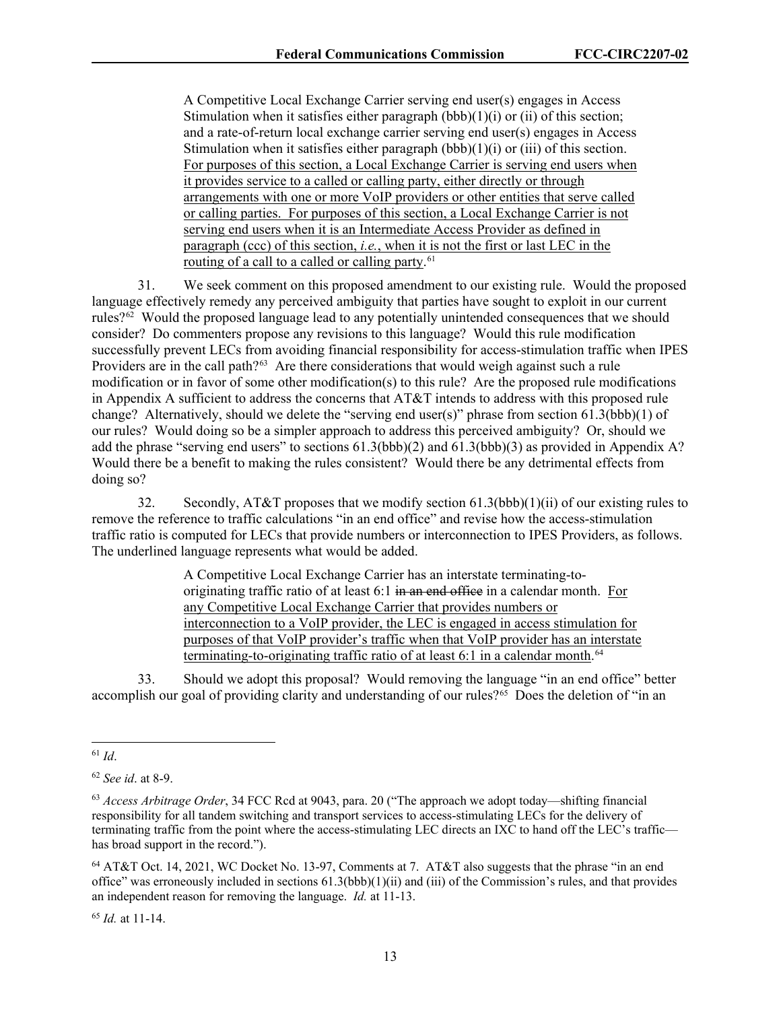A Competitive Local Exchange Carrier serving end user(s) engages in Access Stimulation when it satisfies either paragraph  $(bbb)(1)(i)$  or  $(ii)$  of this section; and a rate-of-return local exchange carrier serving end user(s) engages in Access Stimulation when it satisfies either paragraph  $(bbb)(1)(i)$  or  $(iii)$  of this section. For purposes of this section, a Local Exchange Carrier is serving end users when it provides service to a called or calling party, either directly or through arrangements with one or more VoIP providers or other entities that serve called or calling parties. For purposes of this section, a Local Exchange Carrier is not serving end users when it is an Intermediate Access Provider as defined in paragraph (ccc) of this section, *i.e.*, when it is not the first or last LEC in the routing of a call to a called or calling party.<sup>61</sup>

31. We seek comment on this proposed amendment to our existing rule. Would the proposed language effectively remedy any perceived ambiguity that parties have sought to exploit in our current rules? $62$  Would the proposed language lead to any potentially unintended consequences that we should consider? Do commenters propose any revisions to this language? Would this rule modification successfully prevent LECs from avoiding financial responsibility for access-stimulation traffic when IPES Providers are in the call path?<sup>[63](#page-13-2)</sup> Are there considerations that would weigh against such a rule modification or in favor of some other modification(s) to this rule? Are the proposed rule modifications in Appendix A sufficient to address the concerns that AT&T intends to address with this proposed rule change? Alternatively, should we delete the "serving end user(s)" phrase from section 61.3(bbb)(1) of our rules? Would doing so be a simpler approach to address this perceived ambiguity? Or, should we add the phrase "serving end users" to sections 61.3(bbb)(2) and 61.3(bbb)(3) as provided in Appendix A? Would there be a benefit to making the rules consistent? Would there be any detrimental effects from doing so?

32. Secondly, AT&T proposes that we modify section  $61.3(bbb)(1)(ii)$  of our existing rules to remove the reference to traffic calculations "in an end office" and revise how the access-stimulation traffic ratio is computed for LECs that provide numbers or interconnection to IPES Providers, as follows. The underlined language represents what would be added.

> A Competitive Local Exchange Carrier has an interstate terminating-tooriginating traffic ratio of at least 6:1 in an end office in a calendar month. For any Competitive Local Exchange Carrier that provides numbers or interconnection to a VoIP provider, the LEC is engaged in access stimulation for purposes of that VoIP provider's traffic when that VoIP provider has an interstate terminating-to-originating traffic ratio of at least 6:1 in a calendar month. [64](#page-13-3)

33. Should we adopt this proposal? Would removing the language "in an end office" better accomplish our goal of providing clarity and understanding of our rules?<sup>[65](#page-13-4)</sup> Does the deletion of "in an

<span id="page-13-4"></span><sup>65</sup> *Id.* at 11-14.

<span id="page-13-0"></span><sup>61</sup> *Id*.

<span id="page-13-1"></span><sup>62</sup> *See id*. at 8-9.

<span id="page-13-2"></span><sup>63</sup> *Access Arbitrage Order*, 34 FCC Rcd at 9043, para. 20 ("The approach we adopt today—shifting financial responsibility for all tandem switching and transport services to access-stimulating LECs for the delivery of terminating traffic from the point where the access-stimulating LEC directs an IXC to hand off the LEC's traffic has broad support in the record.").

<span id="page-13-3"></span><sup>64</sup> AT&T Oct. 14, 2021, WC Docket No. 13-97, Comments at 7. AT&T also suggests that the phrase "in an end office" was erroneously included in sections  $61.3(bbb)(1)(ii)$  and (iii) of the Commission's rules, and that provides an independent reason for removing the language. *Id.* at 11-13.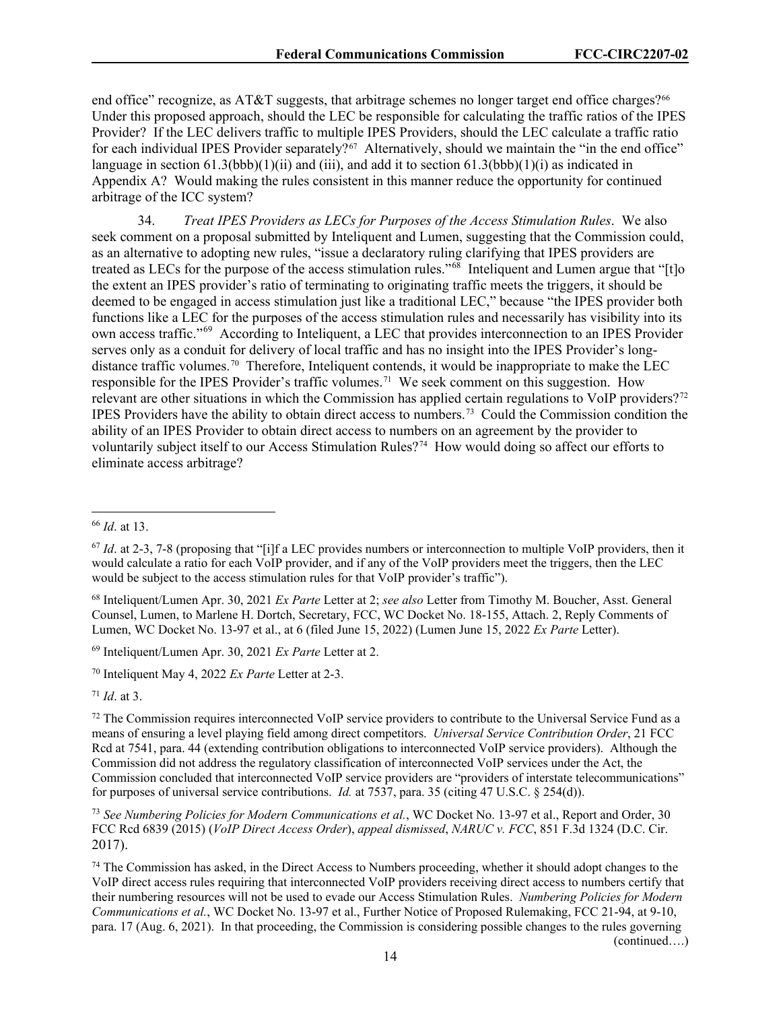end office" recognize, as AT&T suggests, that arbitrage schemes no longer target end office charges?<sup>[66](#page-14-0)</sup> Under this proposed approach, should the LEC be responsible for calculating the traffic ratios of the IPES Provider? If the LEC delivers traffic to multiple IPES Providers, should the LEC calculate a traffic ratio for each individual IPES Provider separately? $67$  Alternatively, should we maintain the "in the end office" language in section  $61.3(bbb)(1)(ii)$  and (iii), and add it to section  $61.3(bbb)(1)(i)$  as indicated in Appendix A? Would making the rules consistent in this manner reduce the opportunity for continued arbitrage of the ICC system?

34. *Treat IPES Providers as LECs for Purposes of the Access Stimulation Rules*. We also seek comment on a proposal submitted by Inteliquent and Lumen, suggesting that the Commission could, as an alternative to adopting new rules, "issue a declaratory ruling clarifying that IPES providers are treated as LECs for the purpose of the access stimulation rules."[68](#page-14-2) Inteliquent and Lumen argue that "[t]o the extent an IPES provider's ratio of terminating to originating traffic meets the triggers, it should be deemed to be engaged in access stimulation just like a traditional LEC," because "the IPES provider both functions like a LEC for the purposes of the access stimulation rules and necessarily has visibility into its own access traffic."[69](#page-14-3) According to Inteliquent, a LEC that provides interconnection to an IPES Provider serves only as a conduit for delivery of local traffic and has no insight into the IPES Provider's long-distance traffic volumes.<sup>[70](#page-14-4)</sup> Therefore, Inteliquent contends, it would be inappropriate to make the LEC responsible for the IPES Provider's traffic volumes.<sup>[71](#page-14-5)</sup> We seek comment on this suggestion. How relevant are other situations in which the Commission has applied certain regulations to VoIP providers?[72](#page-14-6)  IPES Providers have the ability to obtain direct access to numbers.[73](#page-14-7) Could the Commission condition the ability of an IPES Provider to obtain direct access to numbers on an agreement by the provider to voluntarily subject itself to our Access Stimulation Rules?[74](#page-14-8) How would doing so affect our efforts to eliminate access arbitrage?

<span id="page-14-3"></span><sup>69</sup> Inteliquent/Lumen Apr. 30, 2021 *Ex Parte* Letter at 2.

<span id="page-14-4"></span><sup>70</sup> Inteliquent May 4, 2022 *Ex Parte* Letter at 2-3.

<span id="page-14-5"></span><sup>71</sup> *Id*. at 3.

<span id="page-14-0"></span><sup>66</sup> *Id*. at 13.

<span id="page-14-1"></span> $67$  *Id.* at 2-3, 7-8 (proposing that "[i]f a LEC provides numbers or interconnection to multiple VoIP providers, then it would calculate a ratio for each VoIP provider, and if any of the VoIP providers meet the triggers, then the LEC would be subject to the access stimulation rules for that VoIP provider's traffic").

<span id="page-14-2"></span><sup>68</sup> Inteliquent/Lumen Apr. 30, 2021 *Ex Parte* Letter at 2; *see also* Letter from Timothy M. Boucher, Asst. General Counsel, Lumen, to Marlene H. Dortch, Secretary, FCC, WC Docket No. 18-155, Attach. 2, Reply Comments of Lumen, WC Docket No. 13-97 et al., at 6 (filed June 15, 2022) (Lumen June 15, 2022 *Ex Parte* Letter).

<span id="page-14-6"></span> $72$  The Commission requires interconnected VoIP service providers to contribute to the Universal Service Fund as a means of ensuring a level playing field among direct competitors. *Universal Service Contribution Order*, 21 FCC Rcd at 7541, para. 44 (extending contribution obligations to interconnected VoIP service providers). Although the Commission did not address the regulatory classification of interconnected VoIP services under the Act, the Commission concluded that interconnected VoIP service providers are "providers of interstate telecommunications" for purposes of universal service contributions. *Id.* at 7537, para. 35 (citing 47 U.S.C. § 254(d)).

<span id="page-14-7"></span><sup>73</sup> *See Numbering Policies for Modern Communications et al.*, WC Docket No. 13-97 et al., Report and Order, 30 FCC Rcd 6839 (2015) (*VoIP Direct Access Order*), *appeal dismissed*, *NARUC v. FCC*, 851 F.3d 1324 (D.C. Cir. 2017).

<span id="page-14-8"></span><sup>74</sup> The Commission has asked, in the Direct Access to Numbers proceeding, whether it should adopt changes to the VoIP direct access rules requiring that interconnected VoIP providers receiving direct access to numbers certify that their numbering resources will not be used to evade our Access Stimulation Rules. *Numbering Policies for Modern Communications et al.*, WC Docket No. 13-97 et al., Further Notice of Proposed Rulemaking, FCC 21-94, at 9-10, para. 17 (Aug. 6, 2021). In that proceeding, the Commission is considering possible changes to the rules governing (continued….)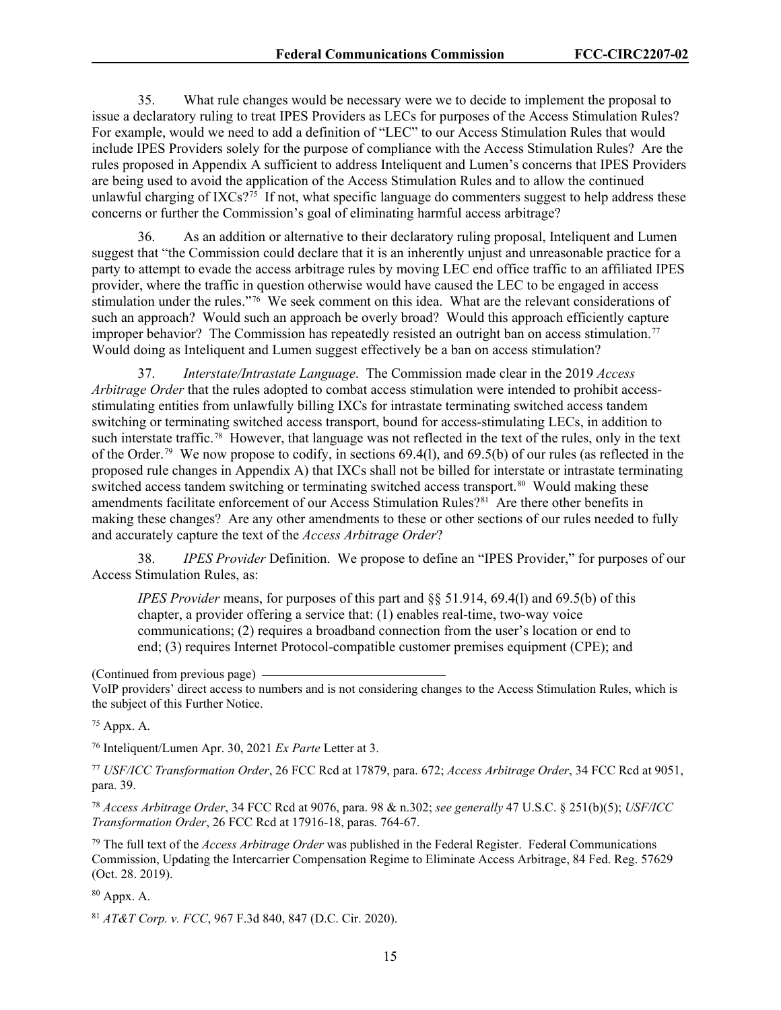35. What rule changes would be necessary were we to decide to implement the proposal to issue a declaratory ruling to treat IPES Providers as LECs for purposes of the Access Stimulation Rules? For example, would we need to add a definition of "LEC" to our Access Stimulation Rules that would include IPES Providers solely for the purpose of compliance with the Access Stimulation Rules? Are the rules proposed in Appendix A sufficient to address Inteliquent and Lumen's concerns that IPES Providers are being used to avoid the application of the Access Stimulation Rules and to allow the continued unlawful charging of IXCs?<sup>[75](#page-15-0)</sup> If not, what specific language do commenters suggest to help address these concerns or further the Commission's goal of eliminating harmful access arbitrage?

36. As an addition or alternative to their declaratory ruling proposal, Inteliquent and Lumen suggest that "the Commission could declare that it is an inherently unjust and unreasonable practice for a party to attempt to evade the access arbitrage rules by moving LEC end office traffic to an affiliated IPES provider, where the traffic in question otherwise would have caused the LEC to be engaged in access stimulation under the rules."[76](#page-15-1) We seek comment on this idea. What are the relevant considerations of such an approach? Would such an approach be overly broad? Would this approach efficiently capture improper behavior? The Commission has repeatedly resisted an outright ban on access stimulation.[77](#page-15-2)  Would doing as Inteliquent and Lumen suggest effectively be a ban on access stimulation?

37. *Interstate/Intrastate Language*. The Commission made clear in the 2019 *Access Arbitrage Order* that the rules adopted to combat access stimulation were intended to prohibit accessstimulating entities from unlawfully billing IXCs for intrastate terminating switched access tandem switching or terminating switched access transport, bound for access-stimulating LECs, in addition to such interstate traffic.<sup>78</sup> However, that language was not reflected in the text of the rules, only in the text of the Order.[79](#page-15-4) We now propose to codify, in sections 69.4(l), and 69.5(b) of our rules (as reflected in the proposed rule changes in Appendix A) that IXCs shall not be billed for interstate or intrastate terminating switched access tandem switching or terminating switched access transport.<sup>[80](#page-15-5)</sup> Would making these amendments facilitate enforcement of our Access Stimulation Rules?<sup>81</sup> Are there other benefits in making these changes? Are any other amendments to these or other sections of our rules needed to fully and accurately capture the text of the *Access Arbitrage Order*?

38. *IPES Provider* Definition. We propose to define an "IPES Provider," for purposes of our Access Stimulation Rules, as:

*IPES Provider* means, for purposes of this part and §§ 51.914, 69.4(l) and 69.5(b) of this chapter, a provider offering a service that: (1) enables real-time, two-way voice communications; (2) requires a broadband connection from the user's location or end to end; (3) requires Internet Protocol-compatible customer premises equipment (CPE); and

<span id="page-15-0"></span><sup>75</sup> Appx. A.

<span id="page-15-1"></span><sup>76</sup> Inteliquent/Lumen Apr. 30, 2021 *Ex Parte* Letter at 3.

<span id="page-15-2"></span><sup>77</sup> *USF/ICC Transformation Order*, 26 FCC Rcd at 17879, para. 672; *Access Arbitrage Order*, 34 FCC Rcd at 9051, para. 39.

<span id="page-15-3"></span><sup>78</sup> *Access Arbitrage Order*, 34 FCC Rcd at 9076, para. 98 & n.302; *see generally* 47 U.S.C. § 251(b)(5); *USF/ICC Transformation Order*, 26 FCC Rcd at 17916-18, paras. 764-67.

<span id="page-15-4"></span><sup>79</sup> The full text of the *Access Arbitrage Order* was published in the Federal Register. Federal Communications Commission, Updating the Intercarrier Compensation Regime to Eliminate Access Arbitrage, 84 Fed. Reg. 57629 (Oct. 28. 2019).

<span id="page-15-5"></span><sup>80</sup> Appx. A.

<span id="page-15-6"></span><sup>81</sup> *AT&T Corp. v. FCC*, 967 F.3d 840, 847 (D.C. Cir. 2020).

<sup>(</sup>Continued from previous page)

VoIP providers' direct access to numbers and is not considering changes to the Access Stimulation Rules, which is the subject of this Further Notice.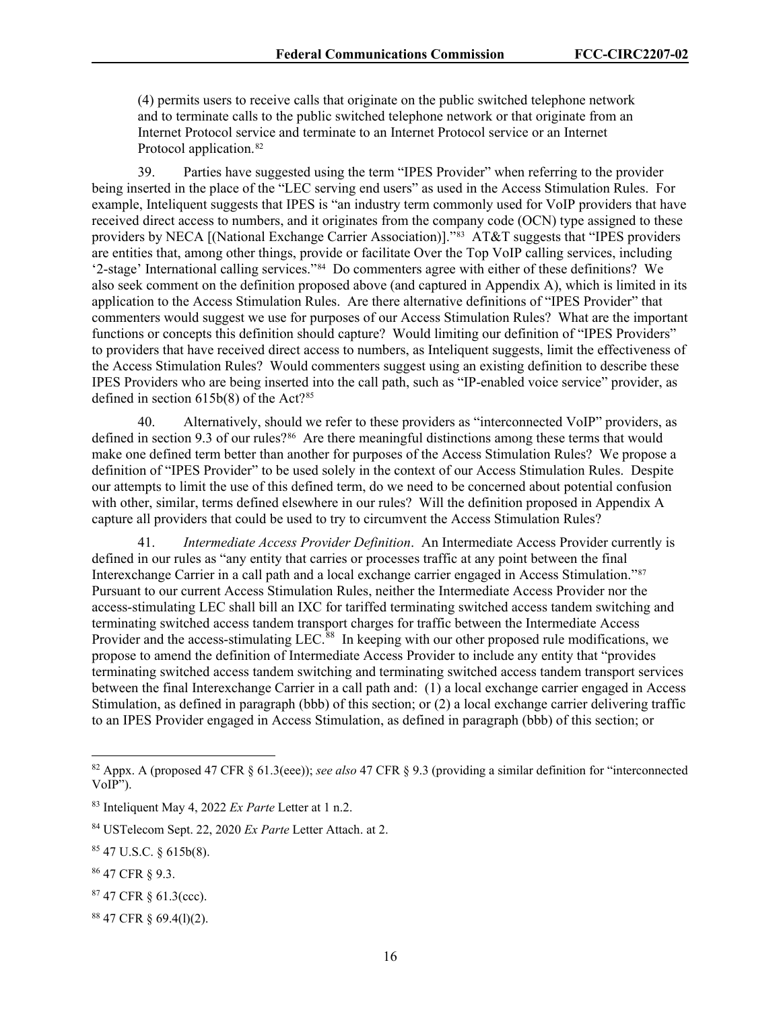(4) permits users to receive calls that originate on the public switched telephone network and to terminate calls to the public switched telephone network or that originate from an Internet Protocol service and terminate to an Internet Protocol service or an Internet Protocol application. [82](#page-16-0)

39. Parties have suggested using the term "IPES Provider" when referring to the provider being inserted in the place of the "LEC serving end users" as used in the Access Stimulation Rules. For example, Inteliquent suggests that IPES is "an industry term commonly used for VoIP providers that have received direct access to numbers, and it originates from the company code (OCN) type assigned to these providers by NECA [(National Exchange Carrier Association)]."<sup>[83](#page-16-1)</sup> AT&T suggests that "IPES providers are entities that, among other things, provide or facilitate Over the Top VoIP calling services, including '2-stage' International calling services."[84](#page-16-2) Do commenters agree with either of these definitions? We also seek comment on the definition proposed above (and captured in Appendix A), which is limited in its application to the Access Stimulation Rules. Are there alternative definitions of "IPES Provider" that commenters would suggest we use for purposes of our Access Stimulation Rules? What are the important functions or concepts this definition should capture? Would limiting our definition of "IPES Providers" to providers that have received direct access to numbers, as Inteliquent suggests, limit the effectiveness of the Access Stimulation Rules? Would commenters suggest using an existing definition to describe these IPES Providers who are being inserted into the call path, such as "IP-enabled voice service" provider, as defined in section  $615b(8)$  of the Act?<sup>[85](#page-16-3)</sup>

40. Alternatively, should we refer to these providers as "interconnected VoIP" providers, as defined in section 9.3 of our rules?<sup>[86](#page-16-4)</sup> Are there meaningful distinctions among these terms that would make one defined term better than another for purposes of the Access Stimulation Rules? We propose a definition of "IPES Provider" to be used solely in the context of our Access Stimulation Rules. Despite our attempts to limit the use of this defined term, do we need to be concerned about potential confusion with other, similar, terms defined elsewhere in our rules? Will the definition proposed in Appendix A capture all providers that could be used to try to circumvent the Access Stimulation Rules?

41. *Intermediate Access Provider Definition*. An Intermediate Access Provider currently is defined in our rules as "any entity that carries or processes traffic at any point between the final Interexchange Carrier in a call path and a local exchange carrier engaged in Access Stimulation."[87](#page-16-5) Pursuant to our current Access Stimulation Rules, neither the Intermediate Access Provider nor the access-stimulating LEC shall bill an IXC for tariffed terminating switched access tandem switching and terminating switched access tandem transport charges for traffic between the Intermediate Access Provider and the access-stimulating LEC.<sup>88</sup> In keeping with our other proposed rule modifications, we propose to amend the definition of Intermediate Access Provider to include any entity that "provides terminating switched access tandem switching and terminating switched access tandem transport services between the final Interexchange Carrier in a call path and: (1) a local exchange carrier engaged in Access Stimulation, as defined in paragraph (bbb) of this section; or (2) a local exchange carrier delivering traffic to an IPES Provider engaged in Access Stimulation, as defined in paragraph (bbb) of this section; or

<span id="page-16-0"></span><sup>82</sup> Appx. A (proposed 47 CFR § 61.3(eee)); *see also* 47 CFR § 9.3 (providing a similar definition for "interconnected VoIP").

<span id="page-16-1"></span><sup>83</sup> Inteliquent May 4, 2022 *Ex Parte* Letter at 1 n.2.

<span id="page-16-2"></span><sup>84</sup> USTelecom Sept. 22, 2020 *Ex Parte* Letter Attach. at 2.

<span id="page-16-3"></span><sup>85</sup> 47 U.S.C. § 615b(8).

<span id="page-16-4"></span><sup>86</sup> 47 CFR § 9.3.

<span id="page-16-5"></span><sup>87</sup> 47 CFR § 61.3(ccc).

<span id="page-16-6"></span><sup>88</sup> 47 CFR § 69.4(l)(2).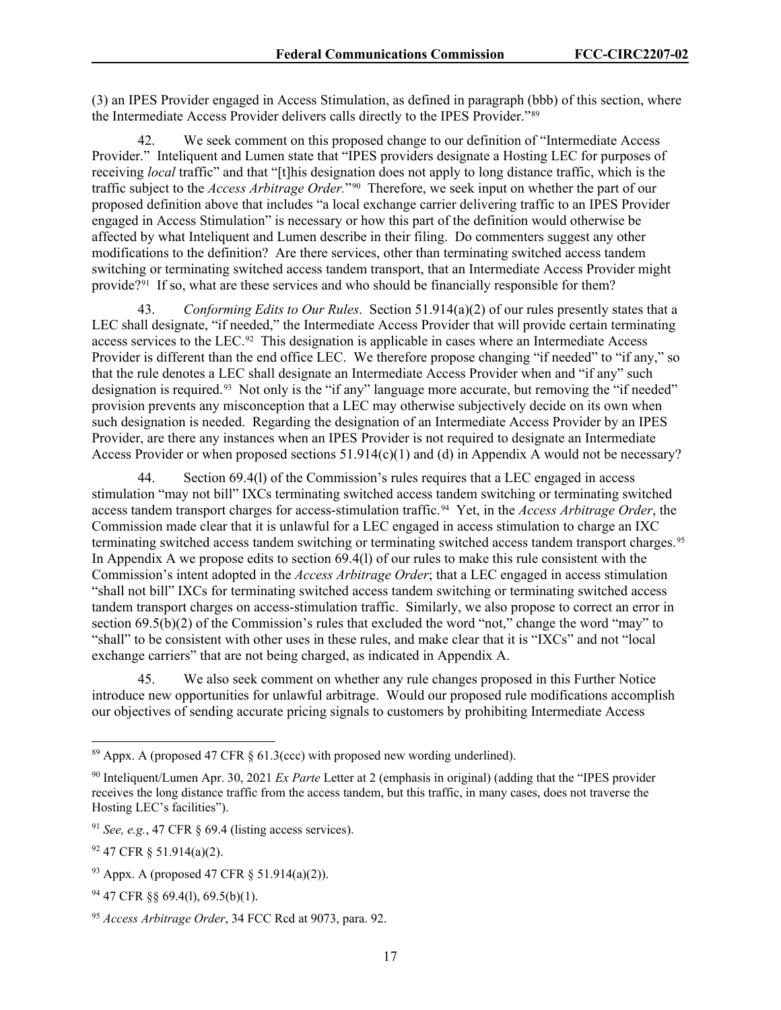(3) an IPES Provider engaged in Access Stimulation, as defined in paragraph (bbb) of this section, where the Intermediate Access Provider delivers calls directly to the IPES Provider."[89](#page-17-0)

42. We seek comment on this proposed change to our definition of "Intermediate Access Provider." Inteliquent and Lumen state that "IPES providers designate a Hosting LEC for purposes of receiving *local* traffic" and that "[t]his designation does not apply to long distance traffic, which is the traffic subject to the *Access Arbitrage Order.*"[90](#page-17-1) Therefore, we seek input on whether the part of our proposed definition above that includes "a local exchange carrier delivering traffic to an IPES Provider engaged in Access Stimulation" is necessary or how this part of the definition would otherwise be affected by what Inteliquent and Lumen describe in their filing. Do commenters suggest any other modifications to the definition? Are there services, other than terminating switched access tandem switching or terminating switched access tandem transport, that an Intermediate Access Provider might provide?[91](#page-17-2) If so, what are these services and who should be financially responsible for them?

43. *Conforming Edits to Our Rules*. Section 51.914(a)(2) of our rules presently states that a LEC shall designate, "if needed," the Intermediate Access Provider that will provide certain terminating access services to the LEC.<sup>[92](#page-17-3)</sup> This designation is applicable in cases where an Intermediate Access Provider is different than the end office LEC. We therefore propose changing "if needed" to "if any," so that the rule denotes a LEC shall designate an Intermediate Access Provider when and "if any" such designation is required.<sup>93</sup> Not only is the "if any" language more accurate, but removing the "if needed" provision prevents any misconception that a LEC may otherwise subjectively decide on its own when such designation is needed. Regarding the designation of an Intermediate Access Provider by an IPES Provider, are there any instances when an IPES Provider is not required to designate an Intermediate Access Provider or when proposed sections  $51.914(c)(1)$  and (d) in Appendix A would not be necessary?

44. Section 69.4(l) of the Commission's rules requires that a LEC engaged in access stimulation "may not bill" IXCs terminating switched access tandem switching or terminating switched access tandem transport charges for access-stimulation traffic.[94](#page-17-5) Yet, in the *Access Arbitrage Order*, the Commission made clear that it is unlawful for a LEC engaged in access stimulation to charge an IXC terminating switched access tandem switching or terminating switched access tandem transport charges.[95](#page-17-6) In Appendix A we propose edits to section 69.4(l) of our rules to make this rule consistent with the Commission's intent adopted in the *Access Arbitrage Order*; that a LEC engaged in access stimulation "shall not bill" IXCs for terminating switched access tandem switching or terminating switched access tandem transport charges on access-stimulation traffic. Similarly, we also propose to correct an error in section 69.5(b)(2) of the Commission's rules that excluded the word "not," change the word "may" to "shall" to be consistent with other uses in these rules, and make clear that it is "IXCs" and not "local exchange carriers" that are not being charged, as indicated in Appendix A.

45. We also seek comment on whether any rule changes proposed in this Further Notice introduce new opportunities for unlawful arbitrage. Would our proposed rule modifications accomplish our objectives of sending accurate pricing signals to customers by prohibiting Intermediate Access

<span id="page-17-0"></span><sup>&</sup>lt;sup>89</sup> Appx. A (proposed 47 CFR  $\S 61.3$  (ccc) with proposed new wording underlined).

<span id="page-17-1"></span><sup>90</sup> Inteliquent/Lumen Apr. 30, 2021 *Ex Parte* Letter at 2 (emphasis in original) (adding that the "IPES provider receives the long distance traffic from the access tandem, but this traffic, in many cases, does not traverse the Hosting LEC's facilities").

<span id="page-17-2"></span><sup>91</sup> *See, e.g.*, 47 CFR § 69.4 (listing access services).

<span id="page-17-3"></span><sup>92</sup> 47 CFR § 51.914(a)(2).

<span id="page-17-4"></span> $93$  Appx. A (proposed 47 CFR  $\S$  51.914(a)(2)).

<span id="page-17-5"></span><sup>94</sup> 47 CFR §§ 69.4(l), 69.5(b)(1).

<span id="page-17-6"></span><sup>95</sup> *Access Arbitrage Order*, 34 FCC Rcd at 9073, para. 92.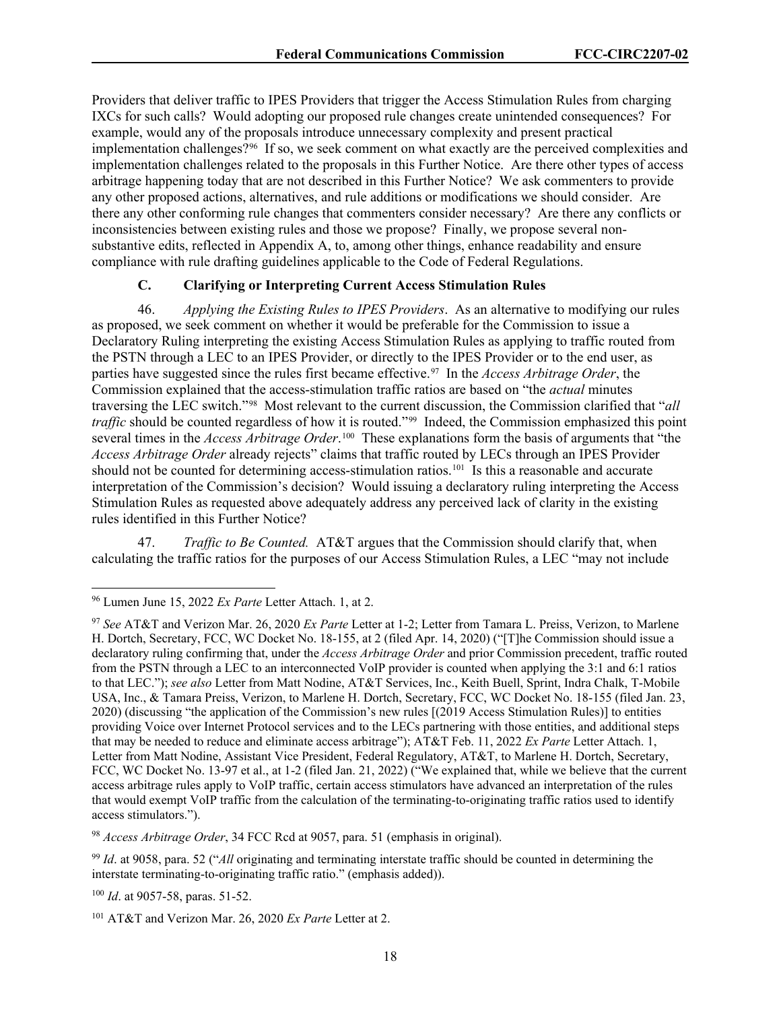Providers that deliver traffic to IPES Providers that trigger the Access Stimulation Rules from charging IXCs for such calls? Would adopting our proposed rule changes create unintended consequences? For example, would any of the proposals introduce unnecessary complexity and present practical implementation challenges?[96](#page-18-0) If so, we seek comment on what exactly are the perceived complexities and implementation challenges related to the proposals in this Further Notice. Are there other types of access arbitrage happening today that are not described in this Further Notice? We ask commenters to provide any other proposed actions, alternatives, and rule additions or modifications we should consider. Are there any other conforming rule changes that commenters consider necessary? Are there any conflicts or inconsistencies between existing rules and those we propose? Finally, we propose several nonsubstantive edits, reflected in Appendix A, to, among other things, enhance readability and ensure compliance with rule drafting guidelines applicable to the Code of Federal Regulations.

## **C. Clarifying or Interpreting Current Access Stimulation Rules**

46. *Applying the Existing Rules to IPES Providers*.As an alternative to modifying our rules as proposed, we seek comment on whether it would be preferable for the Commission to issue a Declaratory Ruling interpreting the existing Access Stimulation Rules as applying to traffic routed from the PSTN through a LEC to an IPES Provider, or directly to the IPES Provider or to the end user, as parties have suggested since the rules first became effective.<sup>[97](#page-18-1)</sup> In the *Access Arbitrage Order*, the Commission explained that the access-stimulation traffic ratios are based on "the *actual* minutes traversing the LEC switch."[98](#page-18-2) Most relevant to the current discussion, the Commission clarified that "*all traffic* should be counted regardless of how it is routed."<sup>[99](#page-18-3)</sup> Indeed, the Commission emphasized this point several times in the *Access Arbitrage Order*. [100](#page-18-4) These explanations form the basis of arguments that "the *Access Arbitrage Order* already rejects" claims that traffic routed by LECs through an IPES Provider should not be counted for determining access-stimulation ratios.<sup>[101](#page-18-5)</sup> Is this a reasonable and accurate interpretation of the Commission's decision? Would issuing a declaratory ruling interpreting the Access Stimulation Rules as requested above adequately address any perceived lack of clarity in the existing rules identified in this Further Notice?

47. *Traffic to Be Counted.* AT&T argues that the Commission should clarify that, when calculating the traffic ratios for the purposes of our Access Stimulation Rules, a LEC "may not include

<span id="page-18-0"></span><sup>96</sup> Lumen June 15, 2022 *Ex Parte* Letter Attach. 1, at 2.

<span id="page-18-1"></span><sup>97</sup> *See* AT&T and Verizon Mar. 26, 2020 *Ex Parte* Letter at 1-2; Letter from Tamara L. Preiss, Verizon, to Marlene H. Dortch, Secretary, FCC, WC Docket No. 18-155, at 2 (filed Apr. 14, 2020) ("[T]he Commission should issue a declaratory ruling confirming that, under the *Access Arbitrage Order* and prior Commission precedent, traffic routed from the PSTN through a LEC to an interconnected VoIP provider is counted when applying the 3:1 and 6:1 ratios to that LEC."); *see also* Letter from Matt Nodine, AT&T Services, Inc., Keith Buell, Sprint, Indra Chalk, T-Mobile USA, Inc., & Tamara Preiss, Verizon, to Marlene H. Dortch, Secretary, FCC, WC Docket No. 18-155 (filed Jan. 23, 2020) (discussing "the application of the Commission's new rules [(2019 Access Stimulation Rules)] to entities providing Voice over Internet Protocol services and to the LECs partnering with those entities, and additional steps that may be needed to reduce and eliminate access arbitrage"); AT&T Feb. 11, 2022 *Ex Parte* Letter Attach. 1, Letter from Matt Nodine, Assistant Vice President, Federal Regulatory, AT&T, to Marlene H. Dortch, Secretary, FCC, WC Docket No. 13-97 et al., at 1-2 (filed Jan. 21, 2022) ("We explained that, while we believe that the current access arbitrage rules apply to VoIP traffic, certain access stimulators have advanced an interpretation of the rules that would exempt VoIP traffic from the calculation of the terminating-to-originating traffic ratios used to identify access stimulators.").

<span id="page-18-2"></span><sup>98</sup> *Access Arbitrage Order*, 34 FCC Rcd at 9057, para. 51 (emphasis in original).

<span id="page-18-3"></span><sup>99</sup> *Id*. at 9058, para. 52 ("*All* originating and terminating interstate traffic should be counted in determining the interstate terminating-to-originating traffic ratio." (emphasis added)).

<span id="page-18-4"></span><sup>100</sup> *Id*. at 9057-58, paras. 51-52.

<span id="page-18-5"></span><sup>101</sup> AT&T and Verizon Mar. 26, 2020 *Ex Parte* Letter at 2.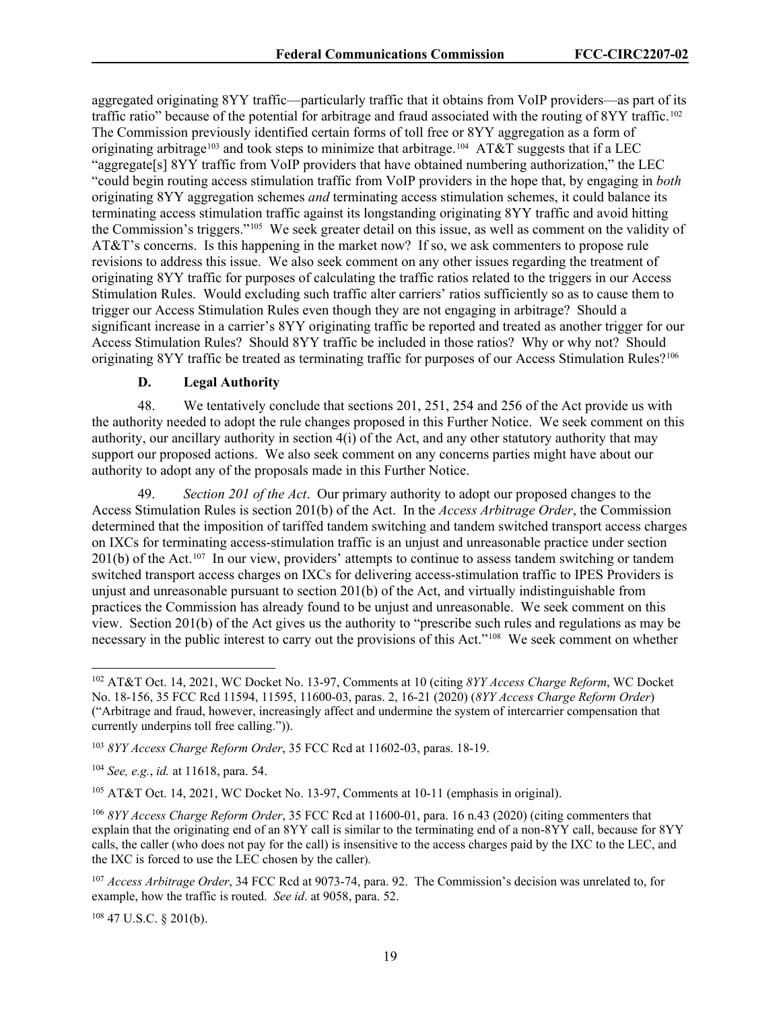aggregated originating 8YY traffic—particularly traffic that it obtains from VoIP providers—as part of its traffic ratio" because of the potential for arbitrage and fraud associated with the routing of 8YY traffic.<sup>[102](#page-19-0)</sup> The Commission previously identified certain forms of toll free or 8YY aggregation as a form of originating arbitrage<sup>[103](#page-19-1)</sup> and took steps to minimize that arbitrage.<sup>104</sup> AT&T suggests that if a LEC "aggregate[s] 8YY traffic from VoIP providers that have obtained numbering authorization," the LEC "could begin routing access stimulation traffic from VoIP providers in the hope that, by engaging in *both* originating 8YY aggregation schemes *and* terminating access stimulation schemes, it could balance its terminating access stimulation traffic against its longstanding originating 8YY traffic and avoid hitting the Commission's triggers."[105](#page-19-3) We seek greater detail on this issue, as well as comment on the validity of AT&T's concerns. Is this happening in the market now? If so, we ask commenters to propose rule revisions to address this issue. We also seek comment on any other issues regarding the treatment of originating 8YY traffic for purposes of calculating the traffic ratios related to the triggers in our Access Stimulation Rules. Would excluding such traffic alter carriers' ratios sufficiently so as to cause them to trigger our Access Stimulation Rules even though they are not engaging in arbitrage? Should a significant increase in a carrier's 8YY originating traffic be reported and treated as another trigger for our Access Stimulation Rules? Should 8YY traffic be included in those ratios? Why or why not? Should originating 8YY traffic be treated as terminating traffic for purposes of our Access Stimulation Rules?<sup>[106](#page-19-4)</sup>

## **D. Legal Authority**

48. We tentatively conclude that sections 201, 251, 254 and 256 of the Act provide us with the authority needed to adopt the rule changes proposed in this Further Notice. We seek comment on this authority, our ancillary authority in section 4(i) of the Act, and any other statutory authority that may support our proposed actions. We also seek comment on any concerns parties might have about our authority to adopt any of the proposals made in this Further Notice.

49. *Section 201 of the Act*. Our primary authority to adopt our proposed changes to the Access Stimulation Rules is section 201(b) of the Act. In the *Access Arbitrage Order*, the Commission determined that the imposition of tariffed tandem switching and tandem switched transport access charges on IXCs for terminating access-stimulation traffic is an unjust and unreasonable practice under section 201(b) of the Act.[107](#page-19-5) In our view, providers' attempts to continue to assess tandem switching or tandem switched transport access charges on IXCs for delivering access-stimulation traffic to IPES Providers is unjust and unreasonable pursuant to section 201(b) of the Act, and virtually indistinguishable from practices the Commission has already found to be unjust and unreasonable. We seek comment on this view. Section 201(b) of the Act gives us the authority to "prescribe such rules and regulations as may be necessary in the public interest to carry out the provisions of this Act."[108](#page-19-6) We seek comment on whether

<span id="page-19-6"></span><sup>108</sup> 47 U.S.C. § 201(b).

<span id="page-19-0"></span><sup>102</sup> AT&T Oct. 14, 2021, WC Docket No. 13-97, Comments at 10 (citing *8YY Access Charge Reform*, WC Docket No. 18-156, 35 FCC Rcd 11594, 11595, 11600-03, paras. 2, 16-21 (2020) (*8YY Access Charge Reform Order*) ("Arbitrage and fraud, however, increasingly affect and undermine the system of intercarrier compensation that currently underpins toll free calling.")).

<span id="page-19-1"></span><sup>103</sup> *8YY Access Charge Reform Order*, 35 FCC Rcd at 11602-03, paras. 18-19.

<span id="page-19-2"></span><sup>104</sup> *See, e.g.*, *id.* at 11618, para. 54.

<span id="page-19-3"></span><sup>105</sup> AT&T Oct. 14, 2021, WC Docket No. 13-97, Comments at 10-11 (emphasis in original).

<span id="page-19-4"></span><sup>106</sup> *8YY Access Charge Reform Order*, 35 FCC Rcd at 11600-01, para. 16 n.43 (2020) (citing commenters that explain that the originating end of an 8YY call is similar to the terminating end of a non-8YY call, because for 8YY calls, the caller (who does not pay for the call) is insensitive to the access charges paid by the IXC to the LEC, and the IXC is forced to use the LEC chosen by the caller).

<span id="page-19-5"></span><sup>107</sup> *Access Arbitrage Order*, 34 FCC Rcd at 9073-74, para. 92. The Commission's decision was unrelated to, for example, how the traffic is routed. *See id*. at 9058, para. 52.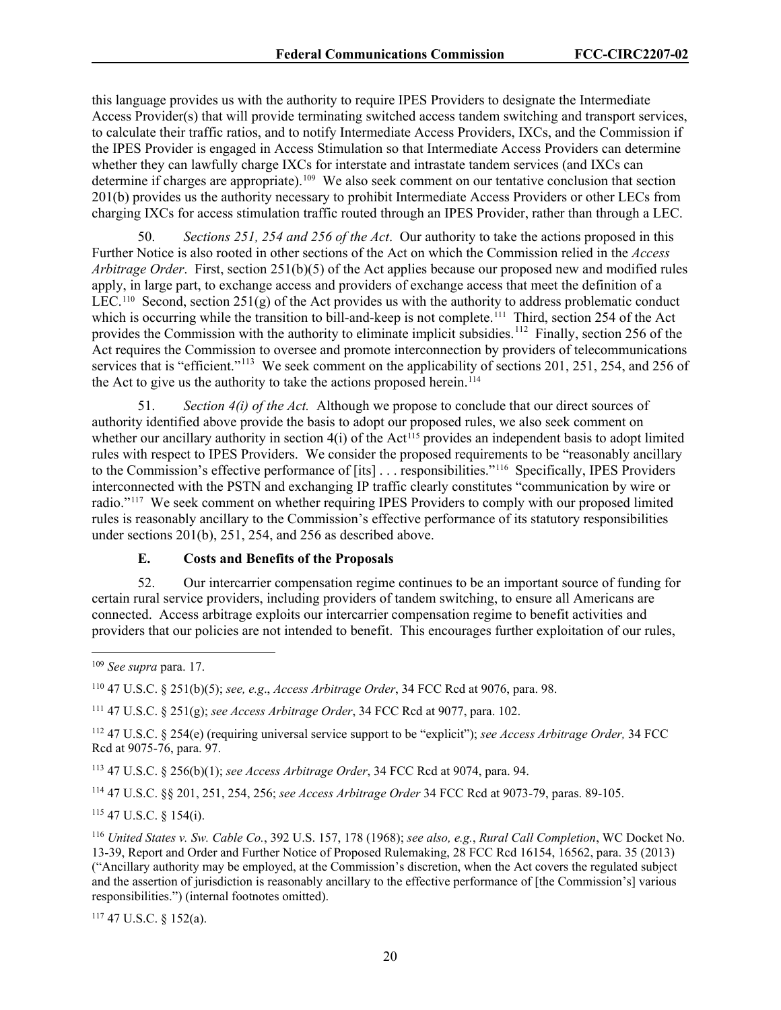this language provides us with the authority to require IPES Providers to designate the Intermediate Access Provider(s) that will provide terminating switched access tandem switching and transport services, to calculate their traffic ratios, and to notify Intermediate Access Providers, IXCs, and the Commission if the IPES Provider is engaged in Access Stimulation so that Intermediate Access Providers can determine whether they can lawfully charge IXCs for interstate and intrastate tandem services (and IXCs can determine if charges are appropriate). [109](#page-20-0) We also seek comment on our tentative conclusion that section 201(b) provides us the authority necessary to prohibit Intermediate Access Providers or other LECs from charging IXCs for access stimulation traffic routed through an IPES Provider, rather than through a LEC.

50. *Sections 251, 254 and 256 of the Act*. Our authority to take the actions proposed in this Further Notice is also rooted in other sections of the Act on which the Commission relied in the *Access Arbitrage Order*. First, section 251(b)(5) of the Act applies because our proposed new and modified rules apply, in large part, to exchange access and providers of exchange access that meet the definition of a LEC.<sup>110</sup> Second, section 251(g) of the Act provides us with the authority to address problematic conduct which is occurring while the transition to bill-and-keep is not complete.<sup>[111](#page-20-2)</sup> Third, section 254 of the Act provides the Commission with the authority to eliminate implicit subsidies.<sup>[112](#page-20-3)</sup> Finally, section 256 of the Act requires the Commission to oversee and promote interconnection by providers of telecommunications services that is "efficient."<sup>113</sup> We seek comment on the applicability of sections 201, 251, 254, and 256 of the Act to give us the authority to take the actions proposed herein.<sup>[114](#page-20-5)</sup>

51. *Section 4(i) of the Act.* Although we propose to conclude that our direct sources of authority identified above provide the basis to adopt our proposed rules, we also seek comment on whether our ancillary authority in section  $4(i)$  of the Act<sup>[115](#page-20-6)</sup> provides an independent basis to adopt limited rules with respect to IPES Providers. We consider the proposed requirements to be "reasonably ancillary to the Commission's effective performance of [its] . . . responsibilities."[116](#page-20-7) Specifically, IPES Providers interconnected with the PSTN and exchanging IP traffic clearly constitutes "communication by wire or radio."[117](#page-20-8) We seek comment on whether requiring IPES Providers to comply with our proposed limited rules is reasonably ancillary to the Commission's effective performance of its statutory responsibilities under sections 201(b), 251, 254, and 256 as described above.

## **E. Costs and Benefits of the Proposals**

52. Our intercarrier compensation regime continues to be an important source of funding for certain rural service providers, including providers of tandem switching, to ensure all Americans are connected. Access arbitrage exploits our intercarrier compensation regime to benefit activities and providers that our policies are not intended to benefit. This encourages further exploitation of our rules,

<span id="page-20-1"></span><sup>110</sup> 47 U.S.C. § 251(b)(5); *see, e.g*., *Access Arbitrage Order*, 34 FCC Rcd at 9076, para. 98.

<span id="page-20-2"></span><sup>111</sup> 47 U.S.C. § 251(g); *see Access Arbitrage Order*, 34 FCC Rcd at 9077, para. 102.

<span id="page-20-3"></span><sup>112</sup> 47 U.S.C. § 254(e) (requiring universal service support to be "explicit"); *see Access Arbitrage Order,* 34 FCC Rcd at 9075-76, para. 97.

<span id="page-20-4"></span><sup>113</sup> 47 U.S.C. § 256(b)(1); *see Access Arbitrage Order*, 34 FCC Rcd at 9074, para. 94.

<span id="page-20-5"></span><sup>114</sup> 47 U.S.C. §§ 201, 251, 254, 256; *see Access Arbitrage Order* 34 FCC Rcd at 9073-79, paras. 89-105.

<span id="page-20-6"></span><sup>115</sup> 47 U.S.C. § 154(i).

<span id="page-20-7"></span><sup>116</sup> *United States v. Sw. Cable Co.*, 392 U.S. 157, 178 (1968); *see also, e.g.*, *Rural Call Completion*, WC Docket No. 13-39, Report and Order and Further Notice of Proposed Rulemaking, 28 FCC Rcd 16154, 16562, para. 35 (2013) ("Ancillary authority may be employed, at the Commission's discretion, when the Act covers the regulated subject and the assertion of jurisdiction is reasonably ancillary to the effective performance of [the Commission's] various responsibilities.") (internal footnotes omitted).

<span id="page-20-8"></span><sup>117</sup> 47 U.S.C. § 152(a).

<span id="page-20-0"></span><sup>109</sup> *See supra* para. 17.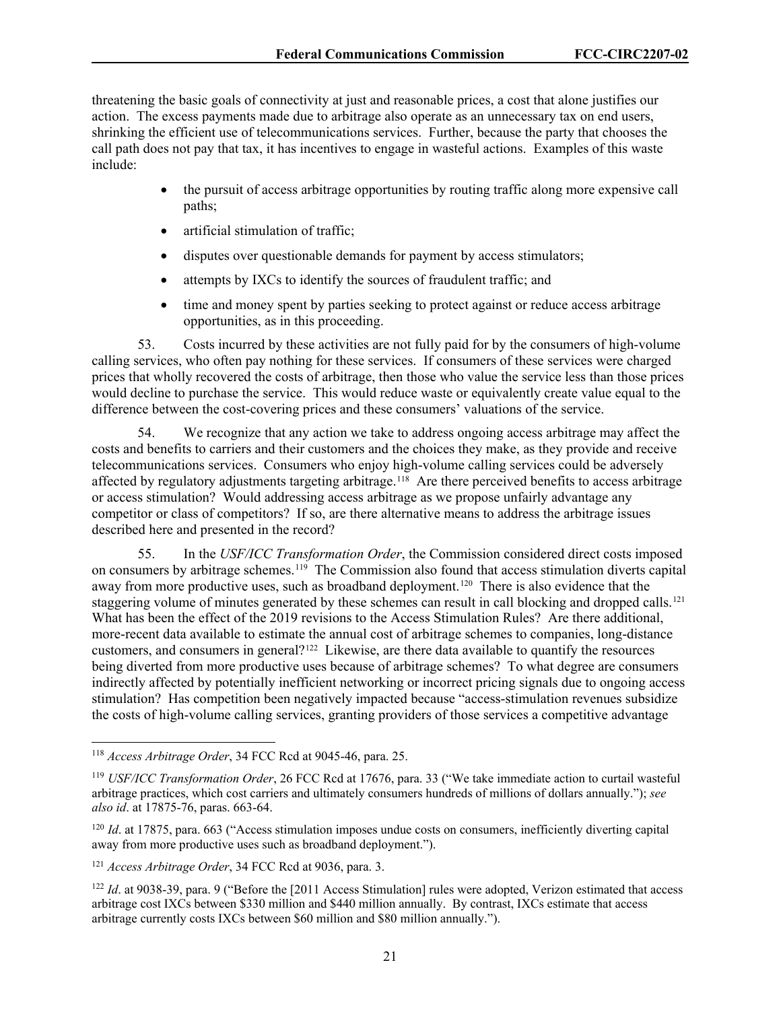threatening the basic goals of connectivity at just and reasonable prices, a cost that alone justifies our action. The excess payments made due to arbitrage also operate as an unnecessary tax on end users, shrinking the efficient use of telecommunications services. Further, because the party that chooses the call path does not pay that tax, it has incentives to engage in wasteful actions. Examples of this waste include:

- the pursuit of access arbitrage opportunities by routing traffic along more expensive call paths;
- artificial stimulation of traffic;
- disputes over questionable demands for payment by access stimulators;
- attempts by IXCs to identify the sources of fraudulent traffic; and
- time and money spent by parties seeking to protect against or reduce access arbitrage opportunities, as in this proceeding.

53. Costs incurred by these activities are not fully paid for by the consumers of high-volume calling services, who often pay nothing for these services. If consumers of these services were charged prices that wholly recovered the costs of arbitrage, then those who value the service less than those prices would decline to purchase the service. This would reduce waste or equivalently create value equal to the difference between the cost-covering prices and these consumers' valuations of the service.

54. We recognize that any action we take to address ongoing access arbitrage may affect the costs and benefits to carriers and their customers and the choices they make, as they provide and receive telecommunications services. Consumers who enjoy high-volume calling services could be adversely affected by regulatory adjustments targeting arbitrage.<sup>[118](#page-21-0)</sup> Are there perceived benefits to access arbitrage or access stimulation? Would addressing access arbitrage as we propose unfairly advantage any competitor or class of competitors? If so, are there alternative means to address the arbitrage issues described here and presented in the record?

55. In the *USF/ICC Transformation Order*, the Commission considered direct costs imposed on consumers by arbitrage schemes.[119](#page-21-1) The Commission also found that access stimulation diverts capital away from more productive uses, such as broadband deployment.<sup>120</sup> There is also evidence that the staggering volume of minutes generated by these schemes can result in call blocking and dropped calls.<sup>[121](#page-21-3)</sup> What has been the effect of the 2019 revisions to the Access Stimulation Rules? Are there additional, more-recent data available to estimate the annual cost of arbitrage schemes to companies, long-distance customers, and consumers in general?<sup>[122](#page-21-4)</sup> Likewise, are there data available to quantify the resources being diverted from more productive uses because of arbitrage schemes? To what degree are consumers indirectly affected by potentially inefficient networking or incorrect pricing signals due to ongoing access stimulation? Has competition been negatively impacted because "access-stimulation revenues subsidize the costs of high-volume calling services, granting providers of those services a competitive advantage

<span id="page-21-0"></span><sup>118</sup> *Access Arbitrage Order*, 34 FCC Rcd at 9045-46, para. 25.

<span id="page-21-1"></span><sup>119</sup> *USF/ICC Transformation Order*, 26 FCC Rcd at 17676, para. 33 ("We take immediate action to curtail wasteful arbitrage practices, which cost carriers and ultimately consumers hundreds of millions of dollars annually."); *see also id*. at 17875-76, paras. 663-64.

<span id="page-21-2"></span><sup>&</sup>lt;sup>120</sup> *Id.* at 17875, para. 663 ("Access stimulation imposes undue costs on consumers, inefficiently diverting capital away from more productive uses such as broadband deployment.").

<span id="page-21-3"></span><sup>121</sup> *Access Arbitrage Order*, 34 FCC Rcd at 9036, para. 3.

<span id="page-21-4"></span><sup>&</sup>lt;sup>122</sup> *Id.* at 9038-39, para. 9 ("Before the [2011 Access Stimulation] rules were adopted, Verizon estimated that access arbitrage cost IXCs between \$330 million and \$440 million annually. By contrast, IXCs estimate that access arbitrage currently costs IXCs between \$60 million and \$80 million annually.").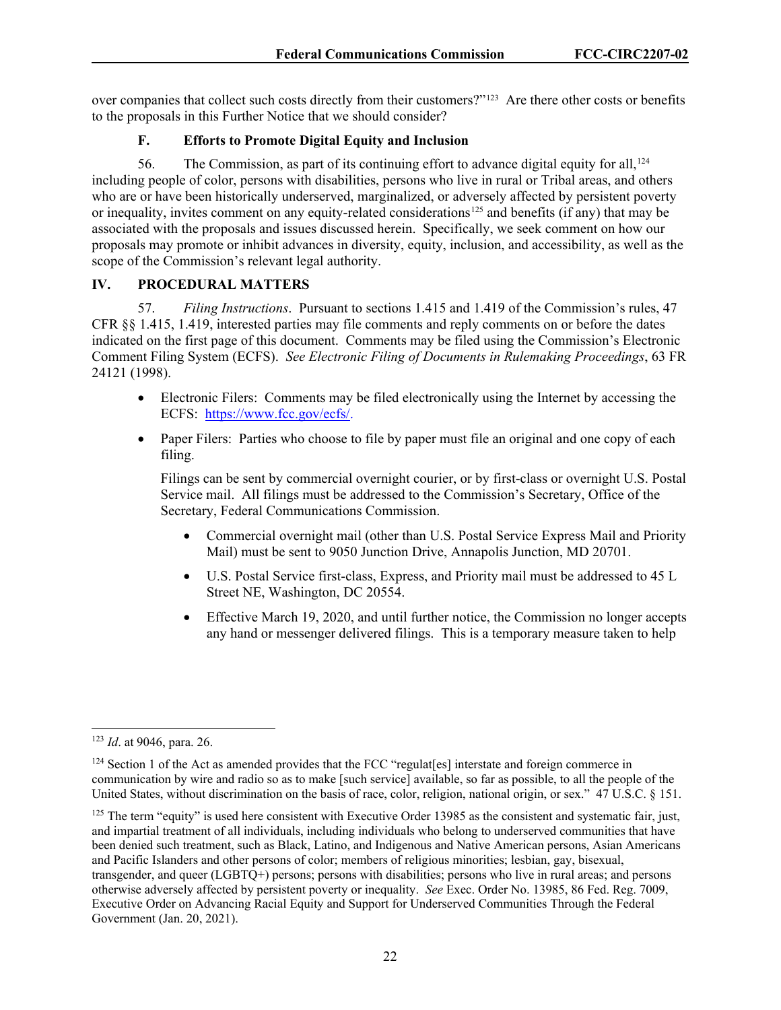over companies that collect such costs directly from their customers?"[123](#page-22-0) Are there other costs or benefits to the proposals in this Further Notice that we should consider?

## **F. Efforts to Promote Digital Equity and Inclusion**

56. The Commission, as part of its continuing effort to advance digital equity for all,  $124$ including people of color, persons with disabilities, persons who live in rural or Tribal areas, and others who are or have been historically underserved, marginalized, or adversely affected by persistent poverty or inequality, invites comment on any equity-related considerations<sup>[125](#page-22-2)</sup> and benefits (if any) that may be associated with the proposals and issues discussed herein. Specifically, we seek comment on how our proposals may promote or inhibit advances in diversity, equity, inclusion, and accessibility, as well as the scope of the Commission's relevant legal authority.

#### **IV. PROCEDURAL MATTERS**

57. *Filing Instructions*. Pursuant to sections 1.415 and 1.419 of the Commission's rules, 47 CFR §§ 1.415, 1.419, interested parties may file comments and reply comments on or before the dates indicated on the first page of this document. Comments may be filed using the Commission's Electronic Comment Filing System (ECFS). *See Electronic Filing of Documents in Rulemaking Proceedings*, 63 FR 24121 (1998).

- Electronic Filers: Comments may be filed electronically using the Internet by accessing the ECFS: [https://www.fcc.gov/ecfs/.](https://www.fcc.gov/ecfs/)
- Paper Filers: Parties who choose to file by paper must file an original and one copy of each filing.

Filings can be sent by commercial overnight courier, or by first-class or overnight U.S. Postal Service mail. All filings must be addressed to the Commission's Secretary, Office of the Secretary, Federal Communications Commission.

- Commercial overnight mail (other than U.S. Postal Service Express Mail and Priority Mail) must be sent to 9050 Junction Drive, Annapolis Junction, MD 20701.
- U.S. Postal Service first-class, Express, and Priority mail must be addressed to 45 L Street NE, Washington, DC 20554.
- Effective March 19, 2020, and until further notice, the Commission no longer accepts any hand or messenger delivered filings. This is a temporary measure taken to help

<span id="page-22-0"></span><sup>123</sup> *Id*. at 9046, para. 26.

<span id="page-22-1"></span><sup>&</sup>lt;sup>124</sup> Section 1 of the Act as amended provides that the FCC "regulat<sup>[es]</sup> interstate and foreign commerce in communication by wire and radio so as to make [such service] available, so far as possible, to all the people of the United States, without discrimination on the basis of race, color, religion, national origin, or sex." 47 U.S.C. § 151.

<span id="page-22-2"></span> $125$  The term "equity" is used here consistent with Executive Order 13985 as the consistent and systematic fair, just, and impartial treatment of all individuals, including individuals who belong to underserved communities that have been denied such treatment, such as Black, Latino, and Indigenous and Native American persons, Asian Americans and Pacific Islanders and other persons of color; members of religious minorities; lesbian, gay, bisexual, transgender, and queer (LGBTQ+) persons; persons with disabilities; persons who live in rural areas; and persons otherwise adversely affected by persistent poverty or inequality. *See* Exec. Order No. 13985, 86 Fed. Reg. 7009, Executive Order on Advancing Racial Equity and Support for Underserved Communities Through the Federal Government (Jan. 20, 2021).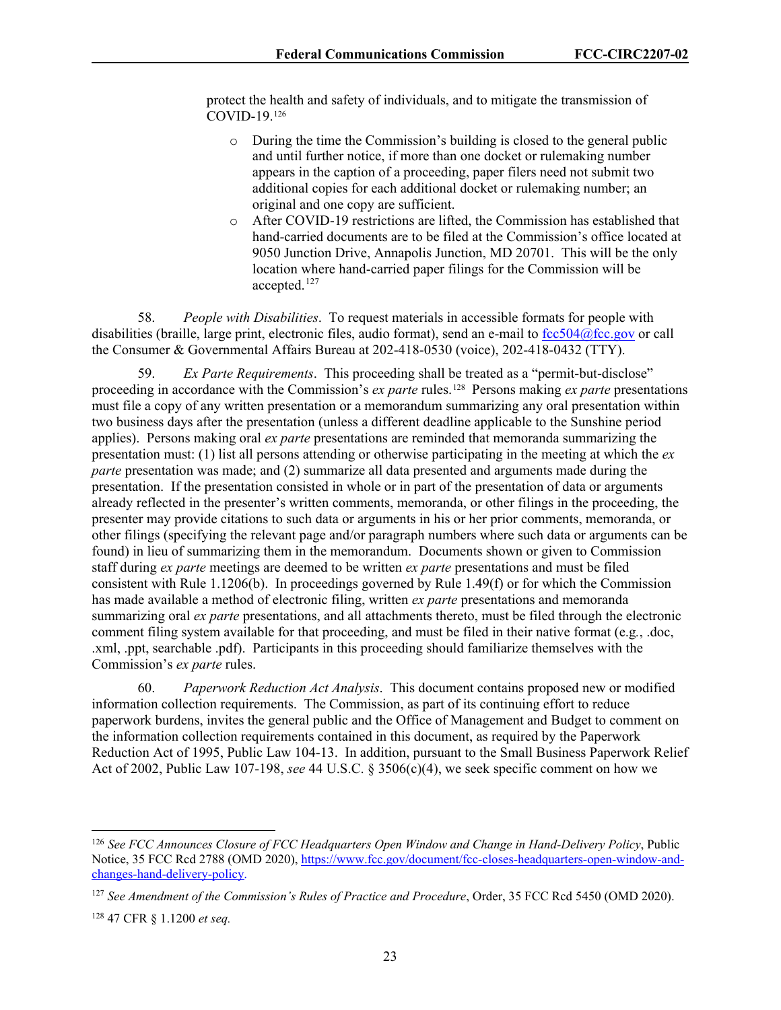protect the health and safety of individuals, and to mitigate the transmission of COVID-19.[126](#page-23-0)

- o During the time the Commission's building is closed to the general public and until further notice, if more than one docket or rulemaking number appears in the caption of a proceeding, paper filers need not submit two additional copies for each additional docket or rulemaking number; an original and one copy are sufficient.
- o After COVID-19 restrictions are lifted, the Commission has established that hand-carried documents are to be filed at the Commission's office located at 9050 Junction Drive, Annapolis Junction, MD 20701. This will be the only location where hand-carried paper filings for the Commission will be accepted.<sup>[127](#page-23-1)</sup>

58. *People with Disabilities*. To request materials in accessible formats for people with disabilities (braille, large print, electronic files, audio format), send an e-mail to [fcc504@fcc.gov](mailto:fcc504@fcc.gov) or call the Consumer & Governmental Affairs Bureau at 202-418-0530 (voice), 202-418-0432 (TTY).

59. *Ex Parte Requirements*. This proceeding shall be treated as a "permit-but-disclose" proceeding in accordance with the Commission's *ex parte* rules.[128](#page-23-2) Persons making *ex parte* presentations must file a copy of any written presentation or a memorandum summarizing any oral presentation within two business days after the presentation (unless a different deadline applicable to the Sunshine period applies). Persons making oral *ex parte* presentations are reminded that memoranda summarizing the presentation must: (1) list all persons attending or otherwise participating in the meeting at which the *ex parte* presentation was made; and (2) summarize all data presented and arguments made during the presentation. If the presentation consisted in whole or in part of the presentation of data or arguments already reflected in the presenter's written comments, memoranda, or other filings in the proceeding, the presenter may provide citations to such data or arguments in his or her prior comments, memoranda, or other filings (specifying the relevant page and/or paragraph numbers where such data or arguments can be found) in lieu of summarizing them in the memorandum. Documents shown or given to Commission staff during *ex parte* meetings are deemed to be written *ex parte* presentations and must be filed consistent with Rule 1.1206(b). In proceedings governed by Rule 1.49(f) or for which the Commission has made available a method of electronic filing, written *ex parte* presentations and memoranda summarizing oral *ex parte* presentations, and all attachments thereto, must be filed through the electronic comment filing system available for that proceeding, and must be filed in their native format (e.g*.*, .doc, .xml, .ppt, searchable .pdf). Participants in this proceeding should familiarize themselves with the Commission's *ex parte* rules.

60. *Paperwork Reduction Act Analysis*. This document contains proposed new or modified information collection requirements. The Commission, as part of its continuing effort to reduce paperwork burdens, invites the general public and the Office of Management and Budget to comment on the information collection requirements contained in this document, as required by the Paperwork Reduction Act of 1995, Public Law 104-13. In addition, pursuant to the Small Business Paperwork Relief Act of 2002, Public Law 107-198, *see* 44 U.S.C. § 3506(c)(4), we seek specific comment on how we

<span id="page-23-0"></span><sup>126</sup> *See FCC Announces Closure of FCC Headquarters Open Window and Change in Hand-Delivery Policy*, Public Notice, 35 FCC Rcd 2788 (OMD 2020), [https://www.fcc.gov/document/fcc-closes-headquarters-open-window-and](https://www.fcc.gov/document/fcc-closes-headquarters-open-window-and-changes-hand-delivery-policy)[changes-hand-delivery-policy.](https://www.fcc.gov/document/fcc-closes-headquarters-open-window-and-changes-hand-delivery-policy)

<span id="page-23-1"></span><sup>&</sup>lt;sup>127</sup> See Amendment of the Commission's Rules of Practice and Procedure, Order, 35 FCC Rcd 5450 (OMD 2020).

<span id="page-23-2"></span><sup>128</sup> 47 CFR § 1.1200 *et seq.*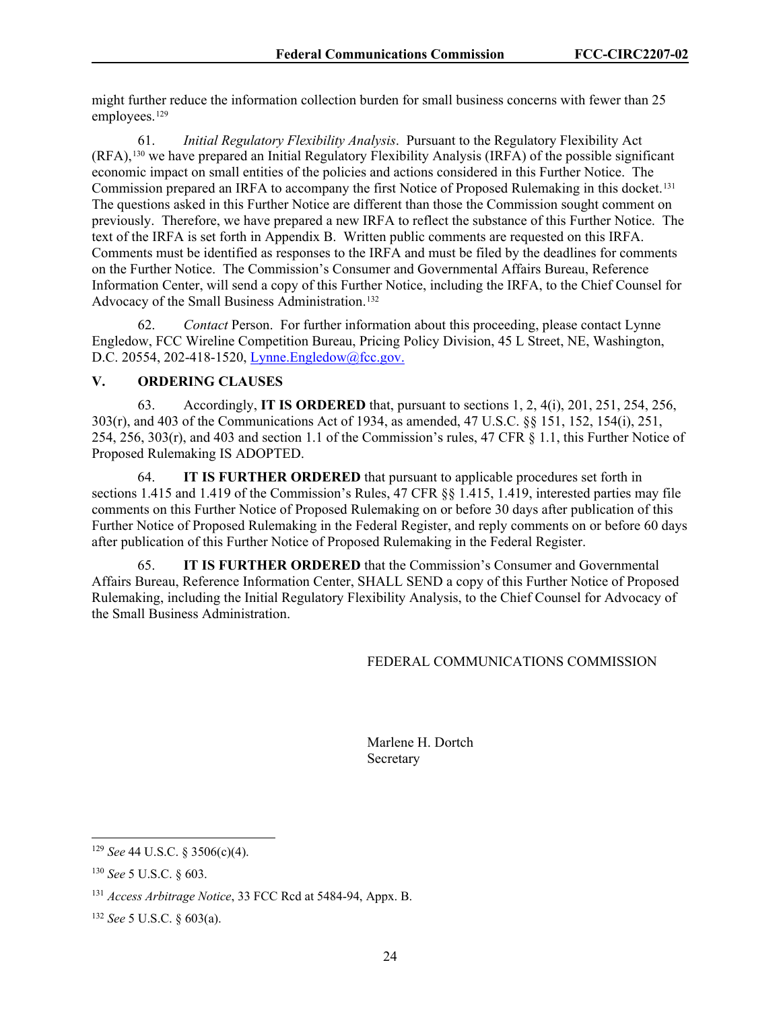might further reduce the information collection burden for small business concerns with fewer than 25 employees.<sup>[129](#page-24-0)</sup>

61. *Initial Regulatory Flexibility Analysis*. Pursuant to the Regulatory Flexibility Act (RFA),[130](#page-24-1) we have prepared an Initial Regulatory Flexibility Analysis (IRFA) of the possible significant economic impact on small entities of the policies and actions considered in this Further Notice. The Commission prepared an IRFA to accompany the first Notice of Proposed Rulemaking in this docket.<sup>131</sup> The questions asked in this Further Notice are different than those the Commission sought comment on previously. Therefore, we have prepared a new IRFA to reflect the substance of this Further Notice. The text of the IRFA is set forth in Appendix B. Written public comments are requested on this IRFA. Comments must be identified as responses to the IRFA and must be filed by the deadlines for comments on the Further Notice. The Commission's Consumer and Governmental Affairs Bureau, Reference Information Center, will send a copy of this Further Notice, including the IRFA, to the Chief Counsel for Advocacy of the Small Business Administration.<sup>[132](#page-24-3)</sup>

62. *Contact* Person. For further information about this proceeding, please contact Lynne Engledow, FCC Wireline Competition Bureau, Pricing Policy Division, 45 L Street, NE, Washington, D.C. 20554, 202-418-1520, [Lynne.Engledow@fcc.gov.](mailto:Lynne.Engledow@fcc.gov)

## **V. ORDERING CLAUSES**

63. Accordingly, **IT IS ORDERED** that, pursuant to sections 1, 2, 4(i), 201, 251, 254, 256, 303(r), and 403 of the Communications Act of 1934, as amended, 47 U.S.C. §§ 151, 152, 154(i), 251, 254, 256, 303(r), and 403 and section 1.1 of the Commission's rules, 47 CFR § 1.1, this Further Notice of Proposed Rulemaking IS ADOPTED.

64. **IT IS FURTHER ORDERED** that pursuant to applicable procedures set forth in sections 1.415 and 1.419 of the Commission's Rules, 47 CFR §§ 1.415, 1.419, interested parties may file comments on this Further Notice of Proposed Rulemaking on or before 30 days after publication of this Further Notice of Proposed Rulemaking in the Federal Register, and reply comments on or before 60 days after publication of this Further Notice of Proposed Rulemaking in the Federal Register.

65. **IT IS FURTHER ORDERED** that the Commission's Consumer and Governmental Affairs Bureau, Reference Information Center, SHALL SEND a copy of this Further Notice of Proposed Rulemaking, including the Initial Regulatory Flexibility Analysis, to the Chief Counsel for Advocacy of the Small Business Administration.

#### FEDERAL COMMUNICATIONS COMMISSION

 Marlene H. Dortch Secretary

<span id="page-24-0"></span><sup>129</sup> *See* 44 U.S.C. § 3506(c)(4).

<span id="page-24-1"></span><sup>130</sup> *See* 5 U.S.C. § 603.

<span id="page-24-2"></span><sup>131</sup> *Access Arbitrage Notice*, 33 FCC Rcd at 5484-94, Appx. B.

<span id="page-24-3"></span><sup>132</sup> *See* 5 U.S.C. § 603(a).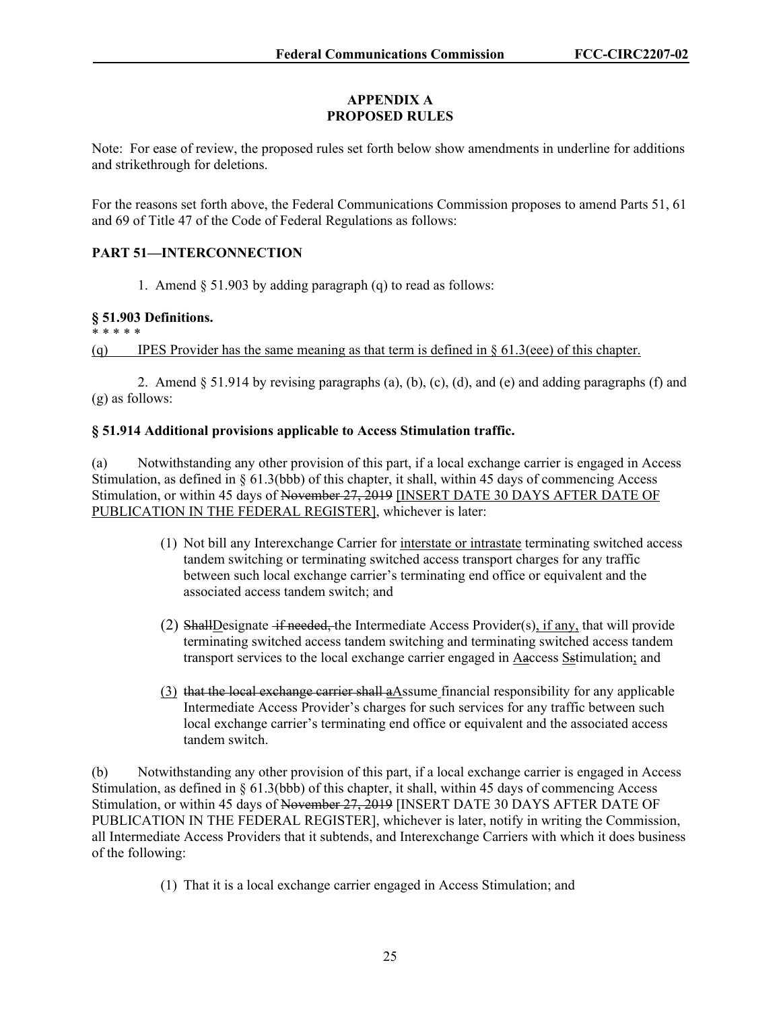## **APPENDIX A PROPOSED RULES**

Note: For ease of review, the proposed rules set forth below show amendments in underline for additions and strikethrough for deletions.

For the reasons set forth above, the Federal Communications Commission proposes to amend Parts 51, 61 and 69 of Title 47 of the Code of Federal Regulations as follows:

# **PART 51—INTERCONNECTION**

1. Amend  $\S$  51.903 by adding paragraph (q) to read as follows:

## **§ 51.903 Definitions.**

\* \* \* \* \*

(q) IPES Provider has the same meaning as that term is defined in  $\S 61.3$  (eee) of this chapter.

2. Amend § 51.914 by revising paragraphs (a), (b), (c), (d), and (e) and adding paragraphs (f) and (g) as follows:

## **§ 51.914 Additional provisions applicable to Access Stimulation traffic.**

(a) Notwithstanding any other provision of this part, if a local exchange carrier is engaged in Access Stimulation, as defined in § 61.3(bbb) of this chapter, it shall, within 45 days of commencing Access Stimulation, or within 45 days of November 27, 2019 [INSERT DATE 30 DAYS AFTER DATE OF PUBLICATION IN THE FEDERAL REGISTER], whichever is later:

- (1) Not bill any Interexchange Carrier for interstate or intrastate terminating switched access tandem switching or terminating switched access transport charges for any traffic between such local exchange carrier's terminating end office or equivalent and the associated access tandem switch; and
- (2) ShallDesignate if needed, the Intermediate Access Provider(s), if any, that will provide terminating switched access tandem switching and terminating switched access tandem transport services to the local exchange carrier engaged in Aaccess Sstimulation; and
- $(3)$  that the local exchange carrier shall  $a\Delta$ ssume financial responsibility for any applicable Intermediate Access Provider's charges for such services for any traffic between such local exchange carrier's terminating end office or equivalent and the associated access tandem switch.

(b) Notwithstanding any other provision of this part, if a local exchange carrier is engaged in Access Stimulation, as defined in § 61.3(bbb) of this chapter, it shall, within 45 days of commencing Access Stimulation, or within 45 days of November 27, 2019 [INSERT DATE 30 DAYS AFTER DATE OF PUBLICATION IN THE FEDERAL REGISTER], whichever is later, notify in writing the Commission, all Intermediate Access Providers that it subtends, and Interexchange Carriers with which it does business of the following:

(1) That it is a local exchange carrier engaged in Access Stimulation; and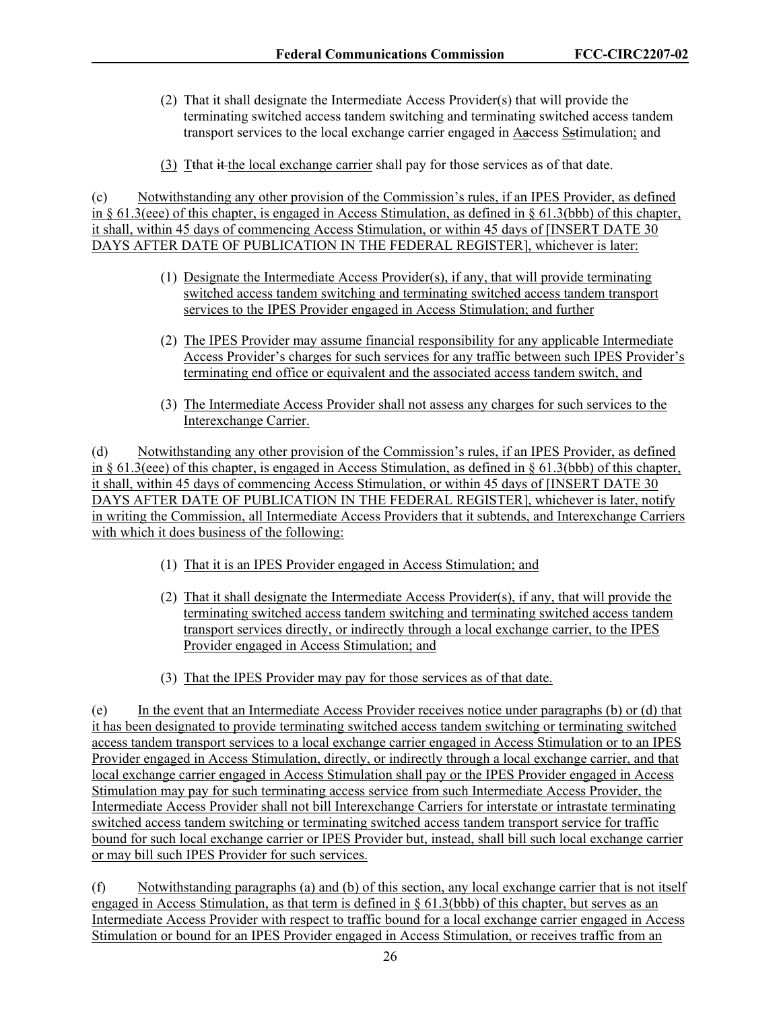- (2) That it shall designate the Intermediate Access Provider(s) that will provide the terminating switched access tandem switching and terminating switched access tandem transport services to the local exchange carrier engaged in Aaccess Sstimulation; and
- (3) Tthat it the local exchange carrier shall pay for those services as of that date.

(c) Notwithstanding any other provision of the Commission's rules, if an IPES Provider, as defined in § 61.3(eee) of this chapter, is engaged in Access Stimulation, as defined in § 61.3(bbb) of this chapter, it shall, within 45 days of commencing Access Stimulation, or within 45 days of [INSERT DATE 30 DAYS AFTER DATE OF PUBLICATION IN THE FEDERAL REGISTER], whichever is later:

- (1) Designate the Intermediate Access Provider(s), if any, that will provide terminating switched access tandem switching and terminating switched access tandem transport services to the IPES Provider engaged in Access Stimulation; and further
- (2) The IPES Provider may assume financial responsibility for any applicable Intermediate Access Provider's charges for such services for any traffic between such IPES Provider's terminating end office or equivalent and the associated access tandem switch, and
- (3) The Intermediate Access Provider shall not assess any charges for such services to the Interexchange Carrier.

(d) Notwithstanding any other provision of the Commission's rules, if an IPES Provider, as defined in § 61.3(eee) of this chapter, is engaged in Access Stimulation, as defined in § 61.3(bbb) of this chapter, it shall, within 45 days of commencing Access Stimulation, or within 45 days of [INSERT DATE 30 DAYS AFTER DATE OF PUBLICATION IN THE FEDERAL REGISTER], whichever is later, notify in writing the Commission, all Intermediate Access Providers that it subtends, and Interexchange Carriers with which it does business of the following:

- (1) That it is an IPES Provider engaged in Access Stimulation; and
- (2) That it shall designate the Intermediate Access Provider(s), if any, that will provide the terminating switched access tandem switching and terminating switched access tandem transport services directly, or indirectly through a local exchange carrier, to the IPES Provider engaged in Access Stimulation; and
- (3) That the IPES Provider may pay for those services as of that date.

(e) In the event that an Intermediate Access Provider receives notice under paragraphs (b) or (d) that it has been designated to provide terminating switched access tandem switching or terminating switched access tandem transport services to a local exchange carrier engaged in Access Stimulation or to an IPES Provider engaged in Access Stimulation, directly, or indirectly through a local exchange carrier, and that local exchange carrier engaged in Access Stimulation shall pay or the IPES Provider engaged in Access Stimulation may pay for such terminating access service from such Intermediate Access Provider, the Intermediate Access Provider shall not bill Interexchange Carriers for interstate or intrastate terminating switched access tandem switching or terminating switched access tandem transport service for traffic bound for such local exchange carrier or IPES Provider but, instead, shall bill such local exchange carrier or may bill such IPES Provider for such services.

(f) Notwithstanding paragraphs (a) and (b) of this section, any local exchange carrier that is not itself engaged in Access Stimulation, as that term is defined in  $\S$  61.3(bbb) of this chapter, but serves as an Intermediate Access Provider with respect to traffic bound for a local exchange carrier engaged in Access Stimulation or bound for an IPES Provider engaged in Access Stimulation, or receives traffic from an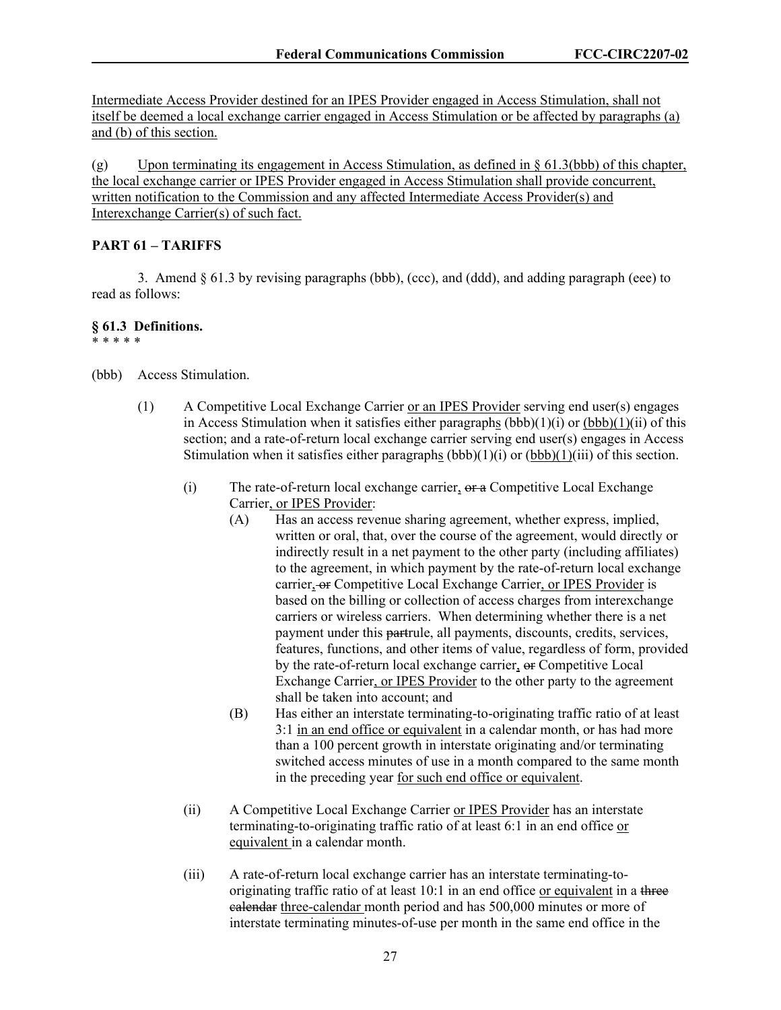Intermediate Access Provider destined for an IPES Provider engaged in Access Stimulation, shall not itself be deemed a local exchange carrier engaged in Access Stimulation or be affected by paragraphs (a) and (b) of this section.

(g) Upon terminating its engagement in Access Stimulation, as defined in  $\S$  61.3(bbb) of this chapter, the local exchange carrier or IPES Provider engaged in Access Stimulation shall provide concurrent, written notification to the Commission and any affected Intermediate Access Provider(s) and Interexchange Carrier(s) of such fact.

## **PART 61 – TARIFFS**

3. Amend  $\S 61.3$  by revising paragraphs (bbb), (ccc), and (ddd), and adding paragraph (eee) to read as follows:

## **§ 61.3 Definitions.**

\* \* \* \* \*

(bbb) Access Stimulation.

- (1) A Competitive Local Exchange Carrier or an IPES Provider serving end user(s) engages in Access Stimulation when it satisfies either paragraphs  $(bbb)(1)(i)$  or  $(bbb)(1)(ii)$  of this section; and a rate-of-return local exchange carrier serving end user(s) engages in Access Stimulation when it satisfies either paragraphs  $(bbb)(1)(i)$  or  $(bbb)(1)(iii)$  of this section.
	- (i) The rate-of-return local exchange carrier,  $\theta$ r a Competitive Local Exchange Carrier, or IPES Provider:
		- (A) Has an access revenue sharing agreement, whether express, implied, written or oral, that, over the course of the agreement, would directly or indirectly result in a net payment to the other party (including affiliates) to the agreement, in which payment by the rate-of-return local exchange carrier, or Competitive Local Exchange Carrier, or IPES Provider is based on the billing or collection of access charges from interexchange carriers or wireless carriers. When determining whether there is a net payment under this partrule, all payments, discounts, credits, services, features, functions, and other items of value, regardless of form, provided by the rate-of-return local exchange carrier,  $\Theta$ <sup>r</sup> Competitive Local Exchange Carrier, or IPES Provider to the other party to the agreement shall be taken into account; and
		- (B) Has either an interstate terminating-to-originating traffic ratio of at least 3:1 in an end office or equivalent in a calendar month, or has had more than a 100 percent growth in interstate originating and/or terminating switched access minutes of use in a month compared to the same month in the preceding year for such end office or equivalent.
	- (ii) A Competitive Local Exchange Carrier or IPES Provider has an interstate terminating-to-originating traffic ratio of at least 6:1 in an end office or equivalent in a calendar month.
	- (iii) A rate-of-return local exchange carrier has an interstate terminating-tooriginating traffic ratio of at least 10:1 in an end office or equivalent in a three calendar three-calendar month period and has 500,000 minutes or more of interstate terminating minutes-of-use per month in the same end office in the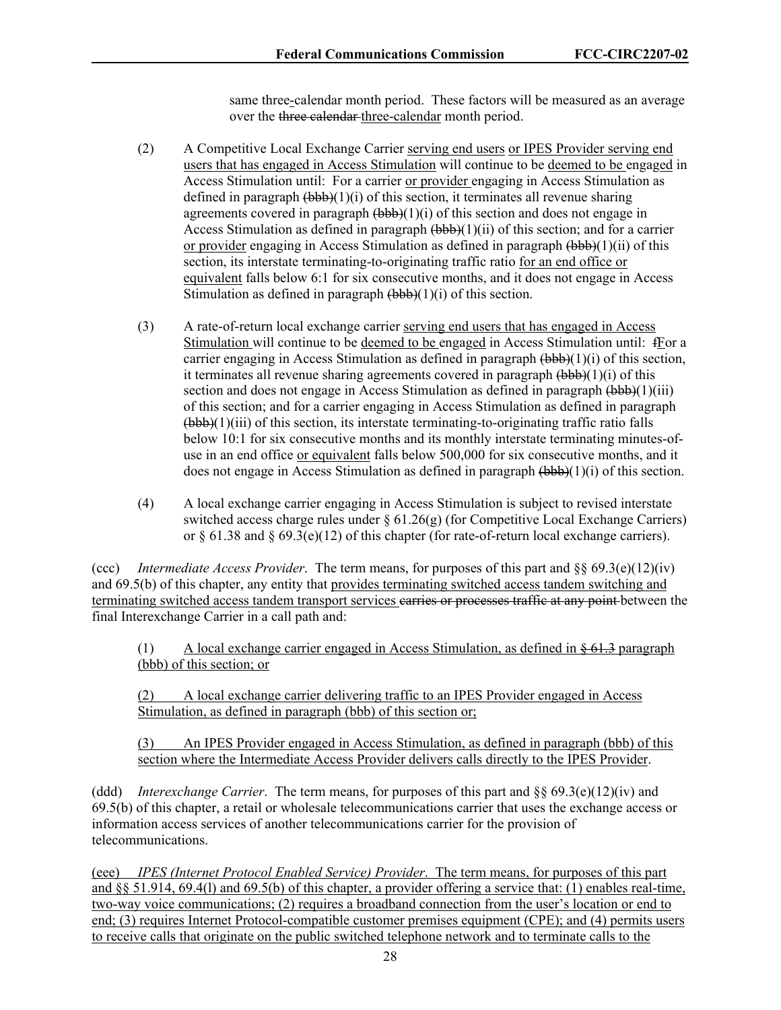same three-calendar month period. These factors will be measured as an average over the three calendar three-calendar month period.

- (2) A Competitive Local Exchange Carrier serving end users or IPES Provider serving end users that has engaged in Access Stimulation will continue to be deemed to be engaged in Access Stimulation until: For a carrier or provider engaging in Access Stimulation as defined in paragraph  $(bbb)$ (1)(i) of this section, it terminates all revenue sharing agreements covered in paragraph  $(\overrightarrow{bbb})(1)(i)$  of this section and does not engage in Access Stimulation as defined in paragraph  $(bbb)$ (1)(ii) of this section; and for a carrier or provider engaging in Access Stimulation as defined in paragraph (bbb)(1)(ii) of this section, its interstate terminating-to-originating traffic ratio for an end office or equivalent falls below 6:1 for six consecutive months, and it does not engage in Access Stimulation as defined in paragraph  $(\overline{b}b\overline{b})(1)(i)$  of this section.
- (3) A rate-of-return local exchange carrier serving end users that has engaged in Access Stimulation will continue to be deemed to be engaged in Access Stimulation until: fFor a carrier engaging in Access Stimulation as defined in paragraph  $(\overline{bbb})(1)(i)$  of this section, it terminates all revenue sharing agreements covered in paragraph  $(\overrightarrow{bbb})(1)(i)$  of this section and does not engage in Access Stimulation as defined in paragraph  $(\overline{bbb})(1)(iii)$ of this section; and for a carrier engaging in Access Stimulation as defined in paragraph (bbb)(1)(iii) of this section, its interstate terminating-to-originating traffic ratio falls below 10:1 for six consecutive months and its monthly interstate terminating minutes-ofuse in an end office or equivalent falls below 500,000 for six consecutive months, and it does not engage in Access Stimulation as defined in paragraph  $(\overrightarrow{bbb}(1)(i))$  of this section.
- (4) A local exchange carrier engaging in Access Stimulation is subject to revised interstate switched access charge rules under § 61.26(g) (for Competitive Local Exchange Carriers) or  $\S 61.38$  and  $\S 69.3(e)(12)$  of this chapter (for rate-of-return local exchange carriers).

(ccc) *Intermediate Access Provider*. The term means, for purposes of this part and §§ 69.3(e)(12)(iv) and 69.5(b) of this chapter, any entity that provides terminating switched access tandem switching and terminating switched access tandem transport services earries or processes traffic at any point between the final Interexchange Carrier in a call path and:

(1) A local exchange carrier engaged in Access Stimulation, as defined in  $\frac{1}{2}$  paragraph (bbb) of this section; or

(2) A local exchange carrier delivering traffic to an IPES Provider engaged in Access Stimulation, as defined in paragraph (bbb) of this section or;

(3) An IPES Provider engaged in Access Stimulation, as defined in paragraph (bbb) of this section where the Intermediate Access Provider delivers calls directly to the IPES Provider.

(ddd) *Interexchange Carrier*. The term means, for purposes of this part and §§ 69.3(e)(12)(iv) and 69.5(b) of this chapter, a retail or wholesale telecommunications carrier that uses the exchange access or information access services of another telecommunications carrier for the provision of telecommunications.

(eee) *IPES (Internet Protocol Enabled Service) Provider*. The term means, for purposes of this part and §§ 51.914, 69.4(l) and 69.5(b) of this chapter, a provider offering a service that: (1) enables real-time, two-way voice communications; (2) requires a broadband connection from the user's location or end to end; (3) requires Internet Protocol-compatible customer premises equipment (CPE); and (4) permits users to receive calls that originate on the public switched telephone network and to terminate calls to the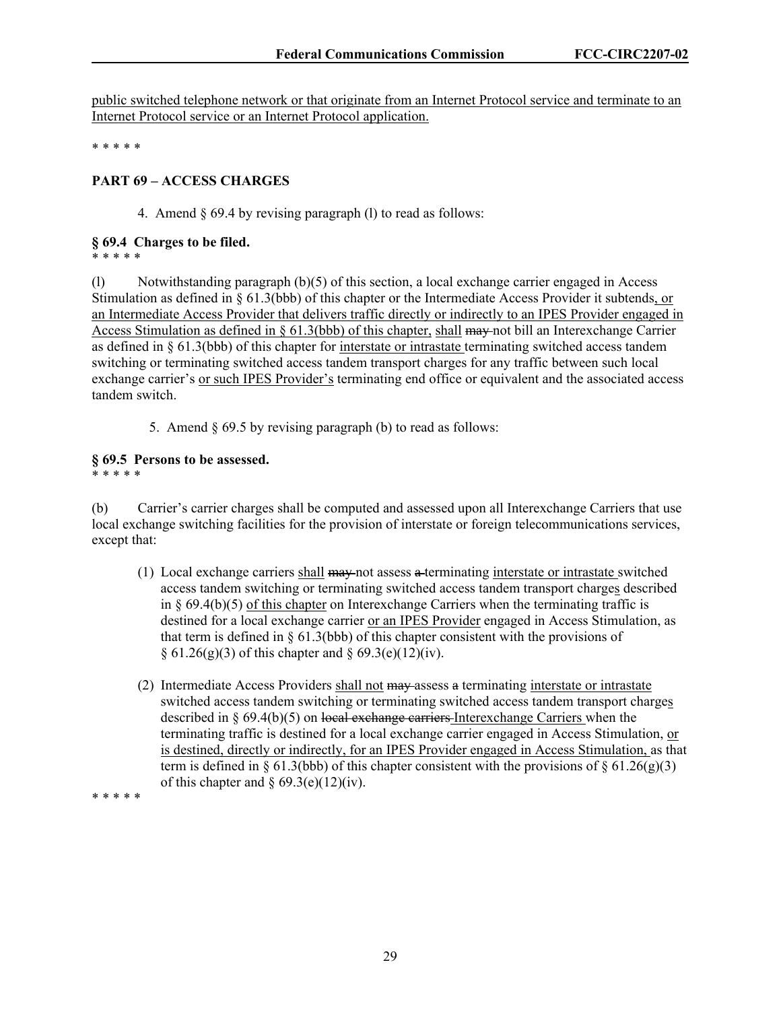public switched telephone network or that originate from an Internet Protocol service and terminate to an Internet Protocol service or an Internet Protocol application.

\* \* \* \* \*

## **PART 69 – ACCESS CHARGES**

4. Amend § 69.4 by revising paragraph (l) to read as follows:

#### **§ 69.4 Charges to be filed.**

\* \* \* \* \*

(l) Notwithstanding paragraph (b)(5) of this section, a local exchange carrier engaged in Access Stimulation as defined in § 61.3(bbb) of this chapter or the Intermediate Access Provider it subtends, or an Intermediate Access Provider that delivers traffic directly or indirectly to an IPES Provider engaged in Access Stimulation as defined in § 61.3(bbb) of this chapter, shall may not bill an Interexchange Carrier as defined in § 61.3(bbb) of this chapter for interstate or intrastate terminating switched access tandem switching or terminating switched access tandem transport charges for any traffic between such local exchange carrier's or such IPES Provider's terminating end office or equivalent and the associated access tandem switch.

5. Amend § 69.5 by revising paragraph (b) to read as follows:

# **§ 69.5 Persons to be assessed.**

\* \* \* \* \*

(b) Carrier's carrier charges shall be computed and assessed upon all Interexchange Carriers that use local exchange switching facilities for the provision of interstate or foreign telecommunications services, except that:

- (1) Local exchange carriers shall may not assess a terminating interstate or intrastate switched access tandem switching or terminating switched access tandem transport charges described in  $\S$  69.4(b)(5) of this chapter on Interexchange Carriers when the terminating traffic is destined for a local exchange carrier or an IPES Provider engaged in Access Stimulation, as that term is defined in  $\S$  61.3(bbb) of this chapter consistent with the provisions of  $§ 61.26(g)(3)$  of this chapter and  $§ 69.3(e)(12)(iv)$ .
- (2) Intermediate Access Providers shall not may assess a terminating interstate or intrastate switched access tandem switching or terminating switched access tandem transport charges described in  $\S 69.4(b)(5)$  on local exchange carriers Interexchange Carriers when the terminating traffic is destined for a local exchange carrier engaged in Access Stimulation, or is destined, directly or indirectly, for an IPES Provider engaged in Access Stimulation, as that term is defined in § 61.3(bbb) of this chapter consistent with the provisions of § 61.26(g)(3) of this chapter and  $\S 69.3(e)(12)(iv)$ .

\* \* \* \* \*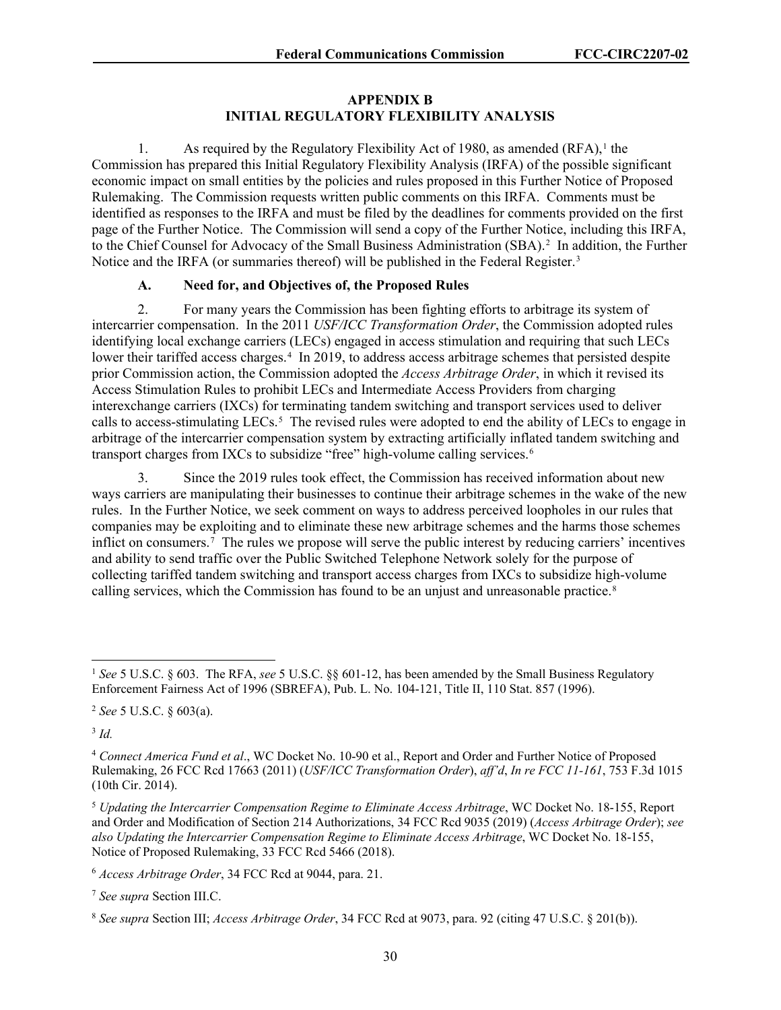## **APPENDIX B INITIAL REGULATORY FLEXIBILITY ANALYSIS**

[1](#page-30-0). As required by the Regulatory Flexibility Act of 1980, as amended  $(RFA)$ ,<sup>1</sup> the Commission has prepared this Initial Regulatory Flexibility Analysis (IRFA) of the possible significant economic impact on small entities by the policies and rules proposed in this Further Notice of Proposed Rulemaking. The Commission requests written public comments on this IRFA. Comments must be identified as responses to the IRFA and must be filed by the deadlines for comments provided on the first page of the Further Notice. The Commission will send a copy of the Further Notice, including this IRFA, to the Chief Counsel for Advocacy of the Small Business Administration (SBA).<sup>[2](#page-30-1)</sup> In addition, the Further Notice and the IRFA (or summaries thereof) will be published in the Federal Register.<sup>[3](#page-30-2)</sup>

## **A. Need for, and Objectives of, the Proposed Rules**

2. For many years the Commission has been fighting efforts to arbitrage its system of intercarrier compensation. In the 2011 *USF/ICC Transformation Order*, the Commission adopted rules identifying local exchange carriers (LECs) engaged in access stimulation and requiring that such LECs lower their tariffed access charges.<sup>[4](#page-30-3)</sup> In 2019, to address access arbitrage schemes that persisted despite prior Commission action, the Commission adopted the *Access Arbitrage Order*, in which it revised its Access Stimulation Rules to prohibit LECs and Intermediate Access Providers from charging interexchange carriers (IXCs) for terminating tandem switching and transport services used to deliver calls to access-stimulating LECs.<sup>[5](#page-30-4)</sup> The revised rules were adopted to end the ability of LECs to engage in arbitrage of the intercarrier compensation system by extracting artificially inflated tandem switching and transport charges from IXCs to subsidize "free" high-volume calling services.<sup>[6](#page-30-5)</sup>

3. Since the 2019 rules took effect, the Commission has received information about new ways carriers are manipulating their businesses to continue their arbitrage schemes in the wake of the new rules. In the Further Notice, we seek comment on ways to address perceived loopholes in our rules that companies may be exploiting and to eliminate these new arbitrage schemes and the harms those schemes inflict on consumers.[7](#page-30-6) The rules we propose will serve the public interest by reducing carriers' incentives and ability to send traffic over the Public Switched Telephone Network solely for the purpose of collecting tariffed tandem switching and transport access charges from IXCs to subsidize high-volume calling services, which the Commission has found to be an unjust and unreasonable practice.<sup>[8](#page-30-7)</sup>

<span id="page-30-2"></span><sup>3</sup> *Id.*

<span id="page-30-0"></span><sup>&</sup>lt;sup>1</sup> See 5 U.S.C. § 603. The RFA, see 5 U.S.C. §§ 601-12, has been amended by the Small Business Regulatory Enforcement Fairness Act of 1996 (SBREFA), Pub. L. No. 104-121, Title II, 110 Stat. 857 (1996).

<span id="page-30-1"></span><sup>2</sup> *See* 5 U.S.C. § 603(a).

<span id="page-30-3"></span><sup>4</sup> *Connect America Fund et al*., WC Docket No. 10-90 et al., Report and Order and Further Notice of Proposed Rulemaking, 26 FCC Rcd 17663 (2011) (*USF/ICC Transformation Order*), *aff'd*, *In re FCC 11-161*, 753 F.3d 1015 (10th Cir. 2014).

<span id="page-30-4"></span><sup>5</sup> *Updating the Intercarrier Compensation Regime to Eliminate Access Arbitrage*, WC Docket No. 18-155, Report and Order and Modification of Section 214 Authorizations, 34 FCC Rcd 9035 (2019) (*Access Arbitrage Order*); *see also Updating the Intercarrier Compensation Regime to Eliminate Access Arbitrage*, WC Docket No. 18-155, Notice of Proposed Rulemaking, 33 FCC Rcd 5466 (2018).

<span id="page-30-5"></span><sup>6</sup> *Access Arbitrage Order*, 34 FCC Rcd at 9044, para. 21.

<span id="page-30-6"></span><sup>7</sup> *See supra* Section III.C.

<span id="page-30-7"></span><sup>8</sup> *See supra* Section III; *Access Arbitrage Order*, 34 FCC Rcd at 9073, para. 92 (citing 47 U.S.C. § 201(b)).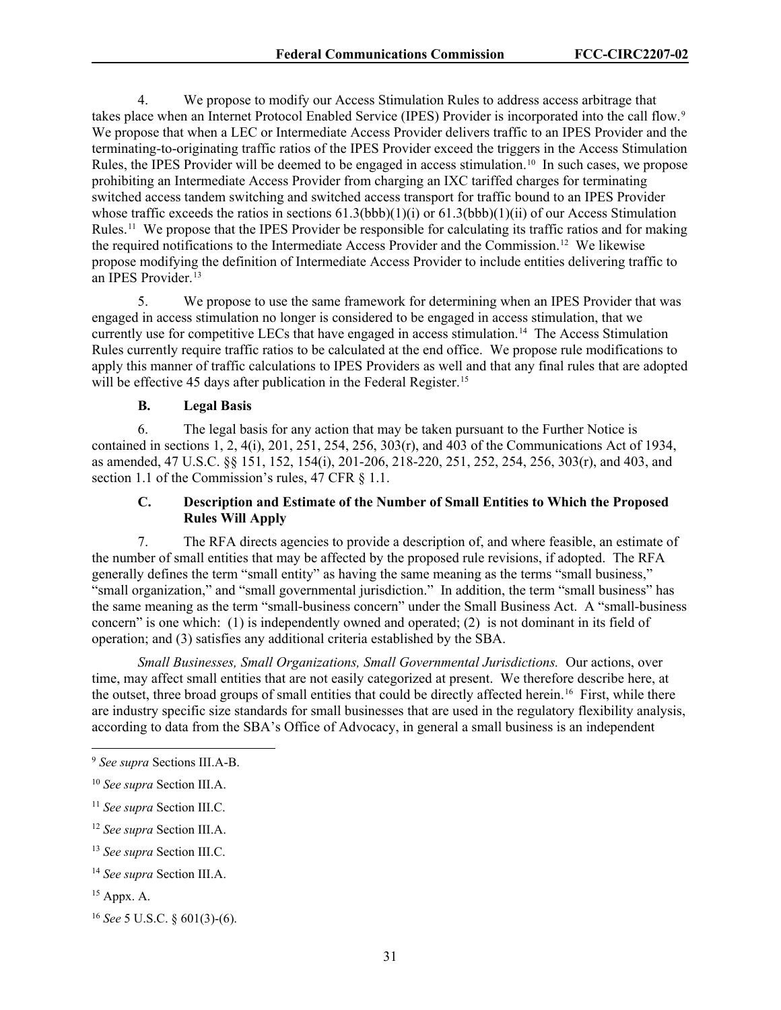4. We propose to modify our Access Stimulation Rules to address access arbitrage that takes place when an Internet Protocol Enabled Service (IPES) Provider is incorporated into the call flow.<sup>[9](#page-31-0)</sup> We propose that when a LEC or Intermediate Access Provider delivers traffic to an IPES Provider and the terminating-to-originating traffic ratios of the IPES Provider exceed the triggers in the Access Stimulation Rules, the IPES Provider will be deemed to be engaged in access stimulation.<sup>10</sup> In such cases, we propose prohibiting an Intermediate Access Provider from charging an IXC tariffed charges for terminating switched access tandem switching and switched access transport for traffic bound to an IPES Provider whose traffic exceeds the ratios in sections  $61.3(bbb)(1)(i)$  or  $61.3(bbb)(1)(ii)$  of our Access Stimulation Rules.<sup>11</sup> We propose that the IPES Provider be responsible for calculating its traffic ratios and for making the required notifications to the Intermediate Access Provider and the Commission. [12](#page-31-3) We likewise propose modifying the definition of Intermediate Access Provider to include entities delivering traffic to an IPES Provider.<sup>[13](#page-31-4)</sup>

5. We propose to use the same framework for determining when an IPES Provider that was engaged in access stimulation no longer is considered to be engaged in access stimulation, that we currently use for competitive LECs that have engaged in access stimulation. [14](#page-31-5) The Access Stimulation Rules currently require traffic ratios to be calculated at the end office. We propose rule modifications to apply this manner of traffic calculations to IPES Providers as well and that any final rules that are adopted will be effective 45 days after publication in the Federal Register.<sup>[15](#page-31-6)</sup>

## **B. Legal Basis**

6. The legal basis for any action that may be taken pursuant to the Further Notice is contained in sections 1, 2,  $4(i)$ ,  $201$ ,  $251$ ,  $254$ ,  $256$ ,  $303(r)$ , and  $403$  of the Communications Act of 1934, as amended, 47 U.S.C. §§ 151, 152, 154(i), 201-206, 218-220, 251, 252, 254, 256, 303(r), and 403, and section 1.1 of the Commission's rules, 47 CFR  $\S$  1.1.

## **C. Description and Estimate of the Number of Small Entities to Which the Proposed Rules Will Apply**

7. The RFA directs agencies to provide a description of, and where feasible, an estimate of the number of small entities that may be affected by the proposed rule revisions, if adopted. The RFA generally defines the term "small entity" as having the same meaning as the terms "small business," "small organization," and "small governmental jurisdiction." In addition, the term "small business" has the same meaning as the term "small-business concern" under the Small Business Act. A "small-business concern" is one which: (1) is independently owned and operated; (2) is not dominant in its field of operation; and (3) satisfies any additional criteria established by the SBA.

*Small Businesses, Small Organizations, Small Governmental Jurisdictions.* Our actions, over time, may affect small entities that are not easily categorized at present. We therefore describe here, at the outset, three broad groups of small entities that could be directly affected herein.<sup>[16](#page-31-7)</sup> First, while there are industry specific size standards for small businesses that are used in the regulatory flexibility analysis, according to data from the SBA's Office of Advocacy, in general a small business is an independent

<span id="page-31-0"></span><sup>9</sup> *See supra* Sections III.A-B.

<span id="page-31-1"></span><sup>10</sup> *See supra* Section III.A.

<span id="page-31-2"></span><sup>11</sup> *See supra* Section III.C.

<span id="page-31-3"></span><sup>12</sup> *See supra* Section III.A.

<span id="page-31-4"></span><sup>13</sup> *See supra* Section III.C.

<span id="page-31-5"></span><sup>14</sup> *See supra* Section III.A.

<span id="page-31-6"></span><sup>15</sup> Appx. A.

<span id="page-31-7"></span><sup>16</sup> *See* 5 U.S.C. § 601(3)-(6).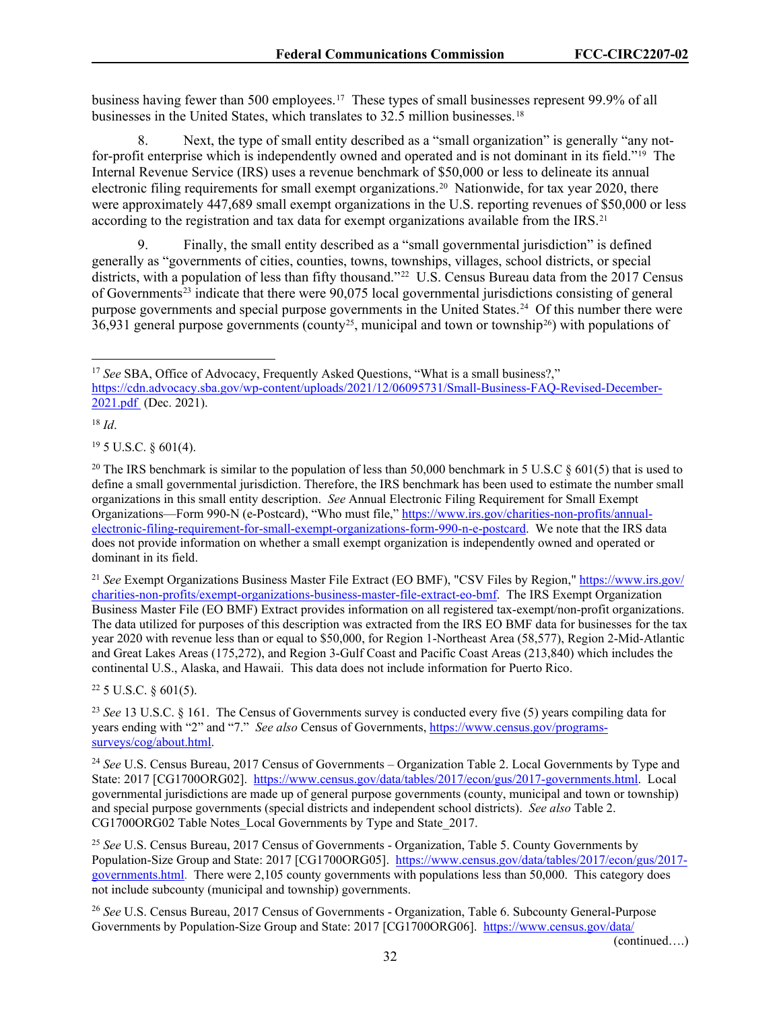business having fewer than 500 employees.[17](#page-32-0) These types of small businesses represent 99.9% of all businesses in the United States, which translates to 32.5 million businesses. [18](#page-32-1)

8. Next, the type of small entity described as a "small organization" is generally "any notfor-profit enterprise which is independently owned and operated and is not dominant in its field."[19](#page-32-2) The Internal Revenue Service (IRS) uses a revenue benchmark of \$50,000 or less to delineate its annual electronic filing requirements for small exempt organizations.<sup>[20](#page-32-3)</sup> Nationwide, for tax year 2020, there were approximately 447,689 small exempt organizations in the U.S. reporting revenues of \$50,000 or less according to the registration and tax data for exempt organizations available from the  $IRS<sup>21</sup>$ 

9. Finally, the small entity described as a "small governmental jurisdiction" is defined generally as "governments of cities, counties, towns, townships, villages, school districts, or special districts, with a population of less than fifty thousand."<sup>22</sup> U.S. Census Bureau data from the 2017 Census of Governments[23](#page-32-6) indicate that there were 90,075 local governmental jurisdictions consisting of general purpose governments and special purpose governments in the United States.<sup>[24](#page-32-7)</sup> Of this number there were 36,931 general purpose governments (county<sup>25</sup>, municipal and town or township<sup>26</sup>) with populations of

<span id="page-32-1"></span><sup>18</sup> *Id*.

<span id="page-32-2"></span> $19$  5 U.S.C.  $\delta$  601(4).

<span id="page-32-4"></span><sup>21</sup> *See* Exempt Organizations Business Master File Extract (EO BMF), "CSV Files by Region," [https://www.irs.gov/](https://www.irs.gov/charities-non-profits/exempt-organizations-business-master-file-extract-eo-bmf) [charities-non-profits/exempt-organizations-business-master-file-extract-eo-bmf.](https://www.irs.gov/charities-non-profits/exempt-organizations-business-master-file-extract-eo-bmf) The IRS Exempt Organization Business Master File (EO BMF) Extract provides information on all registered tax-exempt/non-profit organizations. The data utilized for purposes of this description was extracted from the IRS EO BMF data for businesses for the tax year 2020 with revenue less than or equal to \$50,000, for Region 1-Northeast Area (58,577), Region 2-Mid-Atlantic and Great Lakes Areas (175,272), and Region 3-Gulf Coast and Pacific Coast Areas (213,840) which includes the continental U.S., Alaska, and Hawaii. This data does not include information for Puerto Rico.

<span id="page-32-5"></span> $22$  5 U.S.C.  $\delta$  601(5).

<span id="page-32-6"></span><sup>23</sup> *See* 13 U.S.C. § 161. The Census of Governments survey is conducted every five (5) years compiling data for years ending with "2" and "7." *See also* Census of Governments, [https://www.census.gov/programs](https://www.census.gov/programs-surveys/cog/about.html)[surveys/cog/about.html.](https://www.census.gov/programs-surveys/cog/about.html)

<span id="page-32-7"></span><sup>24</sup> *See* U.S. Census Bureau, 2017 Census of Governments – Organization Table 2. Local Governments by Type and State: 2017 [CG1700ORG02]. [https://www.census.gov/data/tables/2017/econ/gus/2017-governments.html.](https://www.census.gov/data/tables/2017/econ/gus/2017-governments.html) Local governmental jurisdictions are made up of general purpose governments (county, municipal and town or township) and special purpose governments (special districts and independent school districts). *See also* Table 2. CG1700ORG02 Table Notes Local Governments by Type and State 2017.

<span id="page-32-8"></span><sup>25</sup> *See* U.S. Census Bureau, 2017 Census of Governments - Organization, Table 5. County Governments by Population-Size Group and State: 2017 [CG1700ORG05]. [https://www.census.gov/data/tables/2017/econ/gus/2017](https://www.census.gov/data/tables/2017/econ/gus/2017-governments.html) [governments.html.](https://www.census.gov/data/tables/2017/econ/gus/2017-governments.html) There were 2,105 county governments with populations less than 50,000. This category does not include subcounty (municipal and township) governments.

<span id="page-32-9"></span><sup>26</sup> *See* U.S. Census Bureau, 2017 Census of Governments - Organization, Table 6. Subcounty General-Purpose Governments by Population-Size Group and State: 2017 [CG1700ORG06]. [https://www.census.gov/data/](https://www.census.gov/data/%E2%80%8Ctables/2017/econ/gus/2017-governments.html)

(continued….)

<span id="page-32-0"></span><sup>&</sup>lt;sup>17</sup> See SBA, Office of Advocacy, Frequently Asked Questions, "What is a small business?," [https://cdn.advocacy.sba.gov/wp-content/uploads/2021/12/06095731/Small-Business-FAQ-Revised-December-](https://cdn.advocacy.sba.gov/wp-content/uploads/2021/12/06095731/Small-Business-FAQ-Revised-December-2021.pdf)[2021.pdf](https://cdn.advocacy.sba.gov/wp-content/uploads/2021/12/06095731/Small-Business-FAQ-Revised-December-2021.pdf) (Dec. 2021).

<span id="page-32-3"></span><sup>&</sup>lt;sup>20</sup> The IRS benchmark is similar to the population of less than 50,000 benchmark in 5 U.S.C  $\S$  601(5) that is used to define a small governmental jurisdiction. Therefore, the IRS benchmark has been used to estimate the number small organizations in this small entity description. *See* Annual Electronic Filing Requirement for Small Exempt Organizations—Form 990-N (e-Postcard), "Who must file," [https://www.irs.gov/charities-non-profits/annual](https://www.irs.gov/charities-non-profits/annual-electronic-filing-requirement-for-small-exempt-organizations-form-990-n-e-postcard)[electronic-filing-requirement-for-small-exempt-organizations-form-990-n-e-postcard.](https://www.irs.gov/charities-non-profits/annual-electronic-filing-requirement-for-small-exempt-organizations-form-990-n-e-postcard) We note that the IRS data does not provide information on whether a small exempt organization is independently owned and operated or dominant in its field.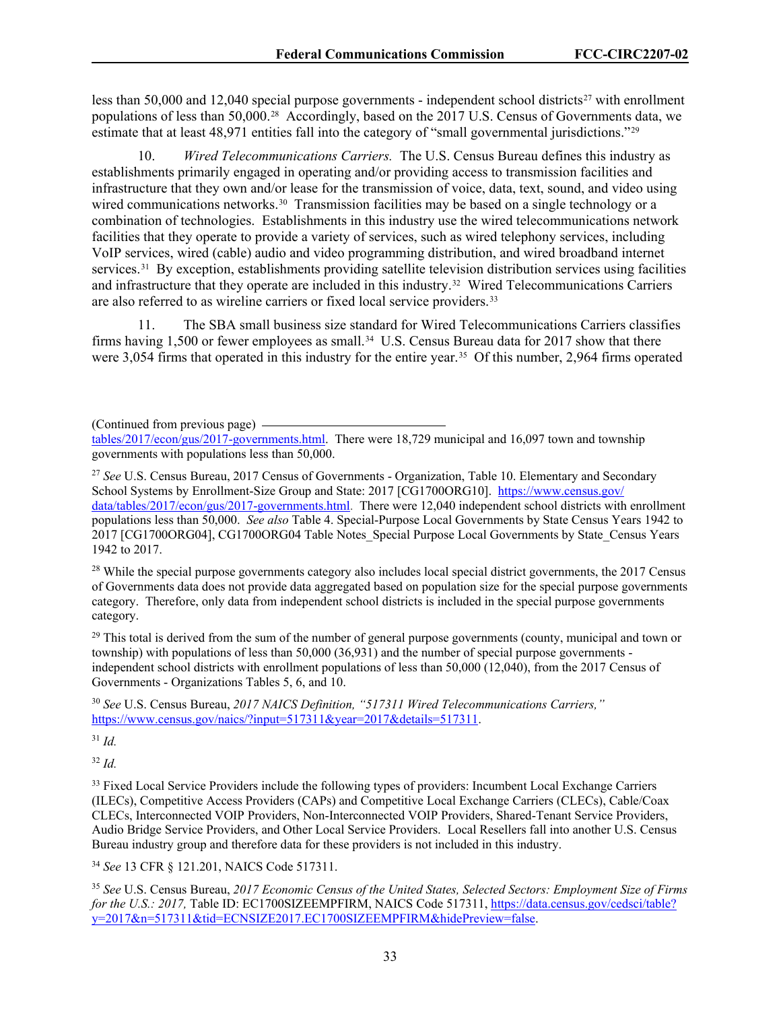less than 50,000 and 12,040 special purpose governments - independent school districts<sup>[27](#page-33-0)</sup> with enrollment populations of less than 50,000. [28](#page-33-1) Accordingly, based on the 2017 U.S. Census of Governments data, we estimate that at least 48,971 entities fall into the category of "small governmental jurisdictions."[29](#page-33-2)

10. *Wired Telecommunications Carriers.* The U.S. Census Bureau defines this industry as establishments primarily engaged in operating and/or providing access to transmission facilities and infrastructure that they own and/or lease for the transmission of voice, data, text, sound, and video using wired communications networks.<sup>[30](#page-33-3)</sup> Transmission facilities may be based on a single technology or a combination of technologies. Establishments in this industry use the wired telecommunications network facilities that they operate to provide a variety of services, such as wired telephony services, including VoIP services, wired (cable) audio and video programming distribution, and wired broadband internet services.<sup>[31](#page-33-4)</sup> By exception, establishments providing satellite television distribution services using facilities and infrastructure that they operate are included in this industry.<sup>[32](#page-33-5)</sup> Wired Telecommunications Carriers are also referred to as wireline carriers or fixed local service providers.<sup>33</sup>

11. The SBA small business size standard for Wired Telecommunications Carriers classifies firms having 1,500 or fewer employees as small.<sup>[34](#page-33-7)</sup> U.S. Census Bureau data for 2017 show that there were 3,054 firms that operated in this industry for the entire year.<sup>[35](#page-33-8)</sup> Of this number, 2,964 firms operated

(Continued from previous page)

<span id="page-33-0"></span><sup>27</sup> See U.S. Census Bureau, 2017 Census of Governments - Organization, Table 10. Elementary and Secondary School Systems by Enrollment-Size Group and State: 2017 [CG1700ORG10]. [https://www.census.gov/](https://www.census.gov/data/tables/2017/econ/gus/2017-governments.html) [data/tables/2017/econ/gus/2017-governments.html.](https://www.census.gov/data/tables/2017/econ/gus/2017-governments.html) There were 12,040 independent school districts with enrollment populations less than 50,000. *See also* Table 4. Special-Purpose Local Governments by State Census Years 1942 to 2017 [CG1700ORG04], CG1700ORG04 Table Notes\_Special Purpose Local Governments by State\_Census Years 1942 to 2017.

<span id="page-33-1"></span> $^{28}$  While the special purpose governments category also includes local special district governments, the 2017 Census of Governments data does not provide data aggregated based on population size for the special purpose governments category. Therefore, only data from independent school districts is included in the special purpose governments category.

<span id="page-33-2"></span><sup>29</sup> This total is derived from the sum of the number of general purpose governments (county, municipal and town or township) with populations of less than 50,000 (36,931) and the number of special purpose governments independent school districts with enrollment populations of less than 50,000 (12,040), from the 2017 Census of Governments - Organizations Tables 5, 6, and 10.

<span id="page-33-3"></span><sup>30</sup> *See* U.S. Census Bureau, *2017 NAICS Definition, "517311 Wired Telecommunications Carriers,"* [https://www.census.gov/naics/?input=517311&year=2017&details=517311.](https://www.census.gov/naics/?input=517311&year=2017&details=517311)

<span id="page-33-4"></span><sup>31</sup> *Id.*

<span id="page-33-5"></span><sup>32</sup> *Id.*

<span id="page-33-6"></span><sup>33</sup> Fixed Local Service Providers include the following types of providers: Incumbent Local Exchange Carriers (ILECs), Competitive Access Providers (CAPs) and Competitive Local Exchange Carriers (CLECs), Cable/Coax CLECs, Interconnected VOIP Providers, Non-Interconnected VOIP Providers, Shared-Tenant Service Providers, Audio Bridge Service Providers, and Other Local Service Providers. Local Resellers fall into another U.S. Census Bureau industry group and therefore data for these providers is not included in this industry.

<span id="page-33-7"></span><sup>34</sup> *See* 13 CFR § 121.201, NAICS Code 517311.

<span id="page-33-8"></span><sup>35</sup> *See* U.S. Census Bureau, *2017 Economic Census of the United States, Selected Sectors: Employment Size of Firms for the U.S.: 2017, Table ID: EC1700SIZEEMPFIRM, NAICS Code 517311, [https://data.census.gov/cedsci/table?](https://data.census.gov/cedsci/table?y=2017&n=517311&tid=ECNSIZE2017.EC1700SIZEEMPFIRM&hidePreview=false)* [y=2017&n=517311&tid=ECNSIZE2017.EC1700SIZEEMPFIRM&hidePreview=false.](https://data.census.gov/cedsci/table?y=2017&n=517311&tid=ECNSIZE2017.EC1700SIZEEMPFIRM&hidePreview=false)

[tables/2017/econ/gus/2017-governments.html.](https://www.census.gov/data/%E2%80%8Ctables/2017/econ/gus/2017-governments.html) There were 18,729 municipal and 16,097 town and township governments with populations less than 50,000.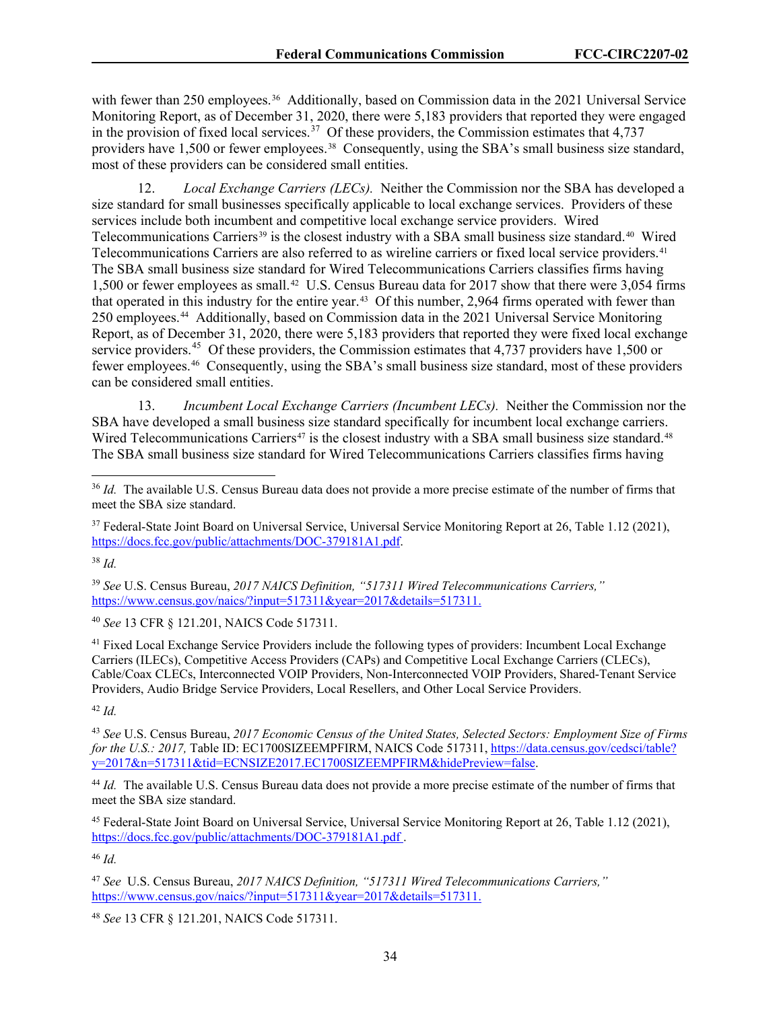with fewer than 250 employees.<sup>36</sup> Additionally, based on Commission data in the 2021 Universal Service Monitoring Report, as of December 31, 2020, there were 5,183 providers that reported they were engaged in the provision of fixed local services.<sup>37</sup> Of these providers, the Commission estimates that 4,737 providers have 1,500 or fewer employees.<sup>38</sup> Consequently, using the SBA's small business size standard, most of these providers can be considered small entities.

12. *Local Exchange Carriers (LECs).* Neither the Commission nor the SBA has developed a size standard for small businesses specifically applicable to local exchange services. Providers of these services include both incumbent and competitive local exchange service providers. Wired Telecommunications Carriers<sup>[39](#page-34-3)</sup> is the closest industry with a SBA small business size standard.<sup>[40](#page-34-4)</sup> Wired Telecommunications Carriers are also referred to as wireline carriers or fixed local service providers.<sup>41</sup> The SBA small business size standard for Wired Telecommunications Carriers classifies firms having 1,500 or fewer employees as small.[42](#page-34-6) U.S. Census Bureau data for 2017 show that there were 3,054 firms that operated in this industry for the entire year.<sup>43</sup> Of this number, 2,964 firms operated with fewer than 250 employees.[44](#page-34-8) Additionally, based on Commission data in the 2021 Universal Service Monitoring Report, as of December 31, 2020, there were 5,183 providers that reported they were fixed local exchange service providers.<sup>45</sup> Of these providers, the Commission estimates that 4,737 providers have 1,500 or fewer employees.[46](#page-34-10) Consequently, using the SBA's small business size standard, most of these providers can be considered small entities.

13. *Incumbent Local Exchange Carriers (Incumbent LECs).* Neither the Commission nor the SBA have developed a small business size standard specifically for incumbent local exchange carriers. Wired Telecommunications Carriers<sup>[47](#page-34-11)</sup> is the closest industry with a SBA small business size standard.<sup>48</sup> The SBA small business size standard for Wired Telecommunications Carriers classifies firms having

<span id="page-34-2"></span><sup>38</sup> *Id.*

<span id="page-34-3"></span><sup>39</sup> *See* U.S. Census Bureau, *2017 NAICS Definition, "517311 Wired Telecommunications Carriers,"* [https://www.census.gov/naics/?input=517311&year=2017&details=517311.](https://www.census.gov/naics/?input=517311&year=2017&details=517311)

<span id="page-34-4"></span><sup>40</sup> *See* 13 CFR § 121.201, NAICS Code 517311.

<span id="page-34-5"></span><sup>41</sup> Fixed Local Exchange Service Providers include the following types of providers: Incumbent Local Exchange Carriers (ILECs), Competitive Access Providers (CAPs) and Competitive Local Exchange Carriers (CLECs), Cable/Coax CLECs, Interconnected VOIP Providers, Non-Interconnected VOIP Providers, Shared-Tenant Service Providers, Audio Bridge Service Providers, Local Resellers, and Other Local Service Providers.

<span id="page-34-6"></span><sup>42</sup> *Id.*

<span id="page-34-7"></span><sup>43</sup> *See* U.S. Census Bureau, *2017 Economic Census of the United States, Selected Sectors: Employment Size of Firms*  for the U.S.: 2017, Table ID: EC1700SIZEEMPFIRM, NAICS Code 517311, [https://data.census.gov/cedsci/table?](https://data.census.gov/cedsci/table?y=2017&n=517311&tid=ECNSIZE2017.EC1700SIZEEMPFIRM&hidePreview=false) [y=2017&n=517311&tid=ECNSIZE2017.EC1700SIZEEMPFIRM&hidePreview=false.](https://data.census.gov/cedsci/table?y=2017&n=517311&tid=ECNSIZE2017.EC1700SIZEEMPFIRM&hidePreview=false)

<span id="page-34-8"></span><sup>44</sup> *Id.* The available U.S. Census Bureau data does not provide a more precise estimate of the number of firms that meet the SBA size standard.

<span id="page-34-9"></span><sup>45</sup> Federal-State Joint Board on Universal Service, Universal Service Monitoring Report at 26, Table 1.12 (2021), <https://docs.fcc.gov/public/attachments/DOC-379181A1.pdf> .

<span id="page-34-10"></span><sup>46</sup> *Id.*

<span id="page-34-11"></span><sup>47</sup> *See* U.S. Census Bureau, *2017 NAICS Definition, "517311 Wired Telecommunications Carriers,"* [https://www.census.gov/naics/?input=517311&year=2017&details=517311.](https://www.census.gov/naics/?input=517311&year=2017&details=517311)

<span id="page-34-12"></span><sup>48</sup> *See* 13 CFR § 121.201, NAICS Code 517311.

<span id="page-34-0"></span><sup>&</sup>lt;sup>36</sup> *Id.* The available U.S. Census Bureau data does not provide a more precise estimate of the number of firms that meet the SBA size standard.

<span id="page-34-1"></span><sup>&</sup>lt;sup>37</sup> Federal-State Joint Board on Universal Service, Universal Service Monitoring Report at 26, Table 1.12 (2021), [https://docs.fcc.gov/public/attachments/DOC-379181A1.pdf.](https://docs.fcc.gov/public/attachments/DOC-379181A1.pdf)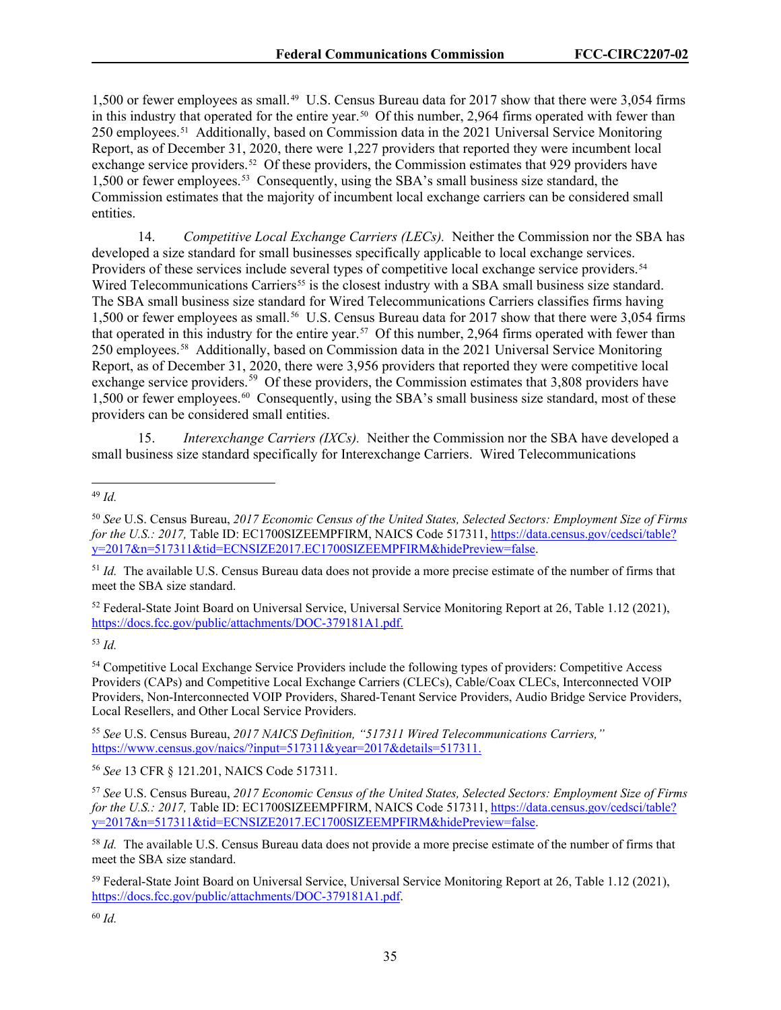1,500 or fewer employees as small.<sup>[49](#page-35-0)</sup> U.S. Census Bureau data for 2017 show that there were 3,054 firms in this industry that operated for the entire year.<sup>50</sup> Of this number, 2,964 firms operated with fewer than 250 employees.[51](#page-35-2) Additionally, based on Commission data in the 2021 Universal Service Monitoring Report, as of December 31, 2020, there were 1,227 providers that reported they were incumbent local exchange service providers.<sup>[52](#page-35-3)</sup> Of these providers, the Commission estimates that 929 providers have 1,500 or fewer employees.[53](#page-35-4) Consequently, using the SBA's small business size standard, the Commission estimates that the majority of incumbent local exchange carriers can be considered small entities.

14. *Competitive Local Exchange Carriers (LECs).* Neither the Commission nor the SBA has developed a size standard for small businesses specifically applicable to local exchange services. Providers of these services include several types of competitive local exchange service providers.<sup>[54](#page-35-5)</sup> Wired Telecommunications Carriers<sup>[55](#page-35-6)</sup> is the closest industry with a SBA small business size standard. The SBA small business size standard for Wired Telecommunications Carriers classifies firms having 1,500 or fewer employees as small.<sup>[56](#page-35-7)</sup> U.S. Census Bureau data for 2017 show that there were 3,054 firms that operated in this industry for the entire year.<sup>57</sup> Of this number, 2,964 firms operated with fewer than 250 employees.[58](#page-35-9) Additionally, based on Commission data in the 2021 Universal Service Monitoring Report, as of December 31, 2020, there were 3,956 providers that reported they were competitive local exchange service providers.<sup>[59](#page-35-10)</sup> Of these providers, the Commission estimates that 3,808 providers have 1,500 or fewer employees.[60](#page-35-11) Consequently, using the SBA's small business size standard, most of these providers can be considered small entities.

15. *Interexchange Carriers (IXCs).* Neither the Commission nor the SBA have developed a small business size standard specifically for Interexchange Carriers. Wired Telecommunications

<span id="page-35-2"></span><sup>51</sup> *Id.* The available U.S. Census Bureau data does not provide a more precise estimate of the number of firms that meet the SBA size standard.

<span id="page-35-3"></span><sup>52</sup> Federal-State Joint Board on Universal Service, Universal Service Monitoring Report at 26, Table 1.12 (2021), [https://docs.fcc.gov/public/attachments/DOC-379181A1.pdf.](https://docs.fcc.gov/public/attachments/DOC-379181A1.pdf)

<span id="page-35-4"></span><sup>53</sup> *Id.*

<span id="page-35-5"></span><sup>54</sup> Competitive Local Exchange Service Providers include the following types of providers: Competitive Access Providers (CAPs) and Competitive Local Exchange Carriers (CLECs), Cable/Coax CLECs, Interconnected VOIP Providers, Non-Interconnected VOIP Providers, Shared-Tenant Service Providers, Audio Bridge Service Providers, Local Resellers, and Other Local Service Providers.

<span id="page-35-6"></span><sup>55</sup> *See* U.S. Census Bureau, *2017 NAICS Definition, "517311 Wired Telecommunications Carriers,"* [https://www.census.gov/naics/?input=517311&year=2017&details=517311.](https://www.census.gov/naics/?input=517311&year=2017&details=517311)

<span id="page-35-7"></span><sup>56</sup> *See* 13 CFR § 121.201, NAICS Code 517311.

<span id="page-35-8"></span><sup>57</sup> *See* U.S. Census Bureau, *2017 Economic Census of the United States, Selected Sectors: Employment Size of Firms for the U.S.: 2017, Table ID: EC1700SIZEEMPFIRM, NAICS Code 517311, [https://data.census.gov/cedsci/table?](https://data.census.gov/cedsci/table?y=2017&n=517311&tid=ECNSIZE2017.EC1700SIZEEMPFIRM&hidePreview=false)* [y=2017&n=517311&tid=ECNSIZE2017.EC1700SIZEEMPFIRM&hidePreview=false.](https://data.census.gov/cedsci/table?y=2017&n=517311&tid=ECNSIZE2017.EC1700SIZEEMPFIRM&hidePreview=false)

<span id="page-35-9"></span><sup>58</sup> *Id.* The available U.S. Census Bureau data does not provide a more precise estimate of the number of firms that meet the SBA size standard.

<span id="page-35-10"></span><sup>59</sup> Federal-State Joint Board on Universal Service, Universal Service Monitoring Report at 26, Table 1.12 (2021), [https://docs.fcc.gov/public/attachments/DOC-379181A1.pdf.](https://docs.fcc.gov/public/attachments/DOC-379181A1.pdf)

<span id="page-35-0"></span><sup>49</sup> *Id.*

<span id="page-35-1"></span><sup>50</sup> *See* U.S. Census Bureau, *2017 Economic Census of the United States, Selected Sectors: Employment Size of Firms for the U.S.: 2017, Table ID: EC1700SIZEEMPFIRM, NAICS Code 517311, [https://data.census.gov/cedsci/table?](https://data.census.gov/cedsci/table?y=2017&n=517311&tid=ECNSIZE2017.EC1700SIZEEMPFIRM&hidePreview=false)* [y=2017&n=517311&tid=ECNSIZE2017.EC1700SIZEEMPFIRM&hidePreview=false.](https://data.census.gov/cedsci/table?y=2017&n=517311&tid=ECNSIZE2017.EC1700SIZEEMPFIRM&hidePreview=false)

<span id="page-35-11"></span><sup>60</sup> *Id.*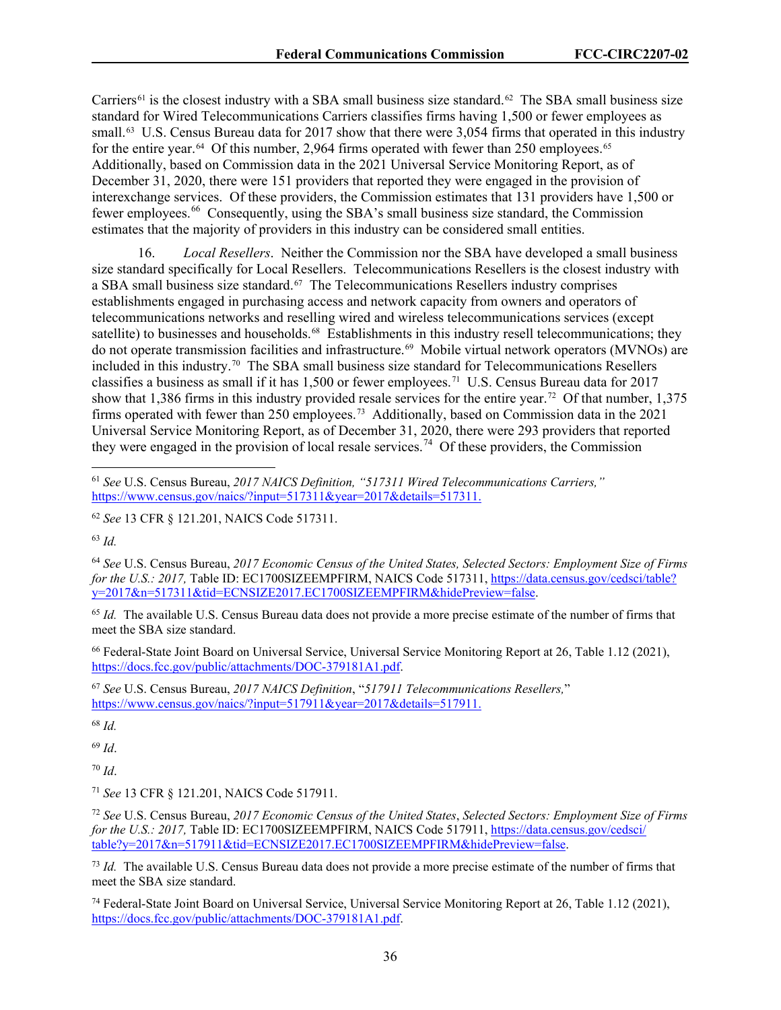Carriers<sup>[61](#page-36-0)</sup> is the closest industry with a SBA small business size standard.<sup>[62](#page-36-1)</sup> The SBA small business size standard for Wired Telecommunications Carriers classifies firms having 1,500 or fewer employees as small.<sup>63</sup> U.S. Census Bureau data for 2017 show that there were 3,054 firms that operated in this industry for the entire year.<sup>[64](#page-36-3)</sup> Of this number, 2,964 firms operated with fewer than 250 employees.<sup>65</sup> Additionally, based on Commission data in the 2021 Universal Service Monitoring Report, as of December 31, 2020, there were 151 providers that reported they were engaged in the provision of interexchange services. Of these providers, the Commission estimates that 131 providers have 1,500 or fewer employees.<sup>[66](#page-36-5)</sup> Consequently, using the SBA's small business size standard, the Commission estimates that the majority of providers in this industry can be considered small entities.

16. *Local Resellers*. Neither the Commission nor the SBA have developed a small business size standard specifically for Local Resellers. Telecommunications Resellers is the closest industry with a SBA small business size standard.[67](#page-36-6) The Telecommunications Resellers industry comprises establishments engaged in purchasing access and network capacity from owners and operators of telecommunications networks and reselling wired and wireless telecommunications services (except satellite) to businesses and households.<sup>68</sup> Establishments in this industry resell telecommunications; they do not operate transmission facilities and infrastructure.<sup>[69](#page-36-8)</sup> Mobile virtual network operators (MVNOs) are included in this industry. [70](#page-36-9) The SBA small business size standard for Telecommunications Resellers classifies a business as small if it has 1,500 or fewer employees.<sup>71</sup> U.S. Census Bureau data for 2017 show that 1,386 firms in this industry provided resale services for the entire year.[72](#page-36-11) Of that number, 1,375 firms operated with fewer than 250 employees.<sup>[73](#page-36-12)</sup> Additionally, based on Commission data in the 2021 Universal Service Monitoring Report, as of December 31, 2020, there were 293 providers that reported they were engaged in the provision of local resale services.<sup>[74](#page-36-13)</sup> Of these providers, the Commission

<span id="page-36-2"></span><sup>63</sup> *Id.*

<span id="page-36-3"></span><sup>64</sup> *See* U.S. Census Bureau, *2017 Economic Census of the United States, Selected Sectors: Employment Size of Firms for the U.S.: 2017, Table ID: EC1700SIZEEMPFIRM, NAICS Code 517311, [https://data.census.gov/cedsci/table?](https://data.census.gov/cedsci/table?y=2017&n=517311&tid=ECNSIZE2017.EC1700SIZEEMPFIRM&hidePreview=false)*  $y=2017&n=517311&\text{tid}=\text{ECNSIZE}2017.\text{EC}1700\text{SIZE}$ EMPFIRM&hidePreview=false.

<span id="page-36-4"></span><sup>65</sup> *Id.* The available U.S. Census Bureau data does not provide a more precise estimate of the number of firms that meet the SBA size standard.

<span id="page-36-5"></span><sup>66</sup> Federal-State Joint Board on Universal Service, Universal Service Monitoring Report at 26, Table 1.12 (2021), [https://docs.fcc.gov/public/attachments/DOC-379181A1.pdf.](https://docs.fcc.gov/public/attachments/DOC-379181A1.pdf)

<span id="page-36-6"></span><sup>67</sup> *See* U.S. Census Bureau, *2017 NAICS Definition*, "*517911 Telecommunications Resellers,*" [https://www.census.gov/naics/?input=517911&year=2017&details=517911.](https://www.census.gov/naics/?input=517911&year=2017&details=517911)

<span id="page-36-7"></span><sup>68</sup> *Id.*

<span id="page-36-8"></span><sup>69</sup> *Id*.

<span id="page-36-9"></span><sup>70</sup> *Id*.

<span id="page-36-10"></span><sup>71</sup> *See* 13 CFR § 121.201, NAICS Code 517911.

<span id="page-36-11"></span><sup>72</sup> *See* U.S. Census Bureau, *2017 Economic Census of the United States*, *Selected Sectors: Employment Size of Firms for the U.S.: 2017, Table ID: EC1700SIZEEMPFIRM, NAICS Code 517911, [https://data.census.gov/cedsci/](https://data.census.gov/cedsci/table?y=2017&n=517911&tid=ECNSIZE2017.EC1700SIZEEMPFIRM&hidePreview=false)* [table?y=2017&n=517911&tid=ECNSIZE2017.EC1700SIZEEMPFIRM&hidePreview=false.](https://data.census.gov/cedsci/table?y=2017&n=517911&tid=ECNSIZE2017.EC1700SIZEEMPFIRM&hidePreview=false)

<span id="page-36-12"></span><sup>73</sup> *Id.* The available U.S. Census Bureau data does not provide a more precise estimate of the number of firms that meet the SBA size standard.

<span id="page-36-13"></span><sup>74</sup> Federal-State Joint Board on Universal Service, Universal Service Monitoring Report at 26, Table 1.12 (2021), [https://docs.fcc.gov/public/attachments/DOC-379181A1.pdf.](https://docs.fcc.gov/public/attachments/DOC-379181A1.pdf)

<span id="page-36-0"></span><sup>61</sup> *See* U.S. Census Bureau, *2017 NAICS Definition, "517311 Wired Telecommunications Carriers,"* [https://www.census.gov/naics/?input=517311&year=2017&details=517311.](https://www.census.gov/naics/?input=517311&year=2017&details=517311)

<span id="page-36-1"></span><sup>62</sup> *See* 13 CFR § 121.201, NAICS Code 517311.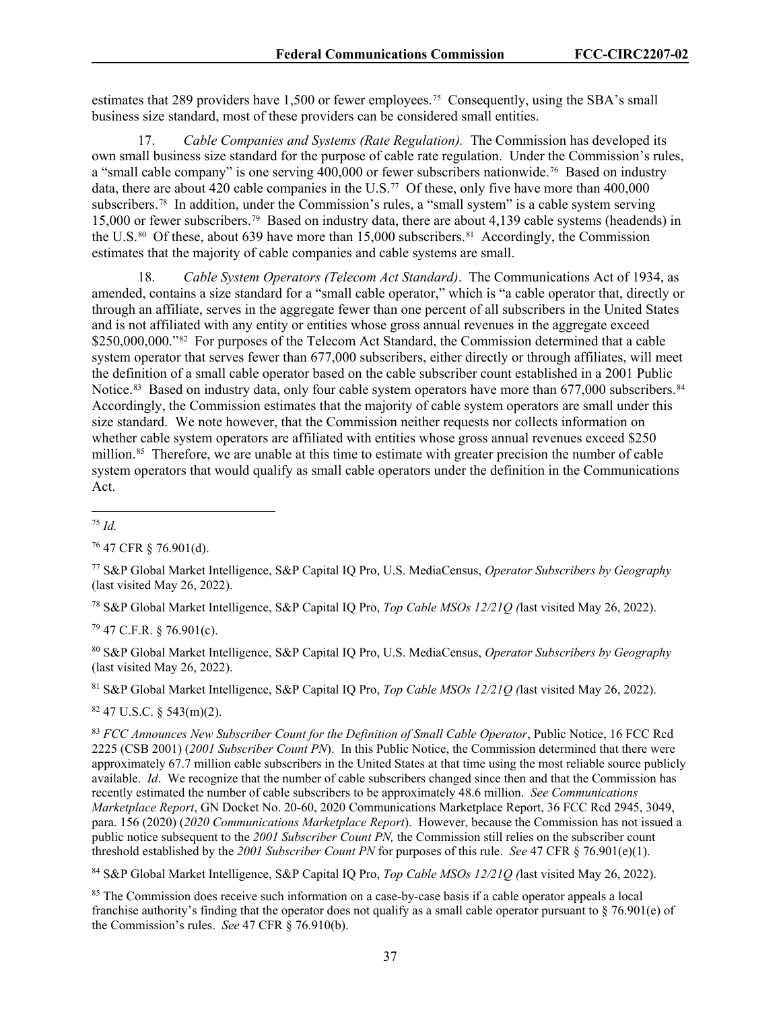estimates that 289 providers have 1,500 or fewer employees.<sup>[75](#page-37-0)</sup> Consequently, using the SBA's small business size standard, most of these providers can be considered small entities.

17. *Cable Companies and Systems (Rate Regulation).* The Commission has developed its own small business size standard for the purpose of cable rate regulation. Under the Commission's rules, a "small cable company" is one serving 400,000 or fewer subscribers nationwide.<sup>76</sup> Based on industry data, there are about 420 cable companies in the U.S.<sup>77</sup> Of these, only five have more than 400,000 subscribers.<sup>[78](#page-37-3)</sup> In addition, under the Commission's rules, a "small system" is a cable system serving 15,000 or fewer subscribers.[79](#page-37-4) Based on industry data, there are about 4,139 cable systems (headends) in the U.S.<sup>80</sup> Of these, about 639 have more than 15,000 subscribers.<sup>81</sup> Accordingly, the Commission estimates that the majority of cable companies and cable systems are small.

18. *Cable System Operators (Telecom Act Standard)*. The Communications Act of 1934, as amended, contains a size standard for a "small cable operator," which is "a cable operator that, directly or through an affiliate, serves in the aggregate fewer than one percent of all subscribers in the United States and is not affiliated with any entity or entities whose gross annual revenues in the aggregate exceed \$250,000,000."<sup>[82](#page-37-7)</sup> For purposes of the Telecom Act Standard, the Commission determined that a cable system operator that serves fewer than 677,000 subscribers, either directly or through affiliates, will meet the definition of a small cable operator based on the cable subscriber count established in a 2001 Public Notice.<sup>[83](#page-37-8)</sup> Based on industry data, only four cable system operators have more than 677,000 subscribers.<sup>[84](#page-37-9)</sup> Accordingly, the Commission estimates that the majority of cable system operators are small under this size standard. We note however, that the Commission neither requests nor collects information on whether cable system operators are affiliated with entities whose gross annual revenues exceed \$250 million.<sup>[85](#page-37-10)</sup> Therefore, we are unable at this time to estimate with greater precision the number of cable system operators that would qualify as small cable operators under the definition in the Communications Act.

<span id="page-37-1"></span><sup>76</sup> 47 CFR § 76.901(d).

<span id="page-37-2"></span><sup>77</sup> S&P Global Market Intelligence, S&P Capital IQ Pro, U.S. MediaCensus, *Operator Subscribers by Geography* (last visited May 26, 2022).

<span id="page-37-3"></span><sup>78</sup> S&P Global Market Intelligence, S&P Capital IQ Pro, *Top Cable MSOs 12/21Q (*last visited May 26, 2022).

<span id="page-37-4"></span> $79$  47 C.F.R. § 76.901(c).

<span id="page-37-5"></span><sup>80</sup> S&P Global Market Intelligence, S&P Capital IQ Pro, U.S. MediaCensus, *Operator Subscribers by Geography* (last visited May 26, 2022).

<span id="page-37-6"></span><sup>81</sup> S&P Global Market Intelligence, S&P Capital IQ Pro, *Top Cable MSOs 12/21Q (*last visited May 26, 2022).

<span id="page-37-7"></span> $82$  47 U.S.C. § 543(m)(2).

<span id="page-37-8"></span><sup>83</sup> *FCC Announces New Subscriber Count for the Definition of Small Cable Operator*, Public Notice, 16 FCC Rcd 2225 (CSB 2001) (*2001 Subscriber Count PN*). In this Public Notice, the Commission determined that there were approximately 67.7 million cable subscribers in the United States at that time using the most reliable source publicly available. *Id*. We recognize that the number of cable subscribers changed since then and that the Commission has recently estimated the number of cable subscribers to be approximately 48.6 million. *See Communications Marketplace Report*, GN Docket No. 20-60, 2020 Communications Marketplace Report, 36 FCC Rcd 2945, 3049, para. 156 (2020) (*2020 Communications Marketplace Report*). However, because the Commission has not issued a public notice subsequent to the *2001 Subscriber Count PN,* the Commission still relies on the subscriber count threshold established by the *2001 Subscriber Count PN* for purposes of this rule. *See* 47 CFR § 76.901(e)(1).

<span id="page-37-9"></span><sup>84</sup> S&P Global Market Intelligence, S&P Capital IQ Pro, *Top Cable MSOs 12/21Q (*last visited May 26, 2022).

<span id="page-37-10"></span><sup>85</sup> The Commission does receive such information on a case-by-case basis if a cable operator appeals a local franchise authority's finding that the operator does not qualify as a small cable operator pursuant to  $\S$  76.901(e) of the Commission's rules. *See* 47 CFR § 76.910(b).

<span id="page-37-0"></span><sup>75</sup> *Id.*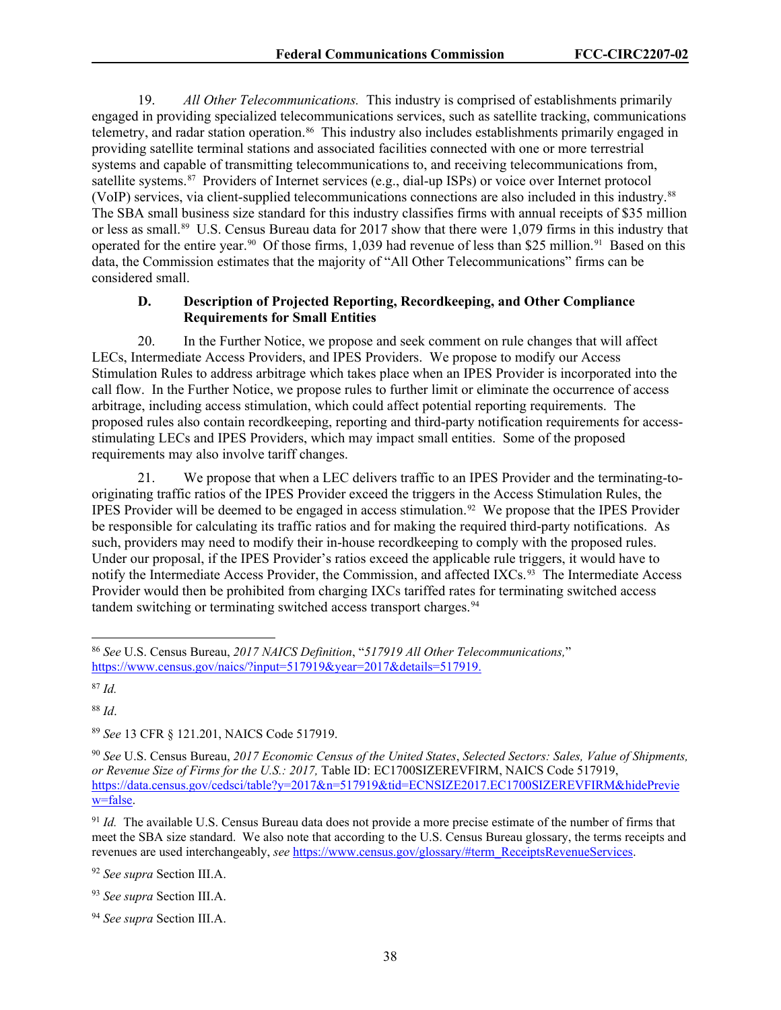19. *All Other Telecommunications.*This industry is comprised of establishments primarily engaged in providing specialized telecommunications services, such as satellite tracking, communications telemetry, and radar station operation.<sup>[86](#page-38-0)</sup> This industry also includes establishments primarily engaged in providing satellite terminal stations and associated facilities connected with one or more terrestrial systems and capable of transmitting telecommunications to, and receiving telecommunications from, satellite systems.[87](#page-38-1) Providers of Internet services (e.g., dial-up ISPs) or voice over Internet protocol (VoIP) services, via client-supplied telecommunications connections are also included in this industry.[88](#page-38-2) The SBA small business size standard for this industry classifies firms with annual receipts of \$35 million or less as small. [89](#page-38-3) U.S. Census Bureau data for 2017 show that there were 1,079 firms in this industry that operated for the entire year.<sup>90</sup> Of those firms, 1,039 had revenue of less than \$25 million.<sup>91</sup> Based on this data, the Commission estimates that the majority of "All Other Telecommunications" firms can be considered small.

## **D. Description of Projected Reporting, Recordkeeping, and Other Compliance Requirements for Small Entities**

20. In the Further Notice, we propose and seek comment on rule changes that will affect LECs, Intermediate Access Providers, and IPES Providers. We propose to modify our Access Stimulation Rules to address arbitrage which takes place when an IPES Provider is incorporated into the call flow. In the Further Notice, we propose rules to further limit or eliminate the occurrence of access arbitrage, including access stimulation, which could affect potential reporting requirements. The proposed rules also contain recordkeeping, reporting and third-party notification requirements for accessstimulating LECs and IPES Providers, which may impact small entities. Some of the proposed requirements may also involve tariff changes.

21. We propose that when a LEC delivers traffic to an IPES Provider and the terminating-tooriginating traffic ratios of the IPES Provider exceed the triggers in the Access Stimulation Rules, the IPES Provider will be deemed to be engaged in access stimulation.<sup>[92](#page-38-6)</sup> We propose that the IPES Provider be responsible for calculating its traffic ratios and for making the required third-party notifications. As such, providers may need to modify their in-house recordkeeping to comply with the proposed rules. Under our proposal, if the IPES Provider's ratios exceed the applicable rule triggers, it would have to notify the Intermediate Access Provider, the Commission, and affected IXCs.<sup>93</sup> The Intermediate Access Provider would then be prohibited from charging IXCs tariffed rates for terminating switched access tandem switching or terminating switched access transport charges.<sup>94</sup>

<span id="page-38-1"></span><sup>87</sup> *Id.*

<span id="page-38-2"></span><sup>88</sup> *Id*.

<span id="page-38-3"></span><sup>89</sup> *See* 13 CFR § 121.201, NAICS Code 517919.

<span id="page-38-6"></span><sup>92</sup> *See supra* Section III.A.

<span id="page-38-0"></span><sup>86</sup> *See* U.S. Census Bureau, *2017 NAICS Definition*, "*517919 All Other Telecommunications,*" https://www.census.gov/naics/?input=517919&year=2017&details=517919.

<span id="page-38-4"></span><sup>90</sup> *See* U.S. Census Bureau, *2017 Economic Census of the United States*, *Selected Sectors: Sales, Value of Shipments, or Revenue Size of Firms for the U.S.: 2017,* Table ID: EC1700SIZEREVFIRM, NAICS Code 517919, https://data.census.gov/cedsci/table?y=2017&n=517919&tid=ECNSIZE2017.EC1700SIZEREVFIRM&hidePrevie w=false.

<span id="page-38-5"></span><sup>91</sup> *Id.* The available U.S. Census Bureau data does not provide a more precise estimate of the number of firms that meet the SBA size standard. We also note that according to the U.S. Census Bureau glossary, the terms receipts and revenues are used interchangeably, *see* https://www.census.gov/glossary/#term\_ReceiptsRevenueServices.

<span id="page-38-7"></span><sup>93</sup> *See supra* Section III.A.

<span id="page-38-8"></span><sup>94</sup> *See supra* Section III.A.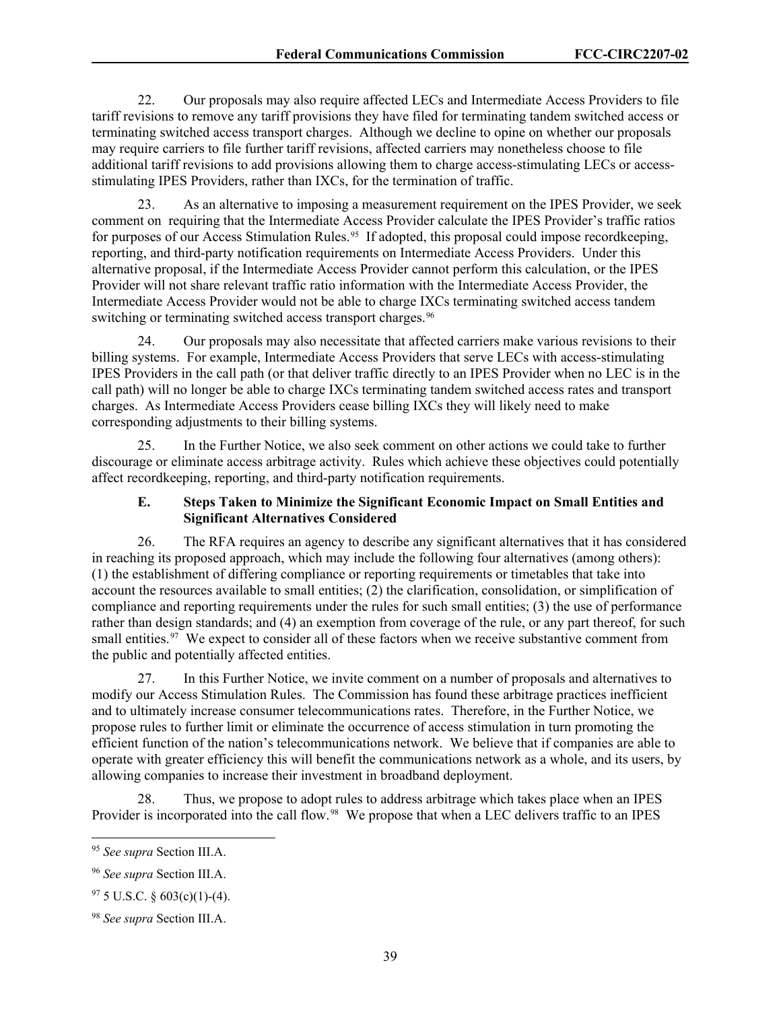22. Our proposals may also require affected LECs and Intermediate Access Providers to file tariff revisions to remove any tariff provisions they have filed for terminating tandem switched access or terminating switched access transport charges. Although we decline to opine on whether our proposals may require carriers to file further tariff revisions, affected carriers may nonetheless choose to file additional tariff revisions to add provisions allowing them to charge access-stimulating LECs or accessstimulating IPES Providers, rather than IXCs, for the termination of traffic.

23. As an alternative to imposing a measurement requirement on the IPES Provider, we seek comment on requiring that the Intermediate Access Provider calculate the IPES Provider's traffic ratios for purposes of our Access Stimulation Rules. [95](#page-39-0) If adopted, this proposal could impose recordkeeping, reporting, and third-party notification requirements on Intermediate Access Providers. Under this alternative proposal, if the Intermediate Access Provider cannot perform this calculation, or the IPES Provider will not share relevant traffic ratio information with the Intermediate Access Provider, the Intermediate Access Provider would not be able to charge IXCs terminating switched access tandem switching or terminating switched access transport charges.<sup>96</sup>

24. Our proposals may also necessitate that affected carriers make various revisions to their billing systems. For example, Intermediate Access Providers that serve LECs with access-stimulating IPES Providers in the call path (or that deliver traffic directly to an IPES Provider when no LEC is in the call path) will no longer be able to charge IXCs terminating tandem switched access rates and transport charges. As Intermediate Access Providers cease billing IXCs they will likely need to make corresponding adjustments to their billing systems.

25. In the Further Notice, we also seek comment on other actions we could take to further discourage or eliminate access arbitrage activity. Rules which achieve these objectives could potentially affect recordkeeping, reporting, and third-party notification requirements.

#### **E. Steps Taken to Minimize the Significant Economic Impact on Small Entities and Significant Alternatives Considered**

26. The RFA requires an agency to describe any significant alternatives that it has considered in reaching its proposed approach, which may include the following four alternatives (among others): (1) the establishment of differing compliance or reporting requirements or timetables that take into account the resources available to small entities; (2) the clarification, consolidation, or simplification of compliance and reporting requirements under the rules for such small entities; (3) the use of performance rather than design standards; and (4) an exemption from coverage of the rule, or any part thereof, for such small entities.<sup>[97](#page-39-2)</sup> We expect to consider all of these factors when we receive substantive comment from the public and potentially affected entities.

27. In this Further Notice, we invite comment on a number of proposals and alternatives to modify our Access Stimulation Rules. The Commission has found these arbitrage practices inefficient and to ultimately increase consumer telecommunications rates. Therefore, in the Further Notice, we propose rules to further limit or eliminate the occurrence of access stimulation in turn promoting the efficient function of the nation's telecommunications network. We believe that if companies are able to operate with greater efficiency this will benefit the communications network as a whole, and its users, by allowing companies to increase their investment in broadband deployment.

Thus, we propose to adopt rules to address arbitrage which takes place when an IPES Provider is incorporated into the call flow.<sup>98</sup> We propose that when a LEC delivers traffic to an IPES

<span id="page-39-0"></span><sup>95</sup> *See supra* Section III.A.

<span id="page-39-1"></span><sup>96</sup> *See supra* Section III.A.

<span id="page-39-2"></span> $97\,5$  U.S.C. § 603(c)(1)-(4).

<span id="page-39-3"></span><sup>98</sup> *See supra* Section III.A.